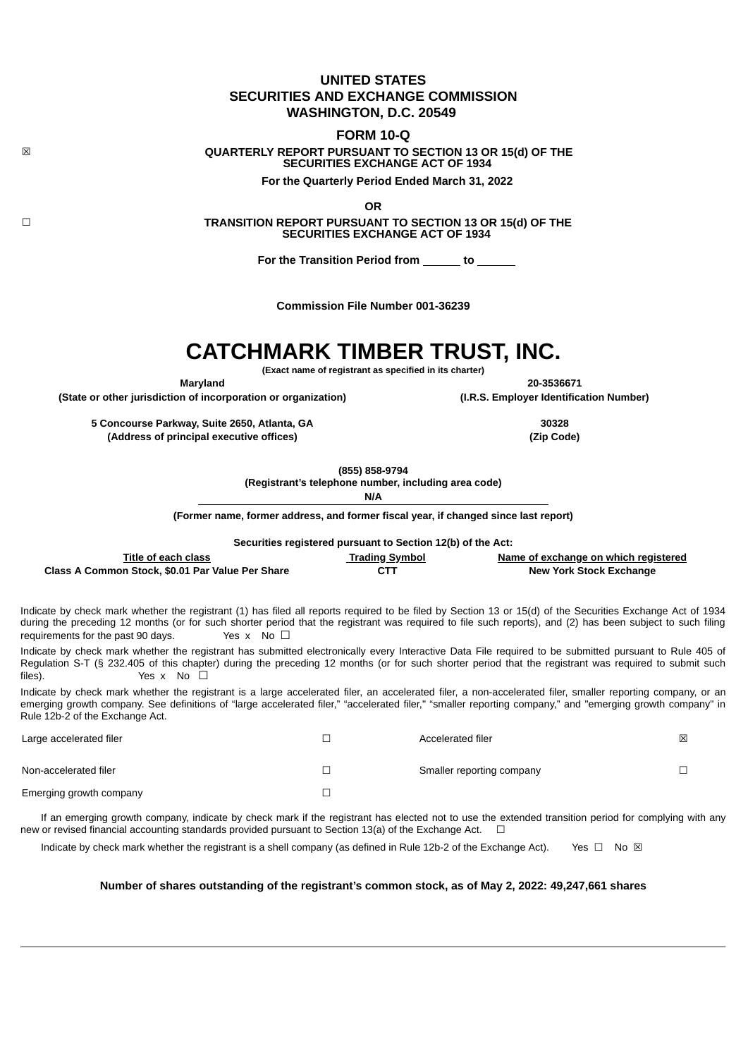# **UNITED STATES SECURITIES AND EXCHANGE COMMISSION WASHINGTON, D.C. 20549**

#### **FORM 10-Q**

☒ **QUARTERLY REPORT PURSUANT TO SECTION 13 OR 15(d) OF THE SECURITIES EXCHANGE ACT OF 1934**

**For the Quarterly Period Ended March 31, 2022**

**OR**

☐ **TRANSITION REPORT PURSUANT TO SECTION 13 OR 15(d) OF THE SECURITIES EXCHANGE ACT OF 1934**

**For the Transition Period from to**

**Commission File Number 001-36239**

# **CATCHMARK TIMBER TRUST, INC.**

**(Exact name of registrant as specified in its charter)**

**(State or other jurisdiction of incorporation or organization) (I.R.S. Employer Identification Number)**

**Maryland 20-3536671**

**5 Concourse Parkway, Suite 2650, Atlanta, GA 30328 (Address of principal executive offices) (Zip Code)**

**(855) 858-9794**

**(Registrant's telephone number, including area code)**

**N/A**

**(Former name, former address, and former fiscal year, if changed since last report)**

| Securities registered pursuant to Section 12(b) of the Act: |                       |                                      |  |  |  |  |  |  |
|-------------------------------------------------------------|-----------------------|--------------------------------------|--|--|--|--|--|--|
| Title of each class                                         | <b>Trading Symbol</b> | Name of exchange on which registered |  |  |  |  |  |  |
| Class A Common Stock, \$0.01 Par Value Per Share            | <b>CTT</b>            | New York Stock Exchange              |  |  |  |  |  |  |

Indicate by check mark whether the registrant (1) has filed all reports required to be filed by Section 13 or 15(d) of the Securities Exchange Act of 1934 during the preceding 12 months (or for such shorter period that the registrant was required to file such reports), and (2) has been subject to such filing requirements for the past 90 days. Yes x No  $\square$ 

Indicate by check mark whether the registrant has submitted electronically every Interactive Data File required to be submitted pursuant to Rule 405 of Regulation S-T (§ 232.405 of this chapter) during the preceding 12 months (or for such shorter period that the registrant was required to submit such files). Yes x No □

Indicate by check mark whether the registrant is a large accelerated filer, an accelerated filer, a non-accelerated filer, smaller reporting company, or an emerging growth company. See definitions of "large accelerated filer," "accelerated filer," "smaller reporting company," and "emerging growth company" in Rule 12b-2 of the Exchange Act.

| Large accelerated filer |   | Accelerated filer         | ⊠ |
|-------------------------|---|---------------------------|---|
| Non-accelerated filer   |   | Smaller reporting company |   |
| Emerging growth company | ᆸ |                           |   |

If an emerging growth company, indicate by check mark if the registrant has elected not to use the extended transition period for complying with any new or revised financial accounting standards provided pursuant to Section 13(a) of the Exchange Act.  $\Box$ 

Indicate by check mark whether the registrant is a shell company (as defined in Rule 12b-2 of the Exchange Act). Yes  $\Box$  No  $\boxtimes$ 

#### **Number of shares outstanding of the registrant's common stock, as of May 2, 2022: 49,247,661 shares**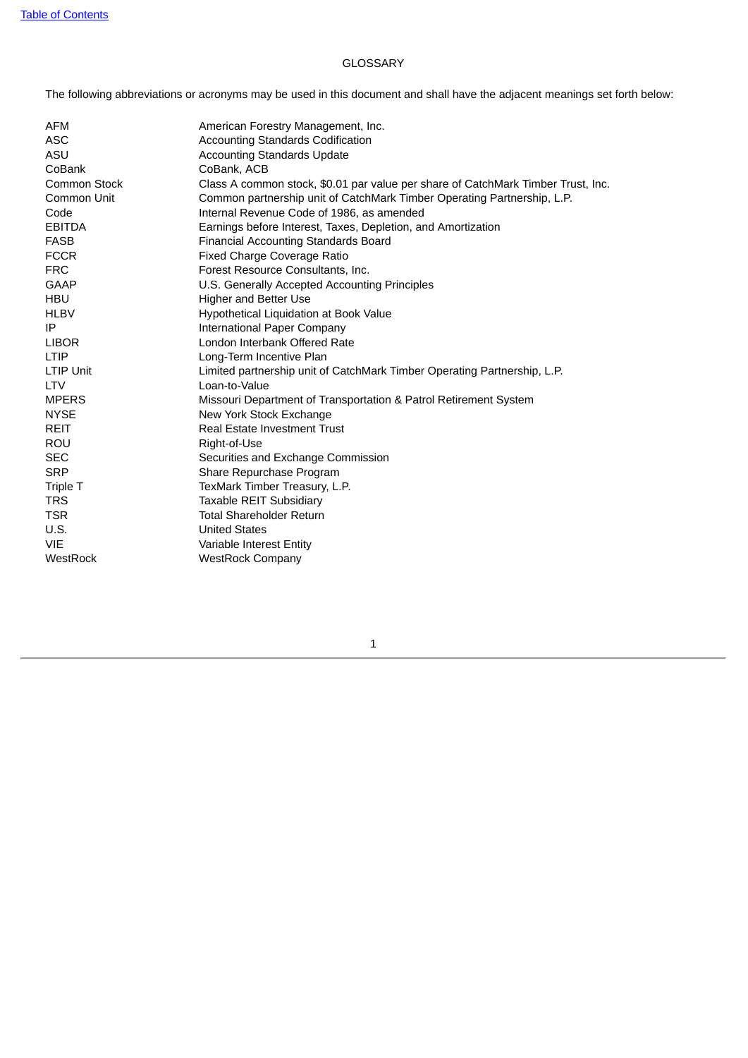# **GLOSSARY**

The following abbreviations or acronyms may be used in this document and shall have the adjacent meanings set forth below:

<span id="page-1-0"></span>

| Internal Revenue Code of 1986, as amended<br>Code<br><b>EBITDA</b><br>Earnings before Interest, Taxes, Depletion, and Amortization<br><b>FASB</b><br><b>FCCR</b><br><b>FRC</b><br><b>GAAP</b><br><b>HBU</b><br><b>HLBV</b><br>IP<br><b>LIBOR</b><br>LTIP<br><b>LTIP Unit</b><br><b>LTV</b><br><b>MPERS</b><br><b>NYSE</b><br><b>REIT</b><br>ROU<br><b>SEC</b><br><b>SRP</b><br>Triple T<br><b>TRS</b><br><b>TSR</b><br>U.S. | <b>Financial Accounting Standards Board</b><br>Fixed Charge Coverage Ratio<br>Forest Resource Consultants, Inc.<br>U.S. Generally Accepted Accounting Principles<br><b>Higher and Better Use</b><br>Hypothetical Liquidation at Book Value<br><b>International Paper Company</b><br>London Interbank Offered Rate<br>Long-Term Incentive Plan<br>Limited partnership unit of CatchMark Timber Operating Partnership, L.P.<br>Loan-to-Value<br>Missouri Department of Transportation & Patrol Retirement System<br>New York Stock Exchange<br><b>Real Estate Investment Trust</b><br>Right-of-Use<br>Securities and Exchange Commission<br>Share Repurchase Program<br>TexMark Timber Treasury, L.P.<br><b>Taxable REIT Subsidiary</b><br><b>Total Shareholder Return</b><br><b>United States</b> |
|-----------------------------------------------------------------------------------------------------------------------------------------------------------------------------------------------------------------------------------------------------------------------------------------------------------------------------------------------------------------------------------------------------------------------------|--------------------------------------------------------------------------------------------------------------------------------------------------------------------------------------------------------------------------------------------------------------------------------------------------------------------------------------------------------------------------------------------------------------------------------------------------------------------------------------------------------------------------------------------------------------------------------------------------------------------------------------------------------------------------------------------------------------------------------------------------------------------------------------------------|
| <b>VIE</b>                                                                                                                                                                                                                                                                                                                                                                                                                  | Variable Interest Entity                                                                                                                                                                                                                                                                                                                                                                                                                                                                                                                                                                                                                                                                                                                                                                         |
| WestRock                                                                                                                                                                                                                                                                                                                                                                                                                    | <b>WestRock Company</b>                                                                                                                                                                                                                                                                                                                                                                                                                                                                                                                                                                                                                                                                                                                                                                          |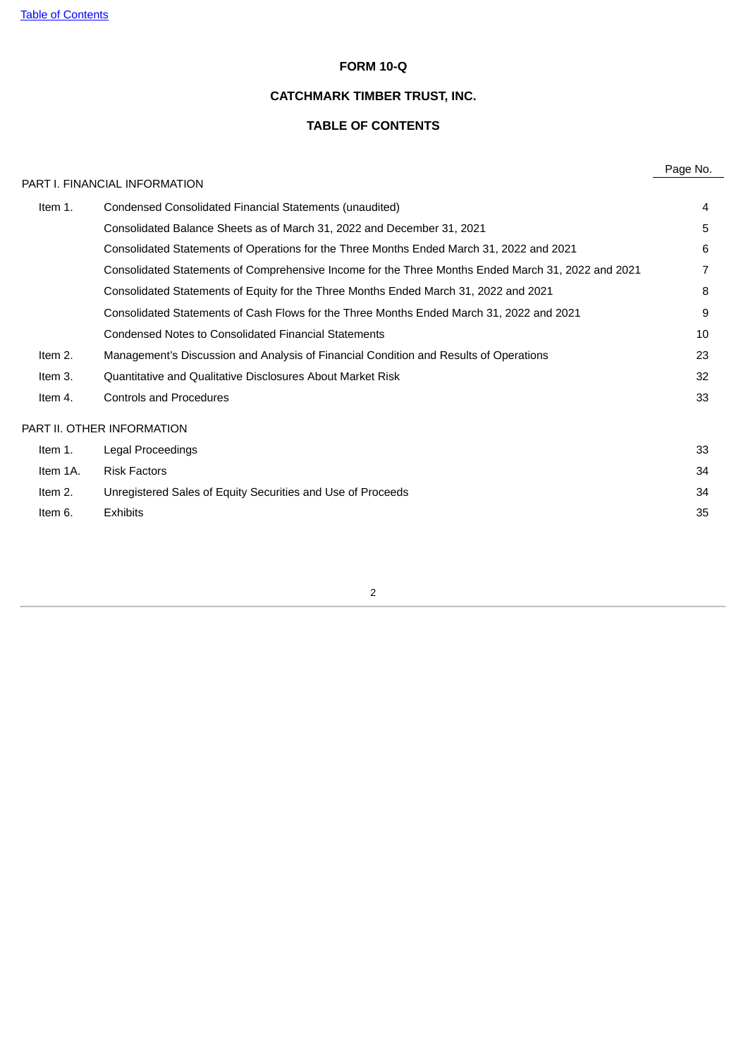# **FORM 10-Q**

# **CATCHMARK TIMBER TRUST, INC.**

# **TABLE OF CONTENTS**

# Page No. PART I. FINANCIAL INFORMATION Item 1. Condensed [Consolidated](#page-4-0) Financial Statements (unaudited) [4](#page-4-0) [Consolidated](#page-4-1) Balance Sheets as of March 31, 2022 and December 31, 2021 [5](#page-4-1) [Consolidated](#page-5-0) Statements of Operations for the Three Months [Ended](#page-5-0) March 31, 2022 [and](#page-5-0) 2021 [6](#page-5-0) Consolidated Statements of [Comprehensive](#page-6-0) Income for the Three [Months](#page-6-0) [Ended](#page-6-0) March 31, 2022 [and](#page-6-0) 2021 [7](#page-6-0) [Consolidated](#page-7-0) Statements of Equity for the Three Months [Ended](#page-7-0) March 31, 2022 [and](#page-7-0) 2021 [8](#page-7-0) [Consolidated](#page-8-0) Statements of Cash Flows for the [Three](#page-8-0) [Months](#page-8-0) Ended March 31, 2022 [and](#page-8-0) 2021 [9](#page-8-0) Condensed Notes to [Consolidated](#page-9-0) Financial Statements [10](#page-9-0) Item 2. [Management's](#page-22-0) Discussion and Analysis of Financial Condition and Results of Operations [23](#page-22-0) Item 3. [Quantitative](#page-32-0) and Qualitative Disclosures About Market Risk [32](#page-32-0) Item 4. Controls and [Procedures](#page-33-0) **[33](#page-33-0)** PART II. OTHER INFORMATION **Item 1.** Legal [Proceedings](#page-33-1) [33](#page-33-1) Item 1A. Risk [Factors](#page-34-0) [34](#page-34-0) Item 2. [Unregistered](#page-34-1) Sales of Equity Securities and Use of Proceeds [34](#page-34-1) Item 6. [Exhibits](#page-34-2) [35](#page-34-2)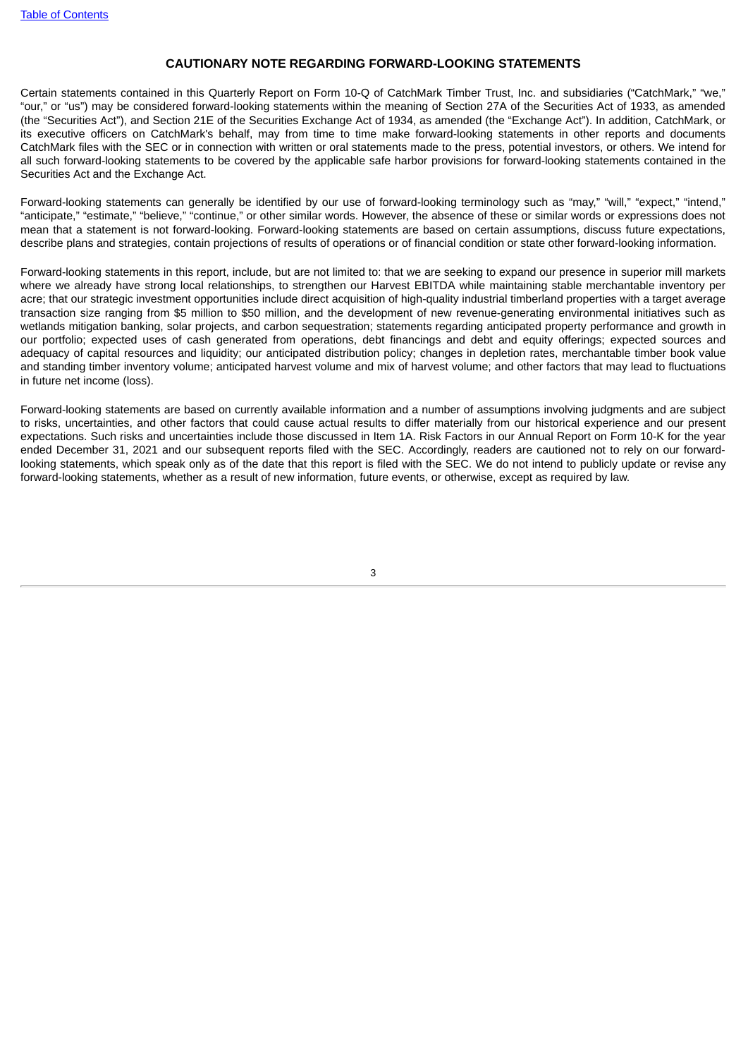# **CAUTIONARY NOTE REGARDING FORWARD-LOOKING STATEMENTS**

Certain statements contained in this Quarterly Report on Form 10-Q of CatchMark Timber Trust, Inc. and subsidiaries ("CatchMark," "we," "our," or "us") may be considered forward-looking statements within the meaning of Section 27A of the Securities Act of 1933, as amended (the "Securities Act"), and Section 21E of the Securities Exchange Act of 1934, as amended (the "Exchange Act"). In addition, CatchMark, or its executive officers on CatchMark's behalf, may from time to time make forward-looking statements in other reports and documents CatchMark files with the SEC or in connection with written or oral statements made to the press, potential investors, or others. We intend for all such forward-looking statements to be covered by the applicable safe harbor provisions for forward-looking statements contained in the Securities Act and the Exchange Act.

Forward-looking statements can generally be identified by our use of forward-looking terminology such as "may," "will," "expect," "intend," "anticipate," "estimate," "believe," "continue," or other similar words. However, the absence of these or similar words or expressions does not mean that a statement is not forward-looking. Forward-looking statements are based on certain assumptions, discuss future expectations, describe plans and strategies, contain projections of results of operations or of financial condition or state other forward-looking information.

Forward-looking statements in this report, include, but are not limited to: that we are seeking to expand our presence in superior mill markets where we already have strong local relationships, to strengthen our Harvest EBITDA while maintaining stable merchantable inventory per acre; that our strategic investment opportunities include direct acquisition of high-quality industrial timberland properties with a target average transaction size ranging from \$5 million to \$50 million, and the development of new revenue-generating environmental initiatives such as wetlands mitigation banking, solar projects, and carbon sequestration; statements regarding anticipated property performance and growth in our portfolio; expected uses of cash generated from operations, debt financings and debt and equity offerings; expected sources and adequacy of capital resources and liquidity; our anticipated distribution policy; changes in depletion rates, merchantable timber book value and standing timber inventory volume; anticipated harvest volume and mix of harvest volume; and other factors that may lead to fluctuations in future net income (loss).

Forward-looking statements are based on currently available information and a number of assumptions involving judgments and are subject to risks, uncertainties, and other factors that could cause actual results to differ materially from our historical experience and our present expectations. Such risks and uncertainties include those discussed in Item 1A. Risk Factors in our Annual Report on Form 10-K for the year ended December 31, 2021 and our subsequent reports filed with the SEC. Accordingly, readers are cautioned not to rely on our forwardlooking statements, which speak only as of the date that this report is filed with the SEC. We do not intend to publicly update or revise any forward-looking statements, whether as a result of new information, future events, or otherwise, except as required by law.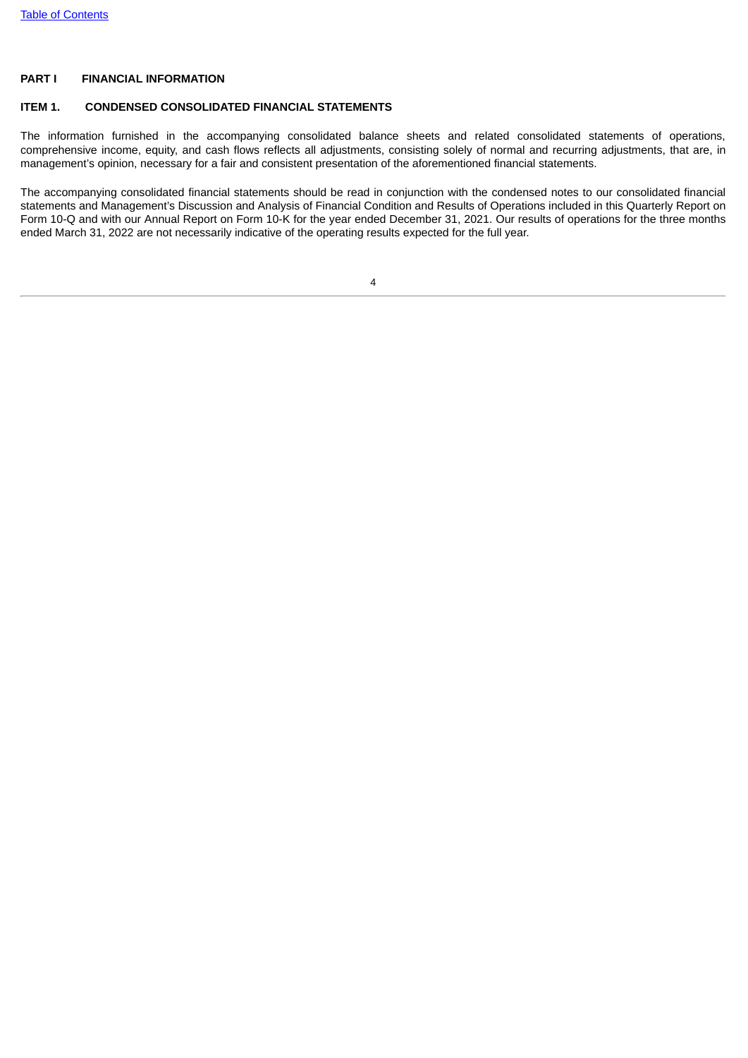# <span id="page-4-0"></span>**PART I FINANCIAL INFORMATION**

#### **ITEM 1. CONDENSED CONSOLIDATED FINANCIAL STATEMENTS**

The information furnished in the accompanying consolidated balance sheets and related consolidated statements of operations, comprehensive income, equity, and cash flows reflects all adjustments, consisting solely of normal and recurring adjustments, that are, in management's opinion, necessary for a fair and consistent presentation of the aforementioned financial statements.

<span id="page-4-1"></span>The accompanying consolidated financial statements should be read in conjunction with the condensed notes to our consolidated financial statements and Management's Discussion and Analysis of Financial Condition and Results of Operations included in this Quarterly Report on Form 10-Q and with our Annual Report on Form 10-K for the year ended December 31, 2021. Our results of operations for the three months ended March 31, 2022 are not necessarily indicative of the operating results expected for the full year.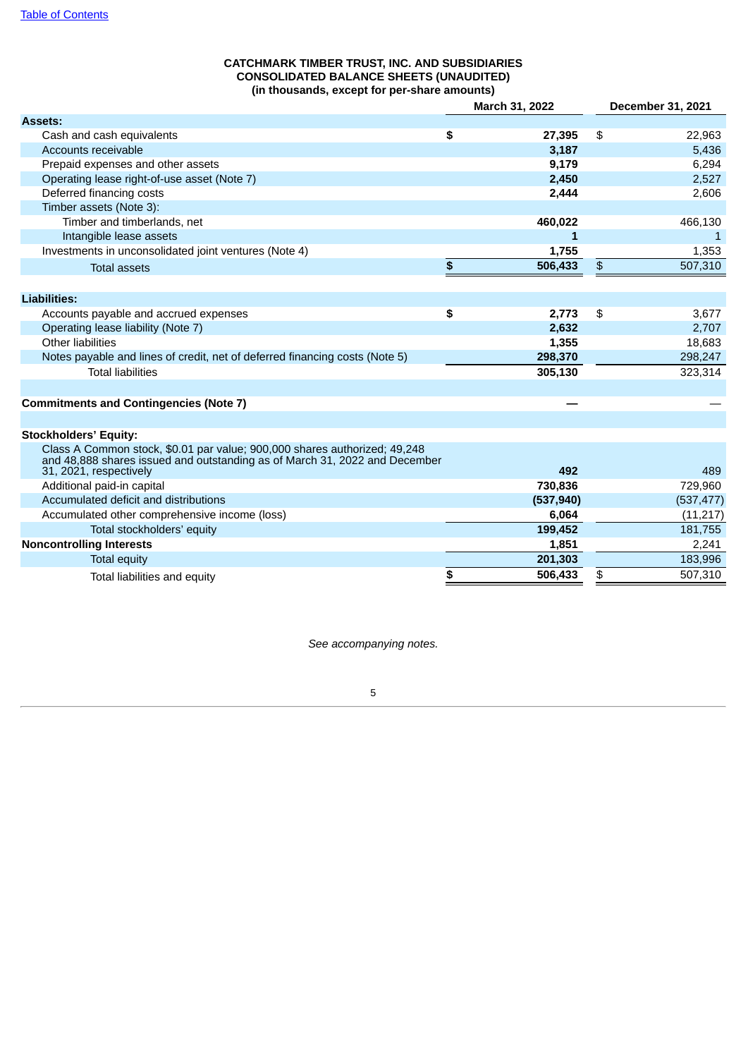# **CATCHMARK TIMBER TRUST, INC. AND SUBSIDIARIES CONSOLIDATED BALANCE SHEETS (UNAUDITED) (in thousands, except for per-share amounts)**

|                                                                                                      | March 31, 2022 | December 31, 2021 |  |  |
|------------------------------------------------------------------------------------------------------|----------------|-------------------|--|--|
| <b>Assets:</b>                                                                                       |                |                   |  |  |
| Cash and cash equivalents                                                                            | \$<br>27,395   | 22,963<br>\$      |  |  |
| Accounts receivable                                                                                  | 3,187          | 5,436             |  |  |
| Prepaid expenses and other assets                                                                    | 9,179          | 6,294             |  |  |
| Operating lease right-of-use asset (Note 7)                                                          | 2,450          | 2,527             |  |  |
| Deferred financing costs                                                                             | 2,444          | 2,606             |  |  |
| Timber assets (Note 3):                                                                              |                |                   |  |  |
| Timber and timberlands, net                                                                          | 460,022        | 466,130           |  |  |
| Intangible lease assets                                                                              | 1              | 1                 |  |  |
| Investments in unconsolidated joint ventures (Note 4)                                                | 1,755          | 1,353             |  |  |
| <b>Total assets</b>                                                                                  | \$<br>506,433  | \$<br>507,310     |  |  |
|                                                                                                      |                |                   |  |  |
| <b>Liabilities:</b>                                                                                  |                |                   |  |  |
| Accounts payable and accrued expenses                                                                | \$<br>2,773    | \$<br>3,677       |  |  |
| Operating lease liability (Note 7)                                                                   | 2,632          | 2,707             |  |  |
| Other liabilities                                                                                    | 1,355          | 18,683            |  |  |
| Notes payable and lines of credit, net of deferred financing costs (Note 5)                          | 298,370        | 298,247           |  |  |
| <b>Total liabilities</b>                                                                             | 305,130        | 323,314           |  |  |
|                                                                                                      |                |                   |  |  |
| <b>Commitments and Contingencies (Note 7)</b>                                                        |                |                   |  |  |
|                                                                                                      |                |                   |  |  |
| <b>Stockholders' Equity:</b>                                                                         |                |                   |  |  |
| Class A Common stock, \$0.01 par value; 900,000 shares authorized; 49,248                            |                |                   |  |  |
| and 48,888 shares issued and outstanding as of March 31, 2022 and December<br>31, 2021, respectively | 492            | 489               |  |  |
| Additional paid-in capital                                                                           | 730,836        | 729,960           |  |  |
| Accumulated deficit and distributions                                                                | (537, 940)     | (537, 477)        |  |  |
| Accumulated other comprehensive income (loss)                                                        | 6,064          | (11, 217)         |  |  |
| Total stockholders' equity                                                                           | 199,452        | 181,755           |  |  |
| <b>Noncontrolling Interests</b>                                                                      | 1,851          | 2,241             |  |  |
| <b>Total equity</b>                                                                                  | 201,303        | 183,996           |  |  |

<span id="page-5-0"></span>Total liabilities and equity **8** 506,433 **\$** 507,310

*See accompanying notes.*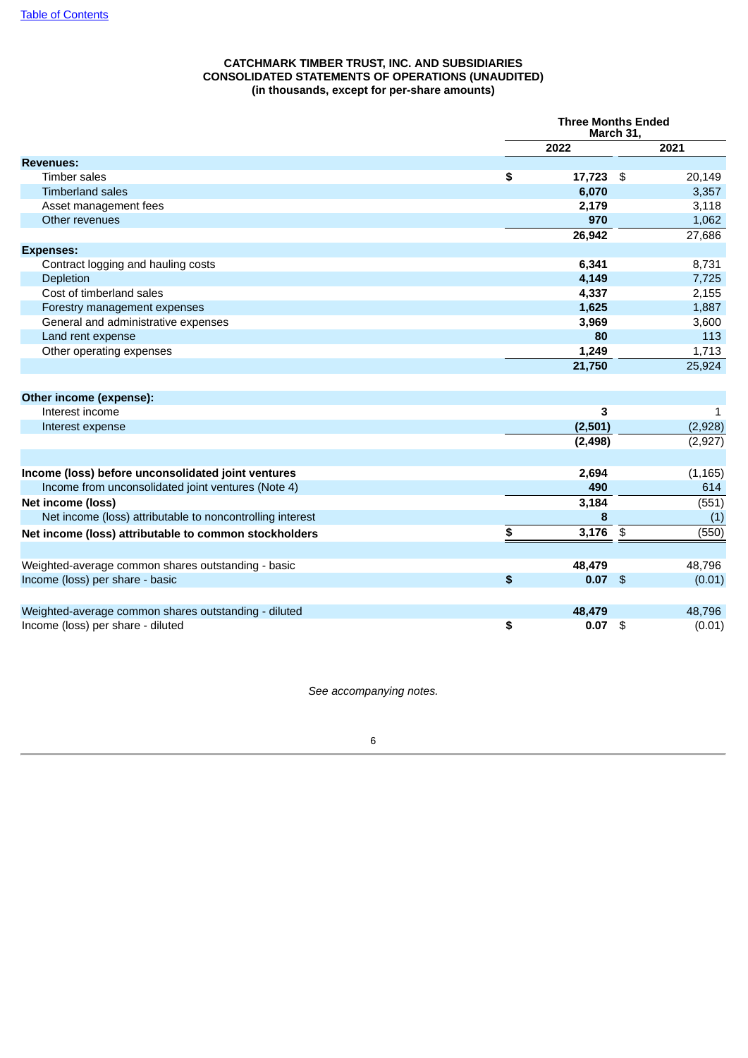# **CATCHMARK TIMBER TRUST, INC. AND SUBSIDIARIES CONSOLIDATED STATEMENTS OF OPERATIONS (UNAUDITED) (in thousands, except for per-share amounts)**

|                                                           | <b>Three Months Ended</b><br>March 31, |          |      |          |  |
|-----------------------------------------------------------|----------------------------------------|----------|------|----------|--|
|                                                           |                                        | 2022     |      | 2021     |  |
| <b>Revenues:</b>                                          |                                        |          |      |          |  |
| <b>Timber sales</b>                                       | \$                                     | 17,723   | \$   | 20,149   |  |
| <b>Timberland sales</b>                                   |                                        | 6,070    |      | 3,357    |  |
| Asset management fees                                     |                                        | 2,179    |      | 3,118    |  |
| Other revenues                                            |                                        | 970      |      | 1,062    |  |
|                                                           |                                        | 26,942   |      | 27,686   |  |
| <b>Expenses:</b>                                          |                                        |          |      |          |  |
| Contract logging and hauling costs                        |                                        | 6,341    |      | 8,731    |  |
| Depletion                                                 |                                        | 4,149    |      | 7,725    |  |
| Cost of timberland sales                                  |                                        | 4,337    |      | 2,155    |  |
| Forestry management expenses                              |                                        | 1,625    |      | 1,887    |  |
| General and administrative expenses                       |                                        | 3,969    |      | 3,600    |  |
| Land rent expense                                         |                                        | 80       |      | 113      |  |
| Other operating expenses                                  |                                        | 1,249    |      | 1,713    |  |
|                                                           |                                        | 21,750   |      | 25,924   |  |
|                                                           |                                        |          |      |          |  |
| Other income (expense):                                   |                                        |          |      |          |  |
| Interest income                                           |                                        | 3        |      | 1        |  |
| Interest expense                                          |                                        | (2,501)  |      | (2,928)  |  |
|                                                           |                                        | (2, 498) |      | (2,927)  |  |
|                                                           |                                        |          |      |          |  |
| Income (loss) before unconsolidated joint ventures        |                                        | 2,694    |      | (1, 165) |  |
| Income from unconsolidated joint ventures (Note 4)        |                                        | 490      |      | 614      |  |
| Net income (loss)                                         |                                        | 3,184    |      | (551)    |  |
| Net income (loss) attributable to noncontrolling interest |                                        | 8        |      | (1)      |  |
| Net income (loss) attributable to common stockholders     | \$                                     | 3,176    | \$   | (550)    |  |
|                                                           |                                        |          |      |          |  |
| Weighted-average common shares outstanding - basic        |                                        | 48,479   |      | 48,796   |  |
| Income (loss) per share - basic                           | \$                                     | 0.07     | - \$ | (0.01)   |  |
|                                                           |                                        |          |      |          |  |
| Weighted-average common shares outstanding - diluted      |                                        | 48,479   |      | 48,796   |  |
| Income (loss) per share - diluted                         | \$                                     | 0.07     | \$   | (0.01)   |  |

<span id="page-6-0"></span>*See accompanying notes.*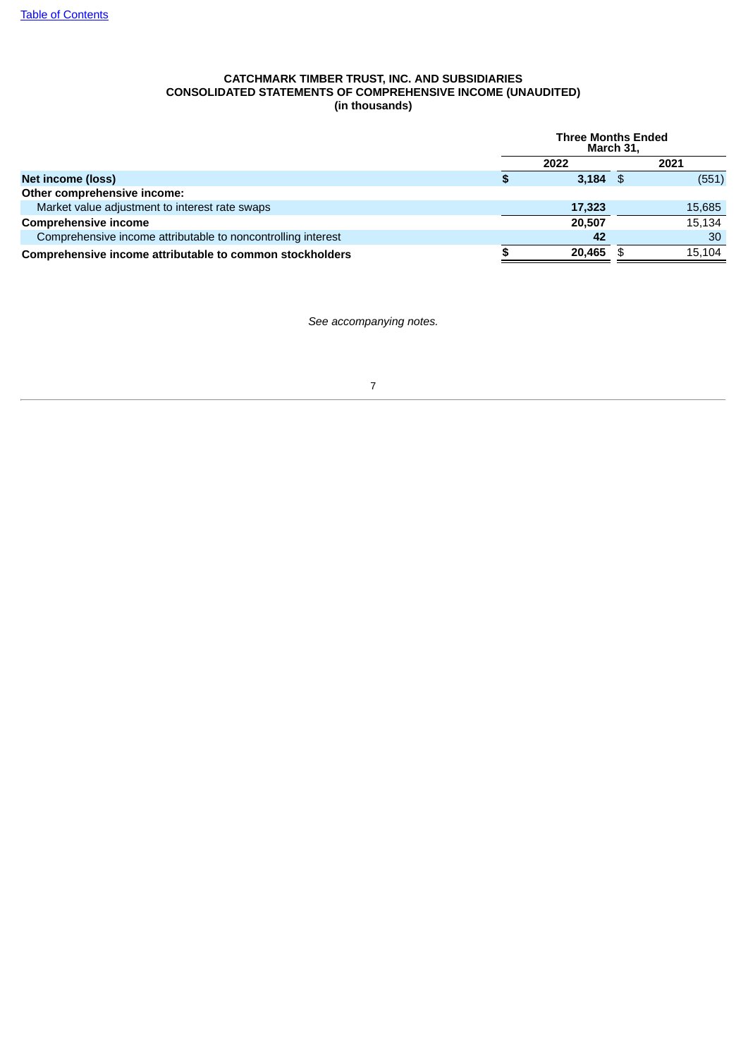# **CATCHMARK TIMBER TRUST, INC. AND SUBSIDIARIES CONSOLIDATED STATEMENTS OF COMPREHENSIVE INCOME (UNAUDITED) (in thousands)**

<span id="page-7-0"></span>

|                                                              | <b>Three Months Ended</b><br>March 31, |            |      |        |  |  |
|--------------------------------------------------------------|----------------------------------------|------------|------|--------|--|--|
|                                                              |                                        | 2022       |      | 2021   |  |  |
| Net income (loss)                                            |                                        | $3.184$ \$ |      | (551)  |  |  |
| Other comprehensive income:                                  |                                        |            |      |        |  |  |
| Market value adjustment to interest rate swaps               |                                        | 17,323     |      | 15,685 |  |  |
| <b>Comprehensive income</b>                                  |                                        | 20,507     |      | 15.134 |  |  |
| Comprehensive income attributable to noncontrolling interest |                                        | 42         |      | 30     |  |  |
| Comprehensive income attributable to common stockholders     |                                        | 20.465     | - \$ | 15.104 |  |  |

*See accompanying notes.*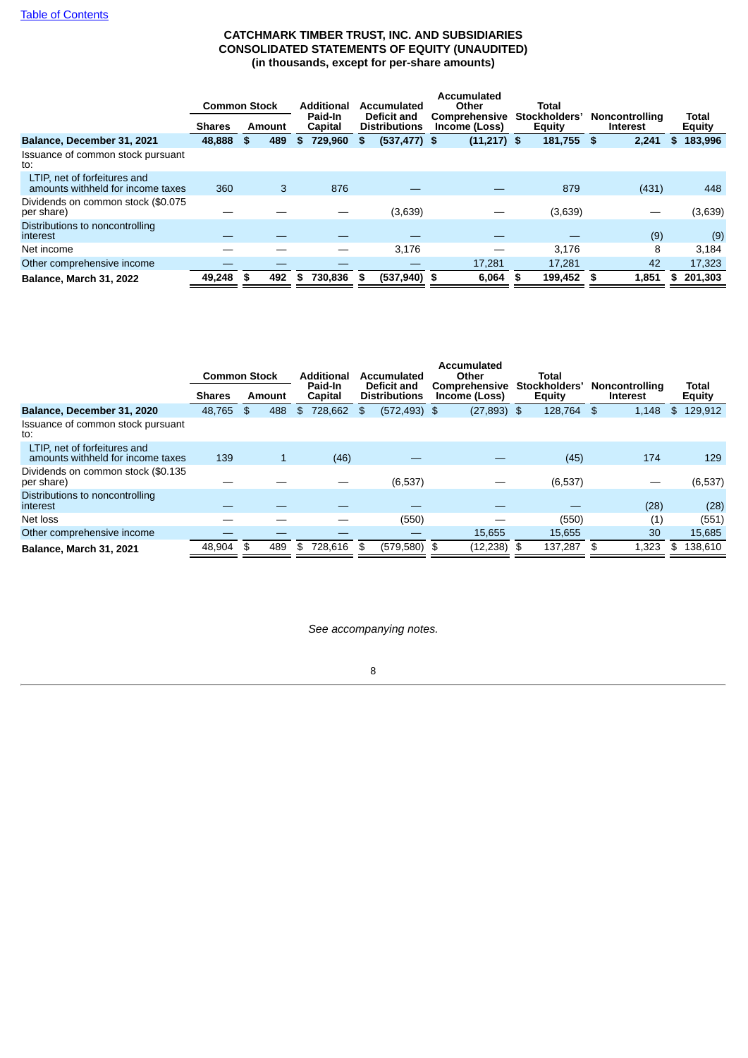### **CATCHMARK TIMBER TRUST, INC. AND SUBSIDIARIES CONSOLIDATED STATEMENTS OF EQUITY (UNAUDITED) (in thousands, except for per-share amounts)**

|                                                                   | <b>Common Stock</b> |        |     |   | <b>Additional</b>  | Accumulated |                                            | Accumulated<br>Other |                                | Total |                         |  |                                   |    |                        |
|-------------------------------------------------------------------|---------------------|--------|-----|---|--------------------|-------------|--------------------------------------------|----------------------|--------------------------------|-------|-------------------------|--|-----------------------------------|----|------------------------|
|                                                                   | <b>Shares</b>       | Amount |     |   | Paid-In<br>Capital |             | <b>Deficit and</b><br><b>Distributions</b> |                      | Comprehensive<br>Income (Loss) |       | Stockholders'<br>Equity |  | <b>Noncontrolling</b><br>Interest |    | Total<br><b>Equity</b> |
| Balance, December 31, 2021                                        | 48.888              | - \$   | 489 | S | 729,960            | S           | $(537, 477)$ \$                            |                      | $(11,217)$ \$                  |       | 181,755 \$              |  | 2,241                             | S. | 183,996                |
| Issuance of common stock pursuant<br>to:                          |                     |        |     |   |                    |             |                                            |                      |                                |       |                         |  |                                   |    |                        |
| LTIP, net of forfeitures and<br>amounts withheld for income taxes | 360                 |        | 3   |   | 876                |             |                                            |                      |                                |       | 879                     |  | (431)                             |    | 448                    |
| Dividends on common stock (\$0.075<br>per share)                  |                     |        |     |   |                    |             | (3,639)                                    |                      |                                |       | (3,639)                 |  |                                   |    | (3,639)                |
| Distributions to noncontrolling<br>interest                       |                     |        |     |   |                    |             |                                            |                      |                                |       |                         |  | (9)                               |    | (9)                    |
| Net income                                                        |                     |        |     |   |                    |             | 3,176                                      |                      |                                |       | 3.176                   |  | 8                                 |    | 3,184                  |
| Other comprehensive income                                        |                     |        |     |   |                    |             |                                            |                      | 17,281                         |       | 17,281                  |  | 42                                |    | 17,323                 |
| <b>Balance, March 31, 2022</b>                                    | 49.248              | - \$   | 492 | S | 730.836            | S           | $(537, 940)$ \$                            |                      | 6,064                          |       | 199.452 \$              |  | 1.851                             | S  | 201.303                |

|                                                                   |               | <b>Common Stock</b> | <b>Additional</b>  | Accumulated                         | <b>Accumulated</b><br>Other    | <b>Total</b>            |                                          |                               |
|-------------------------------------------------------------------|---------------|---------------------|--------------------|-------------------------------------|--------------------------------|-------------------------|------------------------------------------|-------------------------------|
|                                                                   | <b>Shares</b> | Amount              | Paid-In<br>Capital | Deficit and<br><b>Distributions</b> | Comprehensive<br>Income (Loss) | Stockholders'<br>Equity | <b>Noncontrolling</b><br><b>Interest</b> | <b>Total</b><br><b>Equity</b> |
| Balance, December 31, 2020                                        | 48.765        | 488<br>\$           | 728,662<br>\$      | $(572, 493)$ \$<br>\$               | $(27, 893)$ \$                 | 128,764                 | 1,148<br><b>S</b>                        | 129,912<br>\$                 |
| Issuance of common stock pursuant<br>to:                          |               |                     |                    |                                     |                                |                         |                                          |                               |
| LTIP, net of forfeitures and<br>amounts withheld for income taxes | 139           | 1                   | (46)               |                                     |                                | (45)                    | 174                                      | 129                           |
| Dividends on common stock (\$0.135<br>per share)                  |               |                     |                    | (6,537)                             |                                | (6, 537)                |                                          | (6,537)                       |
| Distributions to noncontrolling<br>interest                       |               |                     |                    |                                     |                                |                         | (28)                                     | (28)                          |
| Net loss                                                          |               |                     |                    | (550)                               |                                | (550)                   | (1)                                      | (551)                         |
| Other comprehensive income                                        |               |                     |                    |                                     | 15.655                         | 15,655                  | 30                                       | 15,685                        |
| <b>Balance, March 31, 2021</b>                                    | 48.904        | 489<br>\$           | 728.616<br>\$      | $(579,580)$ \$<br>\$                | (12,238)                       | 137.287<br>\$           | 1.323                                    | 138.610<br>\$                 |

<span id="page-8-0"></span>*See accompanying notes.*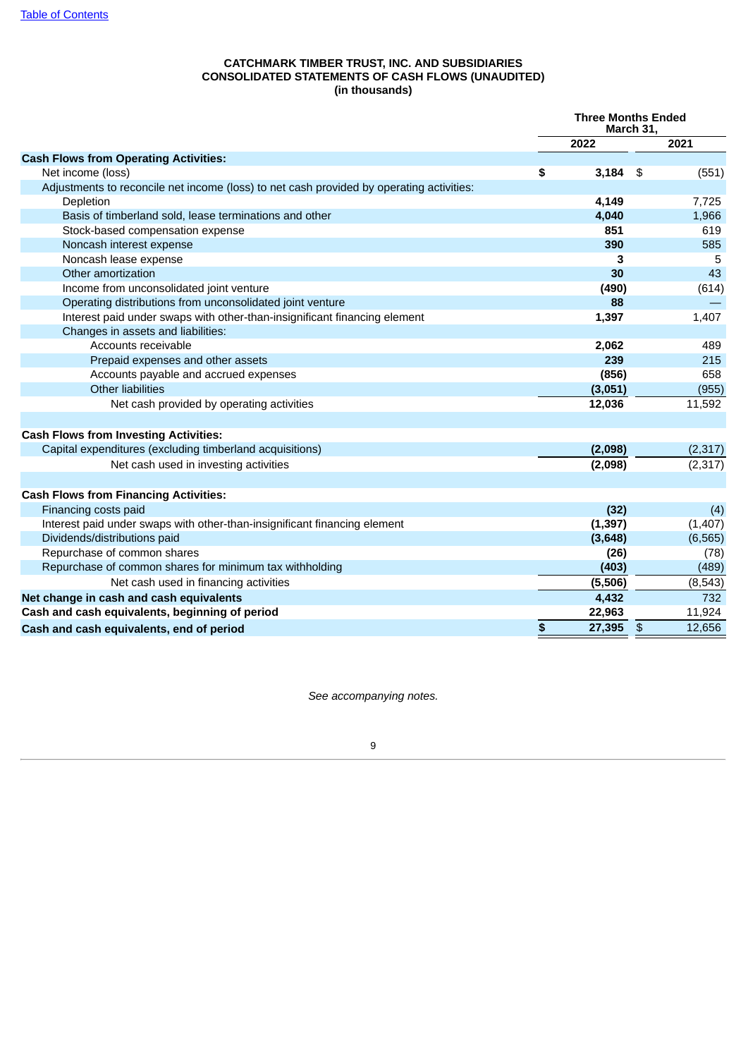# **CATCHMARK TIMBER TRUST, INC. AND SUBSIDIARIES CONSOLIDATED STATEMENTS OF CASH FLOWS (UNAUDITED) (in thousands)**

|                                                                                          | <b>Three Months Ended</b> | March 31, |          |
|------------------------------------------------------------------------------------------|---------------------------|-----------|----------|
|                                                                                          | 2022                      |           | 2021     |
| <b>Cash Flows from Operating Activities:</b>                                             |                           |           |          |
| Net income (loss)                                                                        | 3,184<br>\$               | \$        | (551)    |
| Adjustments to reconcile net income (loss) to net cash provided by operating activities: |                           |           |          |
| Depletion                                                                                | 4,149                     |           | 7,725    |
| Basis of timberland sold, lease terminations and other                                   | 4,040                     |           | 1,966    |
| Stock-based compensation expense                                                         | 851                       |           | 619      |
| Noncash interest expense                                                                 | 390                       |           | 585      |
| Noncash lease expense                                                                    | 3                         |           | 5        |
| Other amortization                                                                       | 30                        |           | 43       |
| Income from unconsolidated joint venture                                                 | (490)                     |           | (614)    |
| Operating distributions from unconsolidated joint venture                                | 88                        |           |          |
| Interest paid under swaps with other-than-insignificant financing element                | 1,397                     |           | 1,407    |
| Changes in assets and liabilities:                                                       |                           |           |          |
| Accounts receivable                                                                      | 2,062                     |           | 489      |
| Prepaid expenses and other assets                                                        | 239                       |           | 215      |
| Accounts payable and accrued expenses                                                    | (856)                     |           | 658      |
| <b>Other liabilities</b>                                                                 | (3,051)                   |           | (955)    |
| Net cash provided by operating activities                                                | 12,036                    |           | 11,592   |
|                                                                                          |                           |           |          |
| <b>Cash Flows from Investing Activities:</b>                                             |                           |           |          |
| Capital expenditures (excluding timberland acquisitions)                                 | (2,098)                   |           | (2, 317) |
| Net cash used in investing activities                                                    | (2,098)                   |           | (2,317)  |
|                                                                                          |                           |           |          |
| <b>Cash Flows from Financing Activities:</b>                                             |                           |           |          |
| Financing costs paid                                                                     | (32)                      |           | (4)      |
| Interest paid under swaps with other-than-insignificant financing element                | (1, 397)                  |           | (1, 407) |
| Dividends/distributions paid                                                             | (3,648)                   |           | (6, 565) |
| Repurchase of common shares                                                              | (26)                      |           | (78)     |
| Repurchase of common shares for minimum tax withholding                                  | (403)                     |           | (489)    |
| Net cash used in financing activities                                                    | (5,506)                   |           | (8, 543) |
| Net change in cash and cash equivalents                                                  | 4,432                     |           | 732      |
| Cash and cash equivalents, beginning of period                                           | 22,963                    |           | 11,924   |
| Cash and cash equivalents, end of period                                                 | \$<br>27,395              | \$        | 12,656   |

<span id="page-9-0"></span>*See accompanying notes.*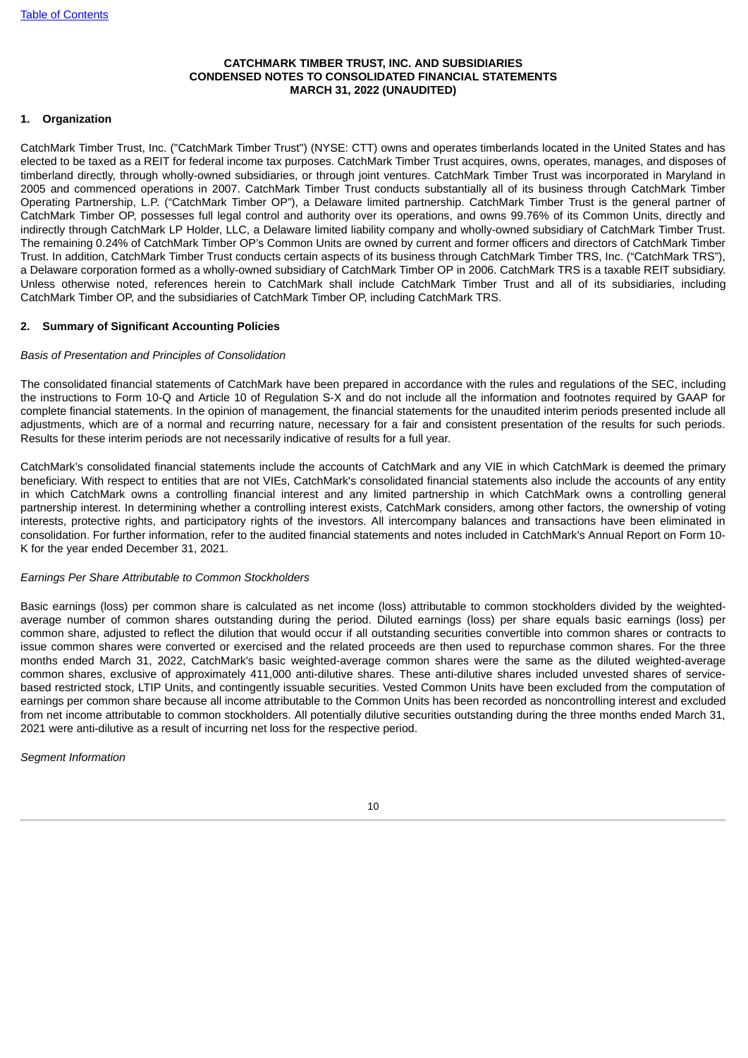# **CATCHMARK TIMBER TRUST, INC. AND SUBSIDIARIES CONDENSED NOTES TO CONSOLIDATED FINANCIAL STATEMENTS MARCH 31, 2022 (UNAUDITED)**

### **1. Organization**

CatchMark Timber Trust, Inc. ("CatchMark Timber Trust") (NYSE: CTT) owns and operates timberlands located in the United States and has elected to be taxed as a REIT for federal income tax purposes. CatchMark Timber Trust acquires, owns, operates, manages, and disposes of timberland directly, through wholly-owned subsidiaries, or through joint ventures. CatchMark Timber Trust was incorporated in Maryland in 2005 and commenced operations in 2007. CatchMark Timber Trust conducts substantially all of its business through CatchMark Timber Operating Partnership, L.P. ("CatchMark Timber OP"), a Delaware limited partnership. CatchMark Timber Trust is the general partner of CatchMark Timber OP, possesses full legal control and authority over its operations, and owns 99.76% of its Common Units, directly and indirectly through CatchMark LP Holder, LLC, a Delaware limited liability company and wholly-owned subsidiary of CatchMark Timber Trust. The remaining 0.24% of CatchMark Timber OP's Common Units are owned by current and former officers and directors of CatchMark Timber Trust. In addition, CatchMark Timber Trust conducts certain aspects of its business through CatchMark Timber TRS, Inc. ("CatchMark TRS"), a Delaware corporation formed as a wholly-owned subsidiary of CatchMark Timber OP in 2006. CatchMark TRS is a taxable REIT subsidiary. Unless otherwise noted, references herein to CatchMark shall include CatchMark Timber Trust and all of its subsidiaries, including CatchMark Timber OP, and the subsidiaries of CatchMark Timber OP, including CatchMark TRS.

# **2. Summary of Significant Accounting Policies**

# *Basis of Presentation and Principles of Consolidation*

The consolidated financial statements of CatchMark have been prepared in accordance with the rules and regulations of the SEC, including the instructions to Form 10-Q and Article 10 of Regulation S-X and do not include all the information and footnotes required by GAAP for complete financial statements. In the opinion of management, the financial statements for the unaudited interim periods presented include all adjustments, which are of a normal and recurring nature, necessary for a fair and consistent presentation of the results for such periods. Results for these interim periods are not necessarily indicative of results for a full year.

CatchMark's consolidated financial statements include the accounts of CatchMark and any VIE in which CatchMark is deemed the primary beneficiary. With respect to entities that are not VIEs, CatchMark's consolidated financial statements also include the accounts of any entity in which CatchMark owns a controlling financial interest and any limited partnership in which CatchMark owns a controlling general partnership interest. In determining whether a controlling interest exists, CatchMark considers, among other factors, the ownership of voting interests, protective rights, and participatory rights of the investors. All intercompany balances and transactions have been eliminated in consolidation. For further information, refer to the audited financial statements and notes included in CatchMark's Annual Report on Form 10- K for the year ended December 31, 2021.

#### *Earnings Per Share Attributable to Common Stockholders*

Basic earnings (loss) per common share is calculated as net income (loss) attributable to common stockholders divided by the weightedaverage number of common shares outstanding during the period. Diluted earnings (loss) per share equals basic earnings (loss) per common share, adjusted to reflect the dilution that would occur if all outstanding securities convertible into common shares or contracts to issue common shares were converted or exercised and the related proceeds are then used to repurchase common shares. For the three months ended March 31, 2022, CatchMark's basic weighted-average common shares were the same as the diluted weighted-average common shares, exclusive of approximately 411,000 anti-dilutive shares. These anti-dilutive shares included unvested shares of servicebased restricted stock, LTIP Units, and contingently issuable securities. Vested Common Units have been excluded from the computation of earnings per common share because all income attributable to the Common Units has been recorded as noncontrolling interest and excluded from net income attributable to common stockholders. All potentially dilutive securities outstanding during the three months ended March 31, 2021 were anti-dilutive as a result of incurring net loss for the respective period.

*Segment Information*

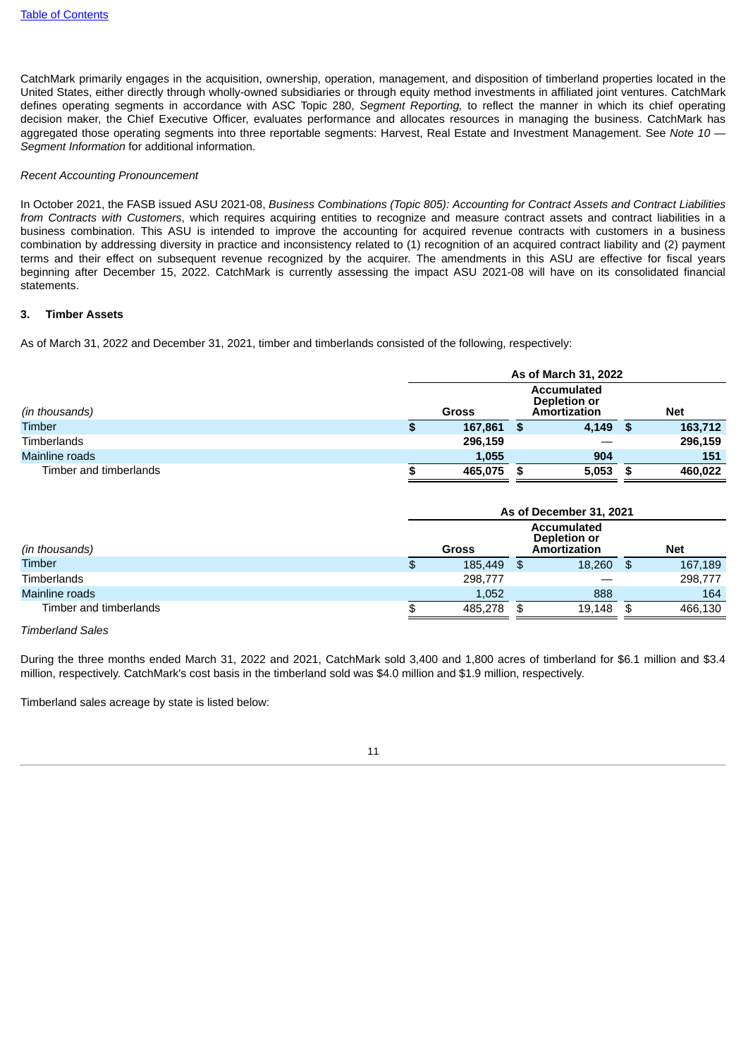CatchMark primarily engages in the acquisition, ownership, operation, management, and disposition of timberland properties located in the United States, either directly through wholly-owned subsidiaries or through equity method investments in affiliated joint ventures. CatchMark defines operating segments in accordance with ASC Topic 280, *Segment Reporting,* to reflect the manner in which its chief operating decision maker, the Chief Executive Officer, evaluates performance and allocates resources in managing the business. CatchMark has aggregated those operating segments into three reportable segments: Harvest, Real Estate and Investment Management. See *Note 10 — Segment Information* for additional information.

#### *Recent Accounting Pronouncement*

In October 2021, the FASB issued ASU 2021-08, *Business Combinations (Topic 805): Accounting for Contract Assets and Contract Liabilities from Contracts with Customers*, which requires acquiring entities to recognize and measure contract assets and contract liabilities in a business combination. This ASU is intended to improve the accounting for acquired revenue contracts with customers in a business combination by addressing diversity in practice and inconsistency related to (1) recognition of an acquired contract liability and (2) payment terms and their effect on subsequent revenue recognized by the acquirer. The amendments in this ASU are effective for fiscal years beginning after December 15, 2022. CatchMark is currently assessing the impact ASU 2021-08 will have on its consolidated financial statements.

#### **3. Timber Assets**

As of March 31, 2022 and December 31, 2021, timber and timberlands consisted of the following, respectively:

|                        | As of March 31, 2022 |              |                                                    |       |      |         |  |
|------------------------|----------------------|--------------|----------------------------------------------------|-------|------|---------|--|
| (in thousands)         |                      | <b>Gross</b> | <b>Accumulated</b><br>Depletion or<br>Amortization |       |      |         |  |
| Timber                 | S                    | 167,861 \$   |                                                    | 4,149 | - 35 | 163,712 |  |
| <b>Timberlands</b>     |                      | 296.159      |                                                    |       |      | 296,159 |  |
| Mainline roads         |                      | 1.055        |                                                    | 904   |      | 151     |  |
| Timber and timberlands |                      | 465.075      |                                                    | 5,053 |      | 460.022 |  |

|                        | As of December 31, 2021 |              |      |                                                    |     |            |  |  |
|------------------------|-------------------------|--------------|------|----------------------------------------------------|-----|------------|--|--|
| (in thousands)         |                         | <b>Gross</b> |      | <b>Accumulated</b><br>Depletion or<br>Amortization |     | <b>Net</b> |  |  |
| <b>Timber</b>          | \$                      | 185,449      | - \$ | 18,260                                             | -\$ | 167,189    |  |  |
| <b>Timberlands</b>     |                         | 298.777      |      |                                                    |     | 298.777    |  |  |
| Mainline roads         |                         | 1,052        |      | 888                                                |     | 164        |  |  |
| Timber and timberlands |                         | 485,278      |      | 19,148                                             |     | 466.130    |  |  |

#### *Timberland Sales*

During the three months ended March 31, 2022 and 2021, CatchMark sold 3,400 and 1,800 acres of timberland for \$6.1 million and \$3.4 million, respectively. CatchMark's cost basis in the timberland sold was \$4.0 million and \$1.9 million, respectively.

Timberland sales acreage by state is listed below:

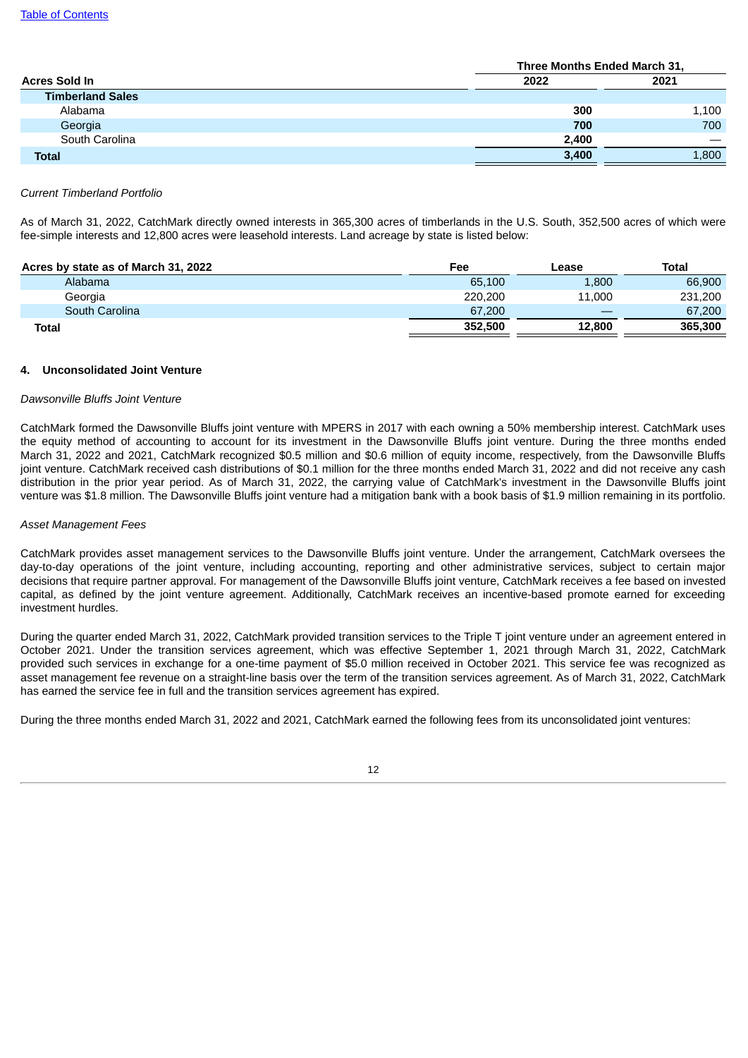|                         |       | Three Months Ended March 31, |  |  |  |
|-------------------------|-------|------------------------------|--|--|--|
| <b>Acres Sold In</b>    | 2022  | 2021                         |  |  |  |
| <b>Timberland Sales</b> |       |                              |  |  |  |
| Alabama                 | 300   | 1,100                        |  |  |  |
| Georgia                 | 700   | 700                          |  |  |  |
| South Carolina          | 2,400 | _                            |  |  |  |
| <b>Total</b>            | 3,400 | 1,800                        |  |  |  |

# *Current Timberland Portfolio*

As of March 31, 2022, CatchMark directly owned interests in 365,300 acres of timberlands in the U.S. South, 352,500 acres of which were fee-simple interests and 12,800 acres were leasehold interests. Land acreage by state is listed below:

| Acres by state as of March 31, 2022 | Fee     | Lease  | <b>Total</b> |
|-------------------------------------|---------|--------|--------------|
| Alabama                             | 65,100  | 1,800  | 66,900       |
| Georgia                             | 220,200 | 11,000 | 231,200      |
| South Carolina                      | 67.200  |        | 67.200       |
| <b>Total</b>                        | 352,500 | 12.800 | 365,300      |
|                                     |         |        |              |

#### **4. Unconsolidated Joint Venture**

#### *Dawsonville Bluffs Joint Venture*

CatchMark formed the Dawsonville Bluffs joint venture with MPERS in 2017 with each owning a 50% membership interest. CatchMark uses the equity method of accounting to account for its investment in the Dawsonville Bluffs joint venture. During the three months ended March 31, 2022 and 2021, CatchMark recognized \$0.5 million and \$0.6 million of equity income, respectively, from the Dawsonville Bluffs joint venture. CatchMark received cash distributions of \$0.1 million for the three months ended March 31, 2022 and did not receive any cash distribution in the prior year period. As of March 31, 2022, the carrying value of CatchMark's investment in the Dawsonville Bluffs joint venture was \$1.8 million. The Dawsonville Bluffs joint venture had a mitigation bank with a book basis of \$1.9 million remaining in its portfolio.

#### *Asset Management Fees*

CatchMark provides asset management services to the Dawsonville Bluffs joint venture. Under the arrangement, CatchMark oversees the day-to-day operations of the joint venture, including accounting, reporting and other administrative services, subject to certain major decisions that require partner approval. For management of the Dawsonville Bluffs joint venture, CatchMark receives a fee based on invested capital, as defined by the joint venture agreement. Additionally, CatchMark receives an incentive-based promote earned for exceeding investment hurdles.

During the quarter ended March 31, 2022, CatchMark provided transition services to the Triple T joint venture under an agreement entered in October 2021. Under the transition services agreement, which was effective September 1, 2021 through March 31, 2022, CatchMark provided such services in exchange for a one-time payment of \$5.0 million received in October 2021. This service fee was recognized as asset management fee revenue on a straight-line basis over the term of the transition services agreement. As of March 31, 2022, CatchMark has earned the service fee in full and the transition services agreement has expired.

During the three months ended March 31, 2022 and 2021, CatchMark earned the following fees from its unconsolidated joint ventures:

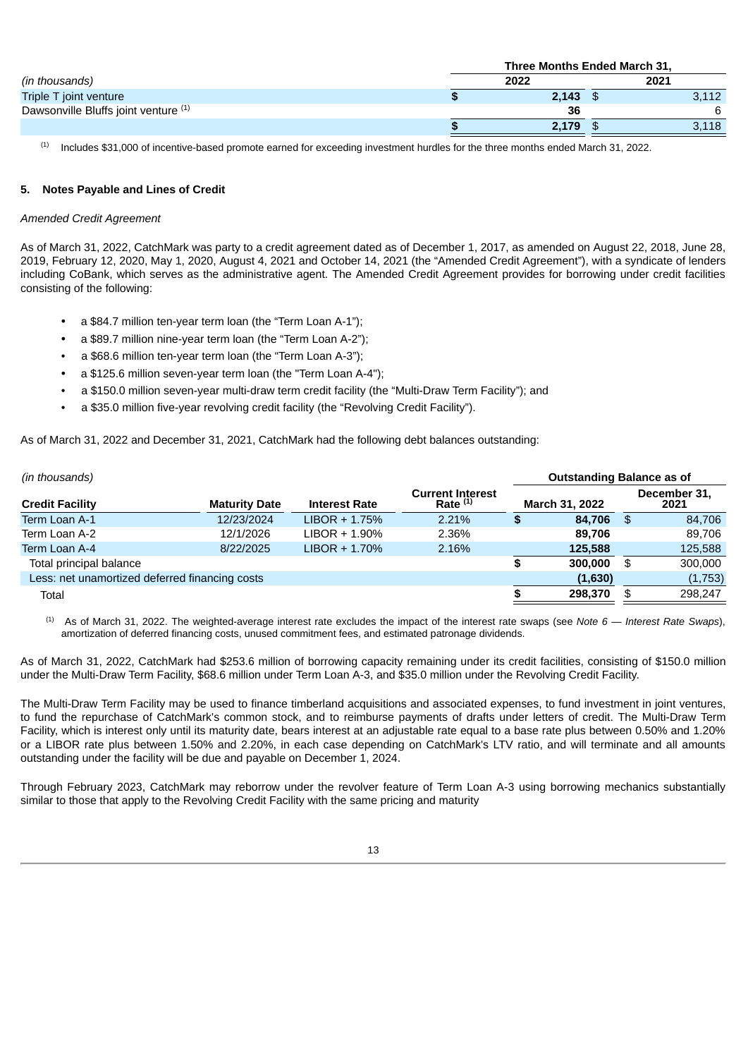|                                      | Three Months Ended March 31, |       |  |      |       |
|--------------------------------------|------------------------------|-------|--|------|-------|
| (in thousands)                       | 2022                         |       |  | 2021 |       |
| Triple T joint venture               |                              | 2,143 |  |      | 3,112 |
| Dawsonville Bluffs joint venture (1) |                              | 36    |  |      |       |
|                                      |                              | 2.179 |  |      | 3,118 |

Includes \$31,000 of incentive-based promote earned for exceeding investment hurdles for the three months ended March 31, 2022. (1)

#### **5. Notes Payable and Lines of Credit**

#### *Amended Credit Agreement*

As of March 31, 2022, CatchMark was party to a credit agreement dated as of December 1, 2017, as amended on August 22, 2018, June 28, 2019, February 12, 2020, May 1, 2020, August 4, 2021 and October 14, 2021 (the "Amended Credit Agreement"), with a syndicate of lenders including CoBank, which serves as the administrative agent. The Amended Credit Agreement provides for borrowing under credit facilities consisting of the following:

- a \$84.7 million ten-year term loan (the "Term Loan A-1");
- a \$89.7 million nine-year term loan (the "Term Loan A-2");
- a \$68.6 million ten-year term loan (the "Term Loan A-3");
- a \$125.6 million seven-year term loan (the "Term Loan A-4");
- a \$150.0 million seven-year multi-draw term credit facility (the "Multi-Draw Term Facility"); and
- a \$35.0 million five-year revolving credit facility (the "Revolving Credit Facility").

As of March 31, 2022 and December 31, 2021, CatchMark had the following debt balances outstanding:

| (in thousands)                                 |                      |                      |                                       | <b>Outstanding Balance as of</b> |    |                      |
|------------------------------------------------|----------------------|----------------------|---------------------------------------|----------------------------------|----|----------------------|
| <b>Credit Facility</b>                         | <b>Maturity Date</b> | <b>Interest Rate</b> | <b>Current Interest</b><br>Rate $(1)$ | March 31, 2022                   |    | December 31,<br>2021 |
| Term Loan A-1                                  | 12/23/2024           | $LIBOR + 1.75%$      | 2.21%                                 | \$<br>84,706                     | \$ | 84,706               |
| Term Loan A-2                                  | 12/1/2026            | $LIBOR + 1.90\%$     | 2.36%                                 | 89.706                           |    | 89.706               |
| Term Loan A-4                                  | 8/22/2025            | $LIBOR + 1.70%$      | 2.16%                                 | 125,588                          |    | 125,588              |
| Total principal balance                        |                      |                      |                                       | 300,000                          | \$ | 300,000              |
| Less: net unamortized deferred financing costs |                      |                      |                                       | (1,630)                          |    | (1,753)              |
| Total                                          |                      |                      |                                       | 298,370                          | £. | 298.247              |

As of March 31, 2022. The weighted-average interest rate excludes the impact of the interest rate swaps (see *Note 6 — Interest Rate Swaps*), amortization of deferred financing costs, unused commitment fees, and estimated patronage dividends. (1)

As of March 31, 2022, CatchMark had \$253.6 million of borrowing capacity remaining under its credit facilities, consisting of \$150.0 million under the Multi-Draw Term Facility, \$68.6 million under Term Loan A-3, and \$35.0 million under the Revolving Credit Facility.

The Multi-Draw Term Facility may be used to finance timberland acquisitions and associated expenses, to fund investment in joint ventures, to fund the repurchase of CatchMark's common stock, and to reimburse payments of drafts under letters of credit. The Multi-Draw Term Facility, which is interest only until its maturity date, bears interest at an adjustable rate equal to a base rate plus between 0.50% and 1.20% or a LIBOR rate plus between 1.50% and 2.20%, in each case depending on CatchMark's LTV ratio, and will terminate and all amounts outstanding under the facility will be due and payable on December 1, 2024.

Through February 2023, CatchMark may reborrow under the revolver feature of Term Loan A-3 using borrowing mechanics substantially similar to those that apply to the Revolving Credit Facility with the same pricing and maturity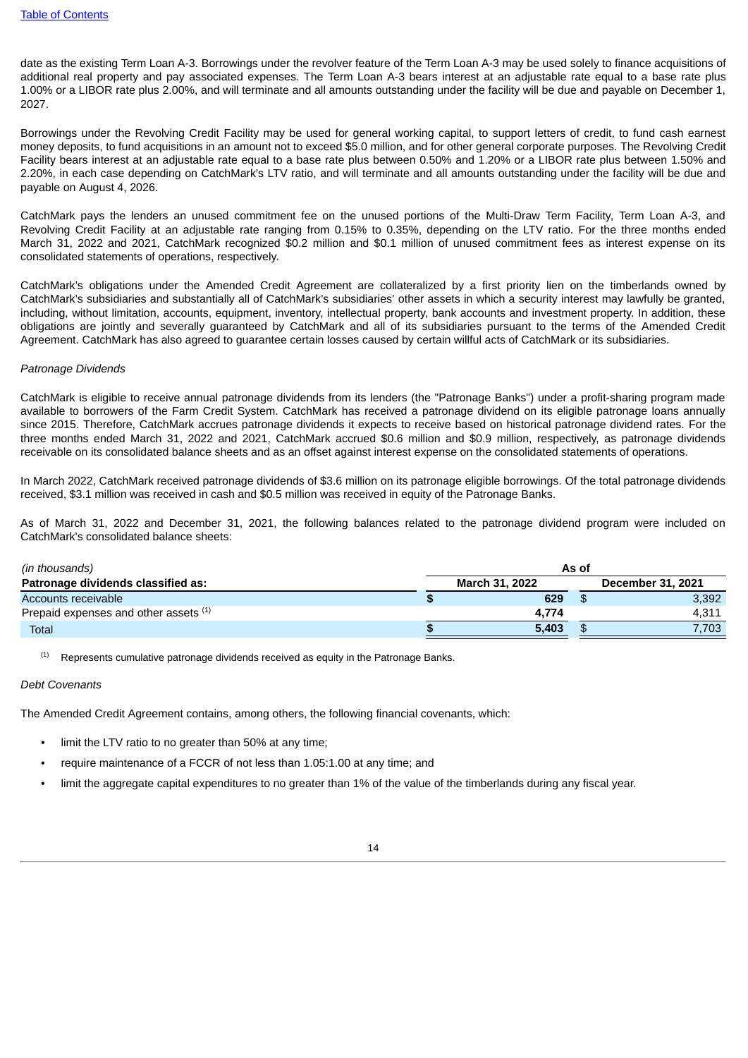date as the existing Term Loan A-3. Borrowings under the revolver feature of the Term Loan A-3 may be used solely to finance acquisitions of additional real property and pay associated expenses. The Term Loan A-3 bears interest at an adjustable rate equal to a base rate plus 1.00% or a LIBOR rate plus 2.00%, and will terminate and all amounts outstanding under the facility will be due and payable on December 1, 2027.

Borrowings under the Revolving Credit Facility may be used for general working capital, to support letters of credit, to fund cash earnest money deposits, to fund acquisitions in an amount not to exceed \$5.0 million, and for other general corporate purposes. The Revolving Credit Facility bears interest at an adjustable rate equal to a base rate plus between 0.50% and 1.20% or a LIBOR rate plus between 1.50% and 2.20%, in each case depending on CatchMark's LTV ratio, and will terminate and all amounts outstanding under the facility will be due and payable on August 4, 2026.

CatchMark pays the lenders an unused commitment fee on the unused portions of the Multi-Draw Term Facility, Term Loan A-3, and Revolving Credit Facility at an adjustable rate ranging from 0.15% to 0.35%, depending on the LTV ratio. For the three months ended March 31, 2022 and 2021, CatchMark recognized \$0.2 million and \$0.1 million of unused commitment fees as interest expense on its consolidated statements of operations, respectively.

CatchMark's obligations under the Amended Credit Agreement are collateralized by a first priority lien on the timberlands owned by CatchMark's subsidiaries and substantially all of CatchMark's subsidiaries' other assets in which a security interest may lawfully be granted, including, without limitation, accounts, equipment, inventory, intellectual property, bank accounts and investment property. In addition, these obligations are jointly and severally guaranteed by CatchMark and all of its subsidiaries pursuant to the terms of the Amended Credit Agreement. CatchMark has also agreed to guarantee certain losses caused by certain willful acts of CatchMark or its subsidiaries.

#### *Patronage Dividends*

CatchMark is eligible to receive annual patronage dividends from its lenders (the "Patronage Banks") under a profit-sharing program made available to borrowers of the Farm Credit System. CatchMark has received a patronage dividend on its eligible patronage loans annually since 2015. Therefore, CatchMark accrues patronage dividends it expects to receive based on historical patronage dividend rates. For the three months ended March 31, 2022 and 2021, CatchMark accrued \$0.6 million and \$0.9 million, respectively, as patronage dividends receivable on its consolidated balance sheets and as an offset against interest expense on the consolidated statements of operations.

In March 2022, CatchMark received patronage dividends of \$3.6 million on its patronage eligible borrowings. Of the total patronage dividends received, \$3.1 million was received in cash and \$0.5 million was received in equity of the Patronage Banks.

As of March 31, 2022 and December 31, 2021, the following balances related to the patronage dividend program were included on CatchMark's consolidated balance sheets:

| (in thousands)                        | As of |                       |  |                   |
|---------------------------------------|-------|-----------------------|--|-------------------|
| Patronage dividends classified as:    |       | <b>March 31, 2022</b> |  | December 31, 2021 |
| Accounts receivable                   |       | 629                   |  | 3.392             |
| Prepaid expenses and other assets (1) |       | 4.774                 |  | 4.311             |
| <b>Total</b>                          |       | 5.403                 |  | 7,703             |

Represents cumulative patronage dividends received as equity in the Patronage Banks. (1)

#### *Debt Covenants*

The Amended Credit Agreement contains, among others, the following financial covenants, which:

- limit the LTV ratio to no greater than 50% at any time;
- require maintenance of a FCCR of not less than 1.05:1.00 at any time; and
- limit the aggregate capital expenditures to no greater than 1% of the value of the timberlands during any fiscal year.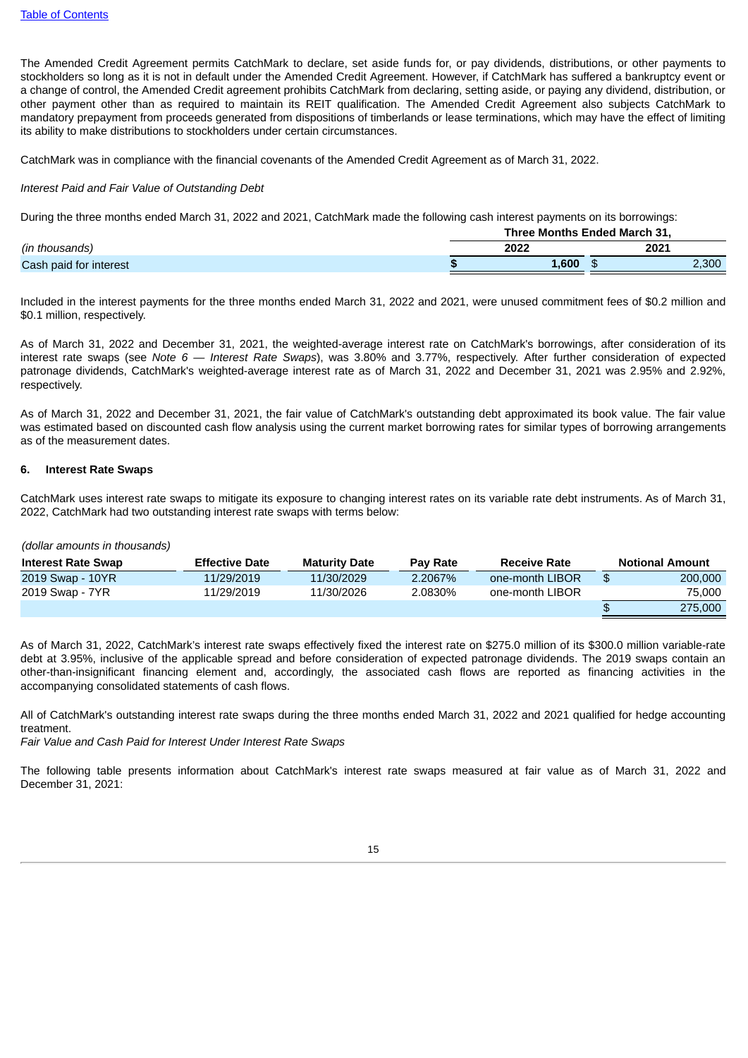The Amended Credit Agreement permits CatchMark to declare, set aside funds for, or pay dividends, distributions, or other payments to stockholders so long as it is not in default under the Amended Credit Agreement. However, if CatchMark has suffered a bankruptcy event or a change of control, the Amended Credit agreement prohibits CatchMark from declaring, setting aside, or paying any dividend, distribution, or other payment other than as required to maintain its REIT qualification. The Amended Credit Agreement also subjects CatchMark to mandatory prepayment from proceeds generated from dispositions of timberlands or lease terminations, which may have the effect of limiting its ability to make distributions to stockholders under certain circumstances.

CatchMark was in compliance with the financial covenants of the Amended Credit Agreement as of March 31, 2022.

#### *Interest Paid and Fair Value of Outstanding Debt*

During the three months ended March 31, 2022 and 2021, CatchMark made the following cash interest payments on its borrowings:

|                        | Three Months Ended March 31, |       |  |
|------------------------|------------------------------|-------|--|
| (in thousands)         | 2022                         | 2021  |  |
| Cash paid for interest | 1.600                        | 2,300 |  |

Included in the interest payments for the three months ended March 31, 2022 and 2021, were unused commitment fees of \$0.2 million and \$0.1 million, respectively.

As of March 31, 2022 and December 31, 2021, the weighted-average interest rate on CatchMark's borrowings, after consideration of its interest rate swaps (see *Note 6 — Interest Rate Swaps*), was 3.80% and 3.77%, respectively. After further consideration of expected patronage dividends, CatchMark's weighted-average interest rate as of March 31, 2022 and December 31, 2021 was 2.95% and 2.92%, respectively.

As of March 31, 2022 and December 31, 2021, the fair value of CatchMark's outstanding debt approximated its book value. The fair value was estimated based on discounted cash flow analysis using the current market borrowing rates for similar types of borrowing arrangements as of the measurement dates.

#### **6. Interest Rate Swaps**

CatchMark uses interest rate swaps to mitigate its exposure to changing interest rates on its variable rate debt instruments. As of March 31, 2022, CatchMark had two outstanding interest rate swaps with terms below:

*(dollar amounts in thousands)*

| <b>Interest Rate Swap</b> | <b>Effective Date</b> | <b>Maturity Date</b> | <b>Pay Rate</b> | <b>Receive Rate</b> | <b>Notional Amount</b> |
|---------------------------|-----------------------|----------------------|-----------------|---------------------|------------------------|
| 2019 Swap - 10YR          | 11/29/2019            | 11/30/2029           | 2.2067%         | one-month LIBOR     | 200,000                |
| 2019 Swap - 7YR           | 11/29/2019            | 11/30/2026           | 2.0830%         | one-month LIBOR     | 75.000                 |
|                           |                       |                      |                 |                     | \$<br>275,000          |

As of March 31, 2022, CatchMark's interest rate swaps effectively fixed the interest rate on \$275.0 million of its \$300.0 million variable-rate debt at 3.95%, inclusive of the applicable spread and before consideration of expected patronage dividends. The 2019 swaps contain an other-than-insignificant financing element and, accordingly, the associated cash flows are reported as financing activities in the accompanying consolidated statements of cash flows.

All of CatchMark's outstanding interest rate swaps during the three months ended March 31, 2022 and 2021 qualified for hedge accounting treatment.

*Fair Value and Cash Paid for Interest Under Interest Rate Swaps*

The following table presents information about CatchMark's interest rate swaps measured at fair value as of March 31, 2022 and December 31, 2021: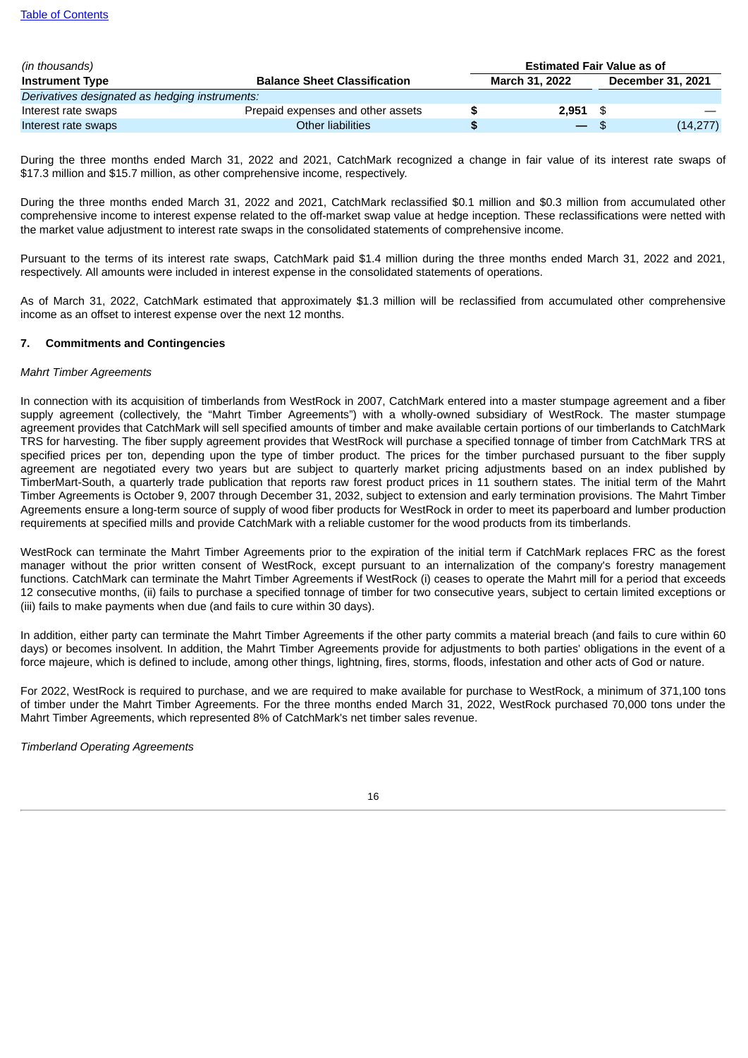| (in thousands)                                 |                                     |    |                       |  | <b>Estimated Fair Value as of</b> |  |  |
|------------------------------------------------|-------------------------------------|----|-----------------------|--|-----------------------------------|--|--|
| <b>Instrument Type</b>                         | <b>Balance Sheet Classification</b> |    | <b>March 31, 2022</b> |  | <b>December 31, 2021</b>          |  |  |
| Derivatives designated as hedging instruments: |                                     |    |                       |  |                                   |  |  |
| Interest rate swaps                            | Prepaid expenses and other assets   | S  | $2,951$ \$            |  |                                   |  |  |
| Interest rate swaps                            | Other liabilities                   | \$ | $-$ \$                |  | (14, 277)                         |  |  |

During the three months ended March 31, 2022 and 2021, CatchMark recognized a change in fair value of its interest rate swaps of \$17.3 million and \$15.7 million, as other comprehensive income, respectively.

During the three months ended March 31, 2022 and 2021, CatchMark reclassified \$0.1 million and \$0.3 million from accumulated other comprehensive income to interest expense related to the off-market swap value at hedge inception. These reclassifications were netted with the market value adjustment to interest rate swaps in the consolidated statements of comprehensive income.

Pursuant to the terms of its interest rate swaps, CatchMark paid \$1.4 million during the three months ended March 31, 2022 and 2021, respectively. All amounts were included in interest expense in the consolidated statements of operations.

As of March 31, 2022, CatchMark estimated that approximately \$1.3 million will be reclassified from accumulated other comprehensive income as an offset to interest expense over the next 12 months.

# **7. Commitments and Contingencies**

#### *Mahrt Timber Agreements*

In connection with its acquisition of timberlands from WestRock in 2007, CatchMark entered into a master stumpage agreement and a fiber supply agreement (collectively, the "Mahrt Timber Agreements") with a wholly-owned subsidiary of WestRock. The master stumpage agreement provides that CatchMark will sell specified amounts of timber and make available certain portions of our timberlands to CatchMark TRS for harvesting. The fiber supply agreement provides that WestRock will purchase a specified tonnage of timber from CatchMark TRS at specified prices per ton, depending upon the type of timber product. The prices for the timber purchased pursuant to the fiber supply agreement are negotiated every two years but are subject to quarterly market pricing adjustments based on an index published by TimberMart-South, a quarterly trade publication that reports raw forest product prices in 11 southern states. The initial term of the Mahrt Timber Agreements is October 9, 2007 through December 31, 2032, subject to extension and early termination provisions. The Mahrt Timber Agreements ensure a long-term source of supply of wood fiber products for WestRock in order to meet its paperboard and lumber production requirements at specified mills and provide CatchMark with a reliable customer for the wood products from its timberlands.

WestRock can terminate the Mahrt Timber Agreements prior to the expiration of the initial term if CatchMark replaces FRC as the forest manager without the prior written consent of WestRock, except pursuant to an internalization of the company's forestry management functions. CatchMark can terminate the Mahrt Timber Agreements if WestRock (i) ceases to operate the Mahrt mill for a period that exceeds 12 consecutive months, (ii) fails to purchase a specified tonnage of timber for two consecutive years, subject to certain limited exceptions or (iii) fails to make payments when due (and fails to cure within 30 days).

In addition, either party can terminate the Mahrt Timber Agreements if the other party commits a material breach (and fails to cure within 60 days) or becomes insolvent. In addition, the Mahrt Timber Agreements provide for adjustments to both parties' obligations in the event of a force majeure, which is defined to include, among other things, lightning, fires, storms, floods, infestation and other acts of God or nature.

For 2022, WestRock is required to purchase, and we are required to make available for purchase to WestRock, a minimum of 371,100 tons of timber under the Mahrt Timber Agreements. For the three months ended March 31, 2022, WestRock purchased 70,000 tons under the Mahrt Timber Agreements, which represented 8% of CatchMark's net timber sales revenue.

*Timberland Operating Agreements*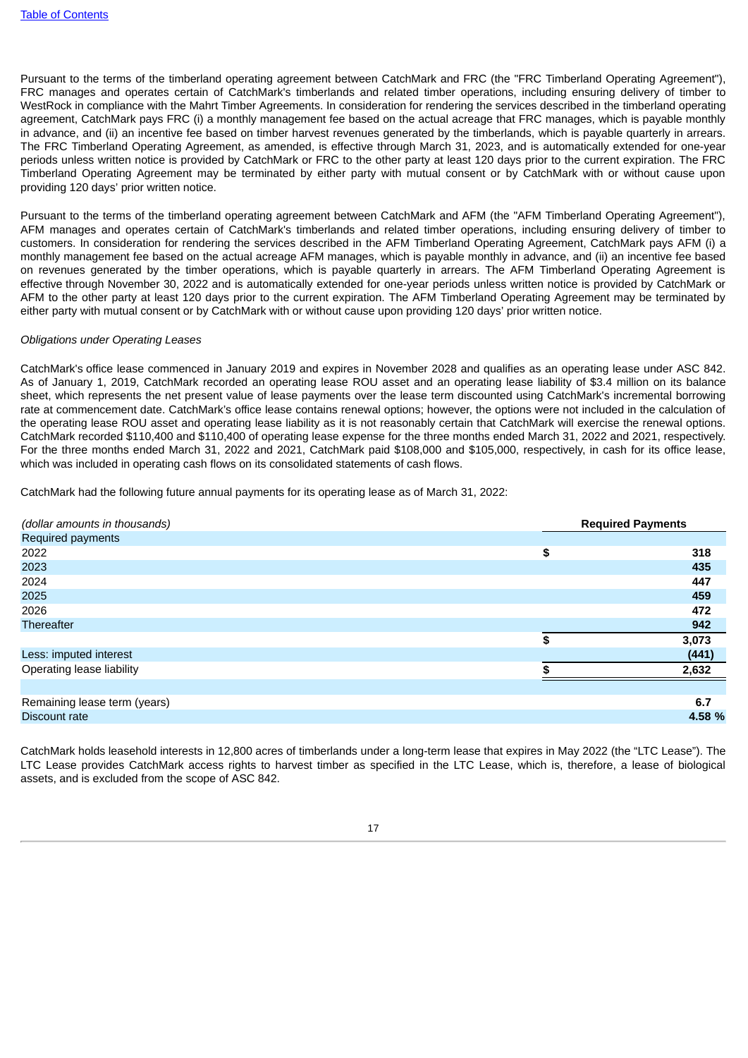Pursuant to the terms of the timberland operating agreement between CatchMark and FRC (the "FRC Timberland Operating Agreement"), FRC manages and operates certain of CatchMark's timberlands and related timber operations, including ensuring delivery of timber to WestRock in compliance with the Mahrt Timber Agreements. In consideration for rendering the services described in the timberland operating agreement, CatchMark pays FRC (i) a monthly management fee based on the actual acreage that FRC manages, which is payable monthly in advance, and (ii) an incentive fee based on timber harvest revenues generated by the timberlands, which is payable quarterly in arrears. The FRC Timberland Operating Agreement, as amended, is effective through March 31, 2023, and is automatically extended for one-year periods unless written notice is provided by CatchMark or FRC to the other party at least 120 days prior to the current expiration. The FRC Timberland Operating Agreement may be terminated by either party with mutual consent or by CatchMark with or without cause upon providing 120 days' prior written notice.

Pursuant to the terms of the timberland operating agreement between CatchMark and AFM (the "AFM Timberland Operating Agreement"), AFM manages and operates certain of CatchMark's timberlands and related timber operations, including ensuring delivery of timber to customers. In consideration for rendering the services described in the AFM Timberland Operating Agreement, CatchMark pays AFM (i) a monthly management fee based on the actual acreage AFM manages, which is payable monthly in advance, and (ii) an incentive fee based on revenues generated by the timber operations, which is payable quarterly in arrears. The AFM Timberland Operating Agreement is effective through November 30, 2022 and is automatically extended for one-year periods unless written notice is provided by CatchMark or AFM to the other party at least 120 days prior to the current expiration. The AFM Timberland Operating Agreement may be terminated by either party with mutual consent or by CatchMark with or without cause upon providing 120 days' prior written notice.

#### *Obligations under Operating Leases*

CatchMark's office lease commenced in January 2019 and expires in November 2028 and qualifies as an operating lease under ASC 842. As of January 1, 2019, CatchMark recorded an operating lease ROU asset and an operating lease liability of \$3.4 million on its balance sheet, which represents the net present value of lease payments over the lease term discounted using CatchMark's incremental borrowing rate at commencement date. CatchMark's office lease contains renewal options; however, the options were not included in the calculation of the operating lease ROU asset and operating lease liability as it is not reasonably certain that CatchMark will exercise the renewal options. CatchMark recorded \$110,400 and \$110,400 of operating lease expense for the three months ended March 31, 2022 and 2021, respectively. For the three months ended March 31, 2022 and 2021, CatchMark paid \$108,000 and \$105,000, respectively, in cash for its office lease, which was included in operating cash flows on its consolidated statements of cash flows.

CatchMark had the following future annual payments for its operating lease as of March 31, 2022:

| (dollar amounts in thousands) | <b>Required Payments</b> |  |
|-------------------------------|--------------------------|--|
| Required payments             |                          |  |
| 2022                          | \$<br>318                |  |
| 2023                          | 435                      |  |
| 2024                          | 447                      |  |
| 2025                          | 459                      |  |
| 2026                          | 472                      |  |
| Thereafter                    | 942                      |  |
|                               | \$<br>3,073              |  |
| Less: imputed interest        | (441)                    |  |
| Operating lease liability     | 2,632                    |  |
|                               |                          |  |
| Remaining lease term (years)  | 6.7                      |  |
| Discount rate                 | 4.58 %                   |  |
|                               |                          |  |

CatchMark holds leasehold interests in 12,800 acres of timberlands under a long-term lease that expires in May 2022 (the "LTC Lease"). The LTC Lease provides CatchMark access rights to harvest timber as specified in the LTC Lease, which is, therefore, a lease of biological assets, and is excluded from the scope of ASC 842.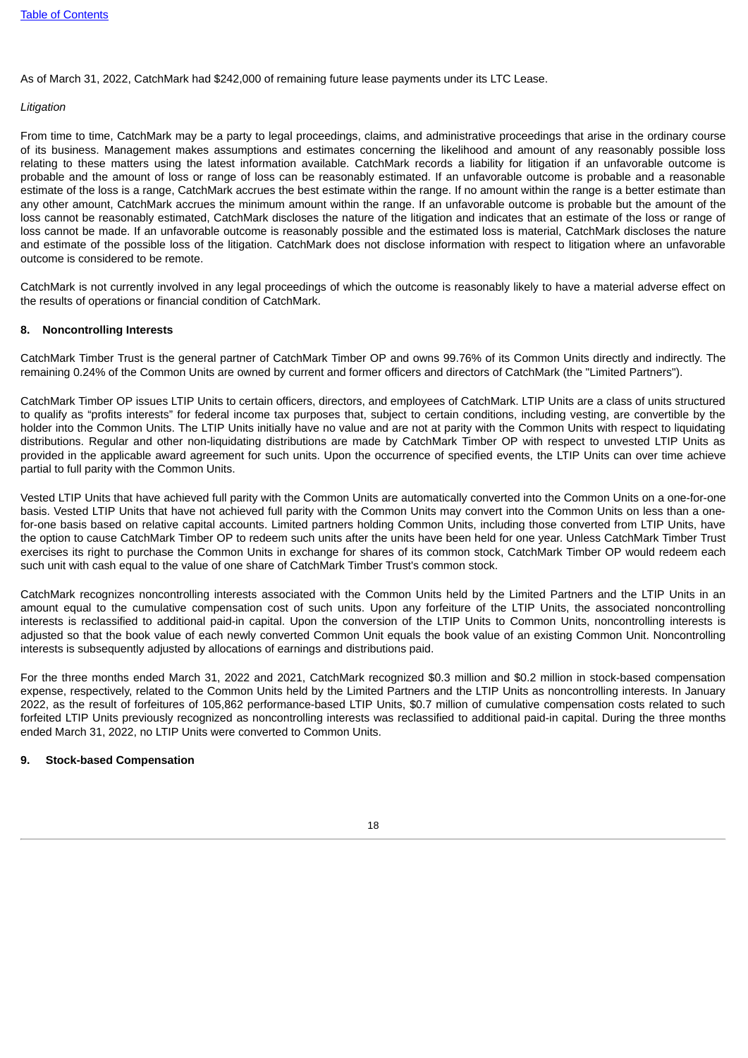As of March 31, 2022, CatchMark had \$242,000 of remaining future lease payments under its LTC Lease.

#### *Litigation*

From time to time, CatchMark may be a party to legal proceedings, claims, and administrative proceedings that arise in the ordinary course of its business. Management makes assumptions and estimates concerning the likelihood and amount of any reasonably possible loss relating to these matters using the latest information available. CatchMark records a liability for litigation if an unfavorable outcome is probable and the amount of loss or range of loss can be reasonably estimated. If an unfavorable outcome is probable and a reasonable estimate of the loss is a range, CatchMark accrues the best estimate within the range. If no amount within the range is a better estimate than any other amount, CatchMark accrues the minimum amount within the range. If an unfavorable outcome is probable but the amount of the loss cannot be reasonably estimated, CatchMark discloses the nature of the litigation and indicates that an estimate of the loss or range of loss cannot be made. If an unfavorable outcome is reasonably possible and the estimated loss is material, CatchMark discloses the nature and estimate of the possible loss of the litigation. CatchMark does not disclose information with respect to litigation where an unfavorable outcome is considered to be remote.

CatchMark is not currently involved in any legal proceedings of which the outcome is reasonably likely to have a material adverse effect on the results of operations or financial condition of CatchMark.

#### **8. Noncontrolling Interests**

CatchMark Timber Trust is the general partner of CatchMark Timber OP and owns 99.76% of its Common Units directly and indirectly. The remaining 0.24% of the Common Units are owned by current and former officers and directors of CatchMark (the "Limited Partners").

CatchMark Timber OP issues LTIP Units to certain officers, directors, and employees of CatchMark. LTIP Units are a class of units structured to qualify as "profits interests" for federal income tax purposes that, subject to certain conditions, including vesting, are convertible by the holder into the Common Units. The LTIP Units initially have no value and are not at parity with the Common Units with respect to liquidating distributions. Regular and other non-liquidating distributions are made by CatchMark Timber OP with respect to unvested LTIP Units as provided in the applicable award agreement for such units. Upon the occurrence of specified events, the LTIP Units can over time achieve partial to full parity with the Common Units.

Vested LTIP Units that have achieved full parity with the Common Units are automatically converted into the Common Units on a one-for-one basis. Vested LTIP Units that have not achieved full parity with the Common Units may convert into the Common Units on less than a onefor-one basis based on relative capital accounts. Limited partners holding Common Units, including those converted from LTIP Units, have the option to cause CatchMark Timber OP to redeem such units after the units have been held for one year. Unless CatchMark Timber Trust exercises its right to purchase the Common Units in exchange for shares of its common stock, CatchMark Timber OP would redeem each such unit with cash equal to the value of one share of CatchMark Timber Trust's common stock.

CatchMark recognizes noncontrolling interests associated with the Common Units held by the Limited Partners and the LTIP Units in an amount equal to the cumulative compensation cost of such units. Upon any forfeiture of the LTIP Units, the associated noncontrolling interests is reclassified to additional paid-in capital. Upon the conversion of the LTIP Units to Common Units, noncontrolling interests is adjusted so that the book value of each newly converted Common Unit equals the book value of an existing Common Unit. Noncontrolling interests is subsequently adjusted by allocations of earnings and distributions paid.

For the three months ended March 31, 2022 and 2021, CatchMark recognized \$0.3 million and \$0.2 million in stock-based compensation expense, respectively, related to the Common Units held by the Limited Partners and the LTIP Units as noncontrolling interests. In January 2022, as the result of forfeitures of 105,862 performance-based LTIP Units, \$0.7 million of cumulative compensation costs related to such forfeited LTIP Units previously recognized as noncontrolling interests was reclassified to additional paid-in capital. During the three months ended March 31, 2022, no LTIP Units were converted to Common Units.

#### **9. Stock-based Compensation**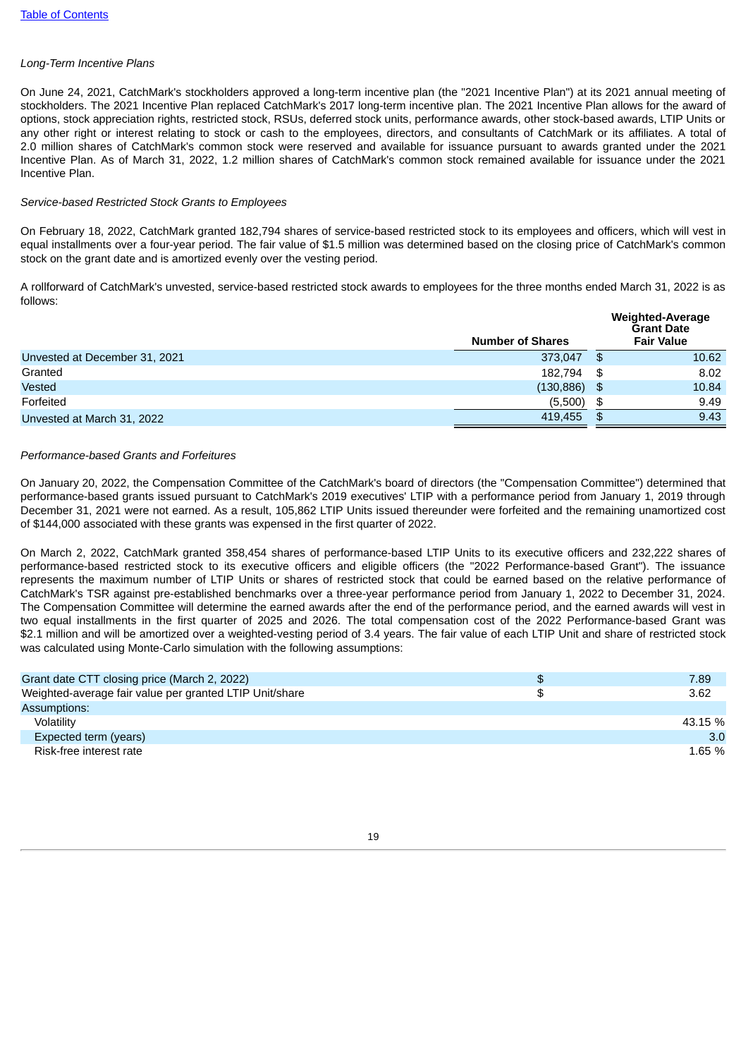### *Long-Term Incentive Plans*

On June 24, 2021, CatchMark's stockholders approved a long-term incentive plan (the "2021 Incentive Plan") at its 2021 annual meeting of stockholders. The 2021 Incentive Plan replaced CatchMark's 2017 long-term incentive plan. The 2021 Incentive Plan allows for the award of options, stock appreciation rights, restricted stock, RSUs, deferred stock units, performance awards, other stock-based awards, LTIP Units or any other right or interest relating to stock or cash to the employees, directors, and consultants of CatchMark or its affiliates. A total of 2.0 million shares of CatchMark's common stock were reserved and available for issuance pursuant to awards granted under the 2021 Incentive Plan. As of March 31, 2022, 1.2 million shares of CatchMark's common stock remained available for issuance under the 2021 Incentive Plan.

# *Service-based Restricted Stock Grants to Employees*

On February 18, 2022, CatchMark granted 182,794 shares of service-based restricted stock to its employees and officers, which will vest in equal installments over a four-year period. The fair value of \$1.5 million was determined based on the closing price of CatchMark's common stock on the grant date and is amortized evenly over the vesting period.

A rollforward of CatchMark's unvested, service-based restricted stock awards to employees for the three months ended March 31, 2022 is as follows:

|                               | <b>Number of Shares</b> |     | <b>Weighted-Average</b><br><b>Grant Date</b><br><b>Fair Value</b> |
|-------------------------------|-------------------------|-----|-------------------------------------------------------------------|
| Unvested at December 31, 2021 | 373,047                 | \$  | 10.62                                                             |
| Granted                       | 182.794                 | \$  | 8.02                                                              |
| Vested                        | (130, 886)              | \$  | 10.84                                                             |
| Forfeited                     | (5,500)                 | \$  | 9.49                                                              |
| Unvested at March 31, 2022    | 419.455                 | \$. | 9.43                                                              |

#### *Performance-based Grants and Forfeitures*

On January 20, 2022, the Compensation Committee of the CatchMark's board of directors (the "Compensation Committee") determined that performance-based grants issued pursuant to CatchMark's 2019 executives' LTIP with a performance period from January 1, 2019 through December 31, 2021 were not earned. As a result, 105,862 LTIP Units issued thereunder were forfeited and the remaining unamortized cost of \$144,000 associated with these grants was expensed in the first quarter of 2022.

On March 2, 2022, CatchMark granted 358,454 shares of performance-based LTIP Units to its executive officers and 232,222 shares of performance-based restricted stock to its executive officers and eligible officers (the "2022 Performance-based Grant"). The issuance represents the maximum number of LTIP Units or shares of restricted stock that could be earned based on the relative performance of CatchMark's TSR against pre-established benchmarks over a three-year performance period from January 1, 2022 to December 31, 2024. The Compensation Committee will determine the earned awards after the end of the performance period, and the earned awards will vest in two equal installments in the first quarter of 2025 and 2026. The total compensation cost of the 2022 Performance-based Grant was \$2.1 million and will be amortized over a weighted-vesting period of 3.4 years. The fair value of each LTIP Unit and share of restricted stock was calculated using Monte-Carlo simulation with the following assumptions:

| Grant date CTT closing price (March 2, 2022)            | -S | 7.89    |
|---------------------------------------------------------|----|---------|
| Weighted-average fair value per granted LTIP Unit/share |    | 3.62    |
| Assumptions:                                            |    |         |
| Volatility                                              |    | 43.15 % |
| Expected term (years)                                   |    | 3.0     |
| Risk-free interest rate                                 |    | 1.65%   |
|                                                         |    |         |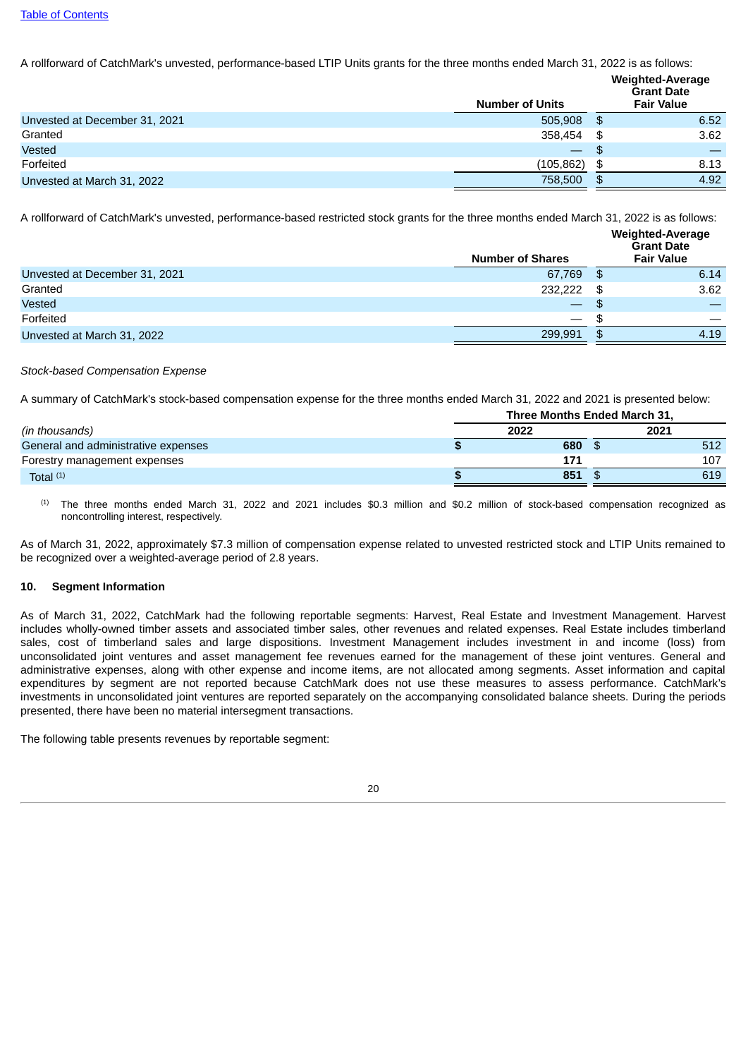A rollforward of CatchMark's unvested, performance-based LTIP Units grants for the three months ended March 31, 2022 is as follows:

| <b>Number of Units</b>   |     | <b>Weighted-Average</b><br><b>Grant Date</b><br><b>Fair Value</b> |
|--------------------------|-----|-------------------------------------------------------------------|
| 505,908                  | \$  | 6.52                                                              |
| 358,454                  | -S  | 3.62                                                              |
| $\overline{\phantom{m}}$ | -\$ |                                                                   |
| (105, 862)               | \$  | 8.13                                                              |
| 758,500                  | \$  | 4.92                                                              |
|                          |     |                                                                   |

A rollforward of CatchMark's unvested, performance-based restricted stock grants for the three months ended March 31, 2022 is as follows:

|                               | <b>Number of Shares</b>  |      | <b>Weighted-Average</b><br><b>Grant Date</b><br><b>Fair Value</b> |
|-------------------------------|--------------------------|------|-------------------------------------------------------------------|
| Unvested at December 31, 2021 | 67,769                   | \$   | 6.14                                                              |
| Granted                       | 232,222                  | -\$  | 3.62                                                              |
| Vested                        | $\overline{\phantom{m}}$ | -\$  |                                                                   |
| Forfeited                     |                          | - SS |                                                                   |
| Unvested at March 31, 2022    | 299,991                  | \$   | 4.19                                                              |

#### *Stock-based Compensation Expense*

A summary of CatchMark's stock-based compensation expense for the three months ended March 31, 2022 and 2021 is presented below:

|                                     | Three Months Ended March 31. |     |  |      |  |  |  |
|-------------------------------------|------------------------------|-----|--|------|--|--|--|
| (in thousands)                      | 2022                         |     |  | 2021 |  |  |  |
| General and administrative expenses |                              | 680 |  | 512  |  |  |  |
| Forestry management expenses        |                              | 171 |  | 107  |  |  |  |
| Total $(1)$                         |                              | 851 |  | 619  |  |  |  |

The three months ended March 31, 2022 and 2021 includes \$0.3 million and \$0.2 million of stock-based compensation recognized as noncontrolling interest, respectively. (1)

As of March 31, 2022, approximately \$7.3 million of compensation expense related to unvested restricted stock and LTIP Units remained to be recognized over a weighted-average period of 2.8 years.

#### **10. Segment Information**

As of March 31, 2022, CatchMark had the following reportable segments: Harvest, Real Estate and Investment Management. Harvest includes wholly-owned timber assets and associated timber sales, other revenues and related expenses. Real Estate includes timberland sales, cost of timberland sales and large dispositions. Investment Management includes investment in and income (loss) from unconsolidated joint ventures and asset management fee revenues earned for the management of these joint ventures. General and administrative expenses, along with other expense and income items, are not allocated among segments. Asset information and capital expenditures by segment are not reported because CatchMark does not use these measures to assess performance. CatchMark's investments in unconsolidated joint ventures are reported separately on the accompanying consolidated balance sheets. During the periods presented, there have been no material intersegment transactions.

The following table presents revenues by reportable segment: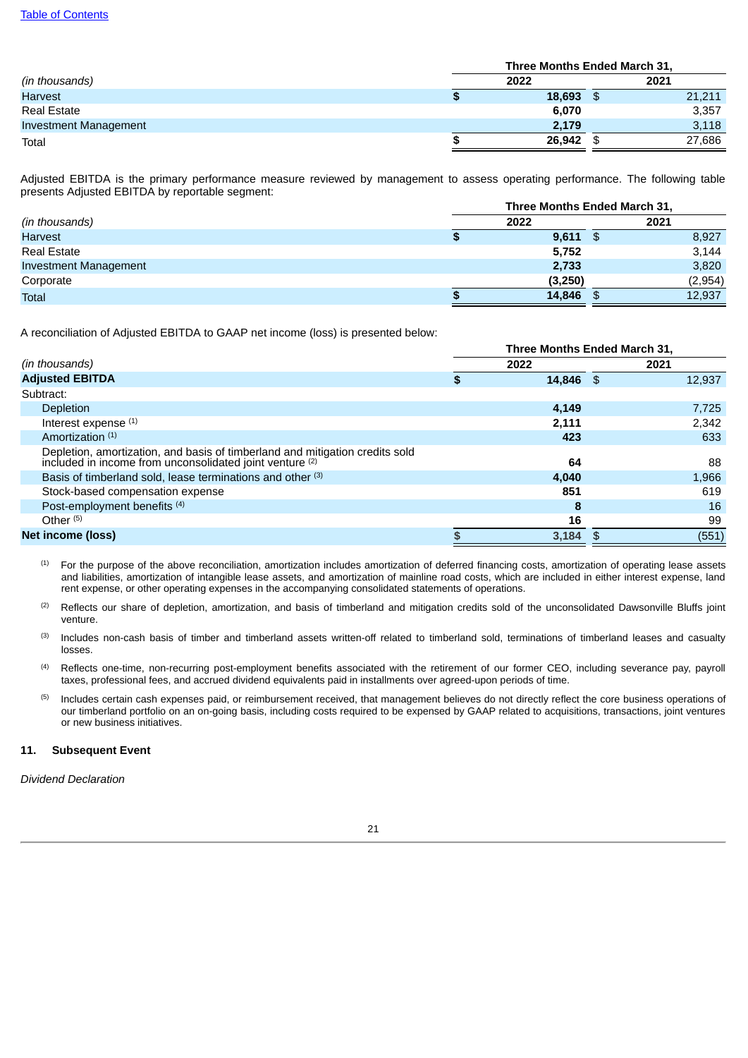|                       | Three Months Ended March 31, |        |      |        |  |  |
|-----------------------|------------------------------|--------|------|--------|--|--|
| (in thousands)        | 2022                         |        | 2021 |        |  |  |
| <b>Harvest</b>        |                              | 18,693 |      | 21,211 |  |  |
| <b>Real Estate</b>    |                              | 6,070  |      | 3,357  |  |  |
| Investment Management |                              | 2.179  |      | 3,118  |  |  |
| Total                 |                              | 26.942 |      | 27,686 |  |  |

Adjusted EBITDA is the primary performance measure reviewed by management to assess operating performance. The following table presents Adjusted EBITDA by reportable segment:

|                              | Three Months Ended March 31, |            |  |         |  |  |
|------------------------------|------------------------------|------------|--|---------|--|--|
| (in thousands)               | 2022                         |            |  | 2021    |  |  |
| <b>Harvest</b>               |                              | $9,611$ \$ |  | 8,927   |  |  |
| <b>Real Estate</b>           |                              | 5,752      |  | 3.144   |  |  |
| <b>Investment Management</b> |                              | 2,733      |  | 3,820   |  |  |
| Corporate                    |                              | (3,250)    |  | (2,954) |  |  |
| <b>Total</b>                 |                              | 14,846     |  | 12,937  |  |  |

A reconciliation of Adjusted EBITDA to GAAP net income (loss) is presented below:

|                                                                                                                                                  |   | <b>Three Months Ended March 31.</b> |  |        |
|--------------------------------------------------------------------------------------------------------------------------------------------------|---|-------------------------------------|--|--------|
| (in thousands)                                                                                                                                   |   | 2022                                |  | 2021   |
| <b>Adjusted EBITDA</b>                                                                                                                           | S | 14,846 \$                           |  | 12,937 |
| Subtract:                                                                                                                                        |   |                                     |  |        |
| <b>Depletion</b>                                                                                                                                 |   | 4,149                               |  | 7.725  |
| Interest expense (1)                                                                                                                             |   | 2,111                               |  | 2,342  |
| Amortization (1)                                                                                                                                 |   | 423                                 |  | 633    |
| Depletion, amortization, and basis of timberland and mitigation credits sold included in income from unconsolidated joint venture <sup>(2)</sup> |   | 64                                  |  | 88     |
| Basis of timberland sold, lease terminations and other (3)                                                                                       |   | 4,040                               |  | 1,966  |
| Stock-based compensation expense                                                                                                                 |   | 851                                 |  | 619    |
| Post-employment benefits (4)                                                                                                                     |   | 8                                   |  | 16     |
| Other $(5)$                                                                                                                                      |   | 16                                  |  | 99     |
| Net income (loss)                                                                                                                                |   | $3,184$ \$                          |  | (551)  |

- For the purpose of the above reconciliation, amortization includes amortization of deferred financing costs, amortization of operating lease assets and liabilities, amortization of intangible lease assets, and amortization of mainline road costs, which are included in either interest expense, land rent expense, or other operating expenses in the accompanying consolidated statements of operations. (1)
- Reflects our share of depletion, amortization, and basis of timberland and mitigation credits sold of the unconsolidated Dawsonville Bluffs joint venture. (2)
- Includes non-cash basis of timber and timberland assets written-off related to timberland sold, terminations of timberland leases and casualty losses. (3)
- Reflects one-time, non-recurring post-employment benefits associated with the retirement of our former CEO, including severance pay, payroll taxes, professional fees, and accrued dividend equivalents paid in installments over agreed-upon periods of time. (4)
- Includes certain cash expenses paid, or reimbursement received, that management believes do not directly reflect the core business operations of our timberland portfolio on an on-going basis, including costs required to be expensed by GAAP related to acquisitions, transactions, joint ventures or new business initiatives. (5)

# **11. Subsequent Event**

*Dividend Declaration*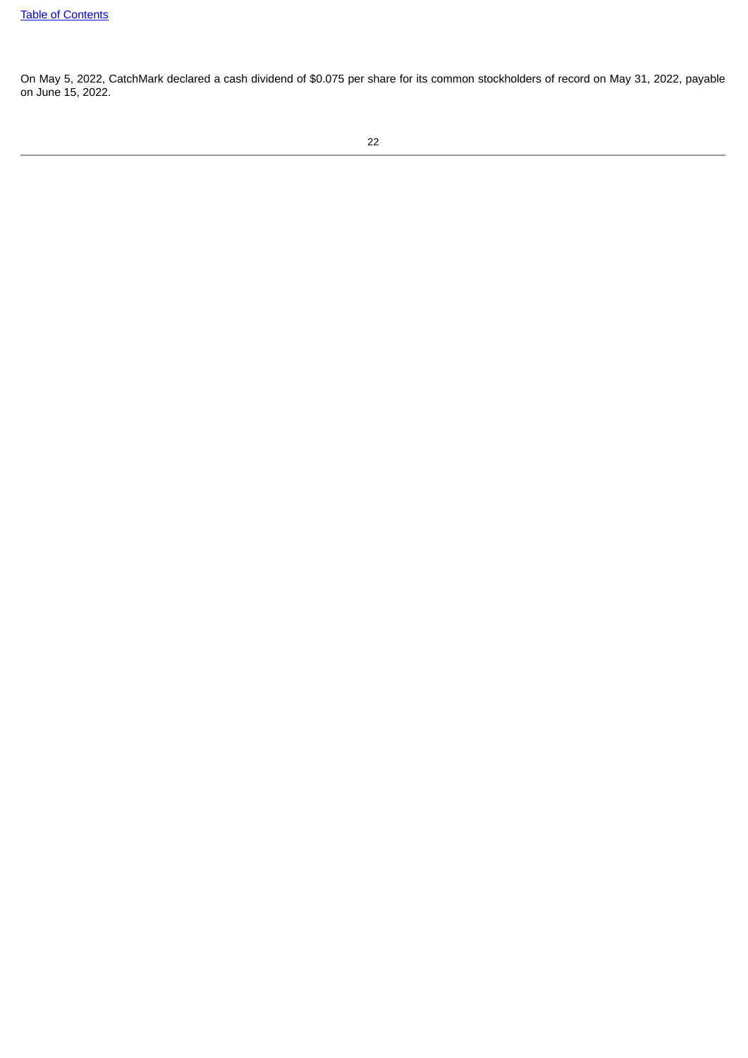<span id="page-22-0"></span>On May 5, 2022, CatchMark declared a cash dividend of \$0.075 per share for its common stockholders of record on May 31, 2022, payable on June 15, 2022.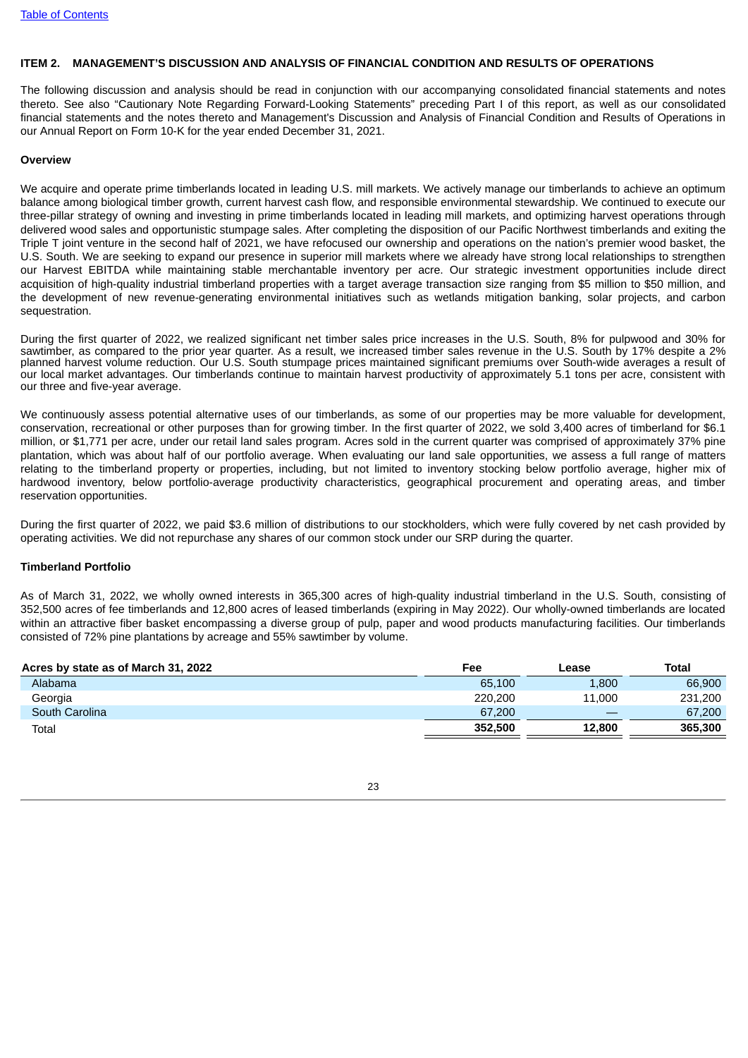#### **ITEM 2. MANAGEMENT'S DISCUSSION AND ANALYSIS OF FINANCIAL CONDITION AND RESULTS OF OPERATIONS**

The following discussion and analysis should be read in conjunction with our accompanying consolidated financial statements and notes thereto. See also "Cautionary Note Regarding Forward-Looking Statements" preceding Part I of this report, as well as our consolidated financial statements and the notes thereto and Management's Discussion and Analysis of Financial Condition and Results of Operations in our Annual Report on Form 10-K for the year ended December 31, 2021.

#### **Overview**

We acquire and operate prime timberlands located in leading U.S. mill markets. We actively manage our timberlands to achieve an optimum balance among biological timber growth, current harvest cash flow, and responsible environmental stewardship. We continued to execute our three-pillar strategy of owning and investing in prime timberlands located in leading mill markets, and optimizing harvest operations through delivered wood sales and opportunistic stumpage sales. After completing the disposition of our Pacific Northwest timberlands and exiting the Triple T joint venture in the second half of 2021, we have refocused our ownership and operations on the nation's premier wood basket, the U.S. South. We are seeking to expand our presence in superior mill markets where we already have strong local relationships to strengthen our Harvest EBITDA while maintaining stable merchantable inventory per acre. Our strategic investment opportunities include direct acquisition of high-quality industrial timberland properties with a target average transaction size ranging from \$5 million to \$50 million, and the development of new revenue-generating environmental initiatives such as wetlands mitigation banking, solar projects, and carbon sequestration.

During the first quarter of 2022, we realized significant net timber sales price increases in the U.S. South, 8% for pulpwood and 30% for sawtimber, as compared to the prior year quarter. As a result, we increased timber sales revenue in the U.S. South by 17% despite a 2% planned harvest volume reduction. Our U.S. South stumpage prices maintained significant premiums over South-wide averages a result of our local market advantages. Our timberlands continue to maintain harvest productivity of approximately 5.1 tons per acre, consistent with our three and five-year average.

We continuously assess potential alternative uses of our timberlands, as some of our properties may be more valuable for development, conservation, recreational or other purposes than for growing timber. In the first quarter of 2022, we sold 3,400 acres of timberland for \$6.1 million, or \$1,771 per acre, under our retail land sales program. Acres sold in the current quarter was comprised of approximately 37% pine plantation, which was about half of our portfolio average. When evaluating our land sale opportunities, we assess a full range of matters relating to the timberland property or properties, including, but not limited to inventory stocking below portfolio average, higher mix of hardwood inventory, below portfolio-average productivity characteristics, geographical procurement and operating areas, and timber reservation opportunities.

During the first quarter of 2022, we paid \$3.6 million of distributions to our stockholders, which were fully covered by net cash provided by operating activities. We did not repurchase any shares of our common stock under our SRP during the quarter.

#### **Timberland Portfolio**

As of March 31, 2022, we wholly owned interests in 365,300 acres of high-quality industrial timberland in the U.S. South, consisting of 352,500 acres of fee timberlands and 12,800 acres of leased timberlands (expiring in May 2022). Our wholly-owned timberlands are located within an attractive fiber basket encompassing a diverse group of pulp, paper and wood products manufacturing facilities. Our timberlands consisted of 72% pine plantations by acreage and 55% sawtimber by volume.

| Acres by state as of March 31, 2022 | Fee     | Lease  | <b>Total</b> |
|-------------------------------------|---------|--------|--------------|
| Alabama                             | 65,100  | 1,800  | 66,900       |
| Georgia                             | 220,200 | 11.000 | 231,200      |
| South Carolina                      | 67.200  |        | 67.200       |
| Total                               | 352,500 | 12,800 | 365.300      |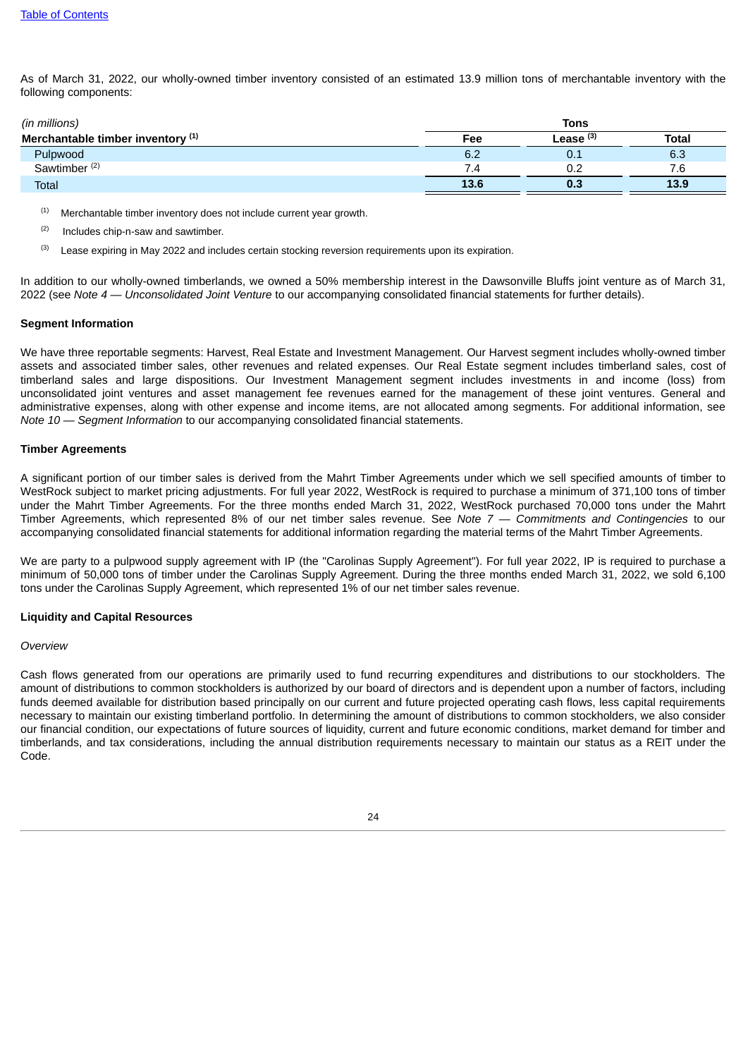As of March 31, 2022, our wholly-owned timber inventory consisted of an estimated 13.9 million tons of merchantable inventory with the following components:

| (in millions)                                | Tons |             |              |  |
|----------------------------------------------|------|-------------|--------------|--|
| Merchantable timber inventory <sup>(1)</sup> | Fee  | Lease $(3)$ | <b>Total</b> |  |
| Pulpwood                                     | 6.2  | 0.1         | 6.3          |  |
| Sawtimber <sup>(2)</sup>                     |      | 0.2         | 7.6          |  |
| <b>Total</b>                                 | 13.6 | 0.3         | 13.9         |  |

Merchantable timber inventory does not include current year growth. (1)

- Includes chip-n-saw and sawtimber. (2)
- Lease expiring in May 2022 and includes certain stocking reversion requirements upon its expiration. (3)

In addition to our wholly-owned timberlands, we owned a 50% membership interest in the Dawsonville Bluffs joint venture as of March 31, 2022 (see *Note 4 — Unconsolidated Joint Venture* to our accompanying consolidated financial statements for further details).

#### **Segment Information**

We have three reportable segments: Harvest, Real Estate and Investment Management. Our Harvest segment includes wholly-owned timber assets and associated timber sales, other revenues and related expenses. Our Real Estate segment includes timberland sales, cost of timberland sales and large dispositions. Our Investment Management segment includes investments in and income (loss) from unconsolidated joint ventures and asset management fee revenues earned for the management of these joint ventures. General and administrative expenses, along with other expense and income items, are not allocated among segments. For additional information, see *Note 10 — Segment Information* to our accompanying consolidated financial statements.

#### **Timber Agreements**

A significant portion of our timber sales is derived from the Mahrt Timber Agreements under which we sell specified amounts of timber to WestRock subject to market pricing adjustments. For full year 2022, WestRock is required to purchase a minimum of 371,100 tons of timber under the Mahrt Timber Agreements. For the three months ended March 31, 2022, WestRock purchased 70,000 tons under the Mahrt Timber Agreements, which represented 8% of our net timber sales revenue. See *Note 7 — Commitments and Contingencies* to our accompanying consolidated financial statements for additional information regarding the material terms of the Mahrt Timber Agreements.

We are party to a pulpwood supply agreement with IP (the "Carolinas Supply Agreement"). For full year 2022, IP is required to purchase a minimum of 50,000 tons of timber under the Carolinas Supply Agreement. During the three months ended March 31, 2022, we sold 6,100 tons under the Carolinas Supply Agreement, which represented 1% of our net timber sales revenue.

#### **Liquidity and Capital Resources**

#### *Overview*

Cash flows generated from our operations are primarily used to fund recurring expenditures and distributions to our stockholders. The amount of distributions to common stockholders is authorized by our board of directors and is dependent upon a number of factors, including funds deemed available for distribution based principally on our current and future projected operating cash flows, less capital requirements necessary to maintain our existing timberland portfolio. In determining the amount of distributions to common stockholders, we also consider our financial condition, our expectations of future sources of liquidity, current and future economic conditions, market demand for timber and timberlands, and tax considerations, including the annual distribution requirements necessary to maintain our status as a REIT under the Code.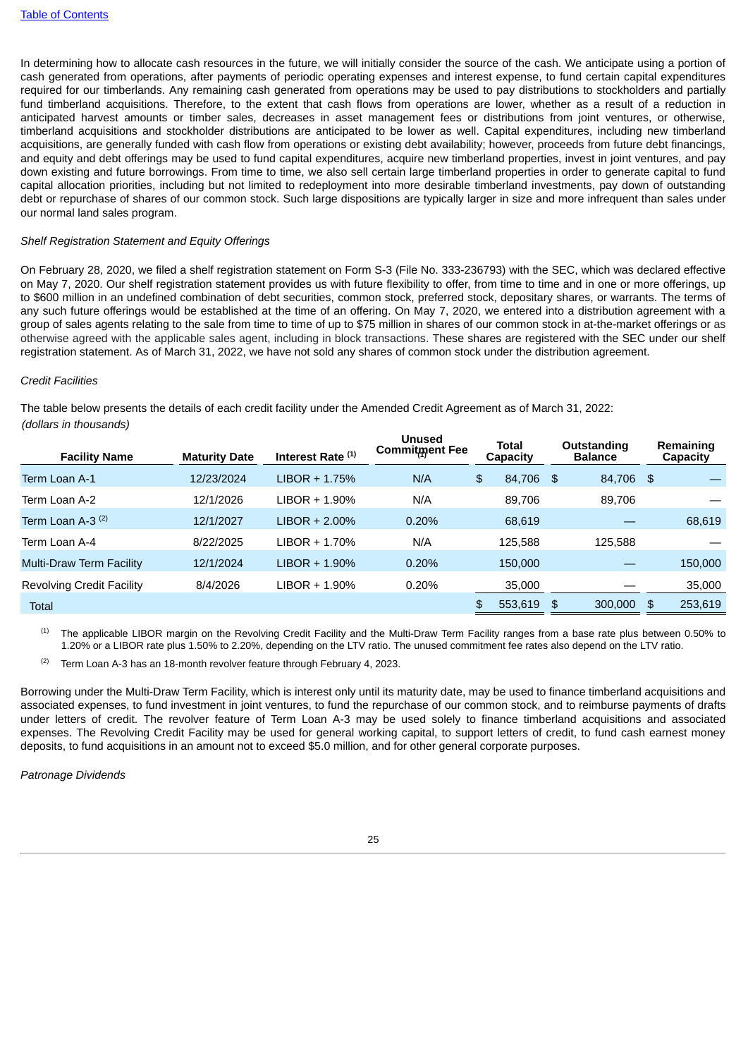In determining how to allocate cash resources in the future, we will initially consider the source of the cash. We anticipate using a portion of cash generated from operations, after payments of periodic operating expenses and interest expense, to fund certain capital expenditures required for our timberlands. Any remaining cash generated from operations may be used to pay distributions to stockholders and partially fund timberland acquisitions. Therefore, to the extent that cash flows from operations are lower, whether as a result of a reduction in anticipated harvest amounts or timber sales, decreases in asset management fees or distributions from joint ventures, or otherwise, timberland acquisitions and stockholder distributions are anticipated to be lower as well. Capital expenditures, including new timberland acquisitions, are generally funded with cash flow from operations or existing debt availability; however, proceeds from future debt financings, and equity and debt offerings may be used to fund capital expenditures, acquire new timberland properties, invest in joint ventures, and pay down existing and future borrowings. From time to time, we also sell certain large timberland properties in order to generate capital to fund capital allocation priorities, including but not limited to redeployment into more desirable timberland investments, pay down of outstanding debt or repurchase of shares of our common stock. Such large dispositions are typically larger in size and more infrequent than sales under our normal land sales program.

#### *Shelf Registration Statement and Equity Offerings*

On February 28, 2020, we filed a shelf registration statement on Form S-3 (File No. 333-236793) with the SEC, which was declared effective on May 7, 2020. Our shelf registration statement provides us with future flexibility to offer, from time to time and in one or more offerings, up to \$600 million in an undefined combination of debt securities, common stock, preferred stock, depositary shares, or warrants. The terms of any such future offerings would be established at the time of an offering. On May 7, 2020, we entered into a distribution agreement with a group of sales agents relating to the sale from time to time of up to \$75 million in shares of our common stock in at-the-market offerings or as otherwise agreed with the applicable sales agent, including in block transactions. These shares are registered with the SEC under our shelf registration statement. As of March 31, 2022, we have not sold any shares of common stock under the distribution agreement.

#### *Credit Facilities*

The table below presents the details of each credit facility under the Amended Credit Agreement as of March 31, 2022: *(dollars in thousands)*

| <b>Facility Name</b>           | <b>Maturity Date</b> | Interest Rate <sup>(1)</sup> | <b>Unused</b><br><b>Total</b><br><b>Commitment Fee</b><br>Capacity |               |      | Outstanding<br><b>Balance</b> | Remaining<br>Capacity |
|--------------------------------|----------------------|------------------------------|--------------------------------------------------------------------|---------------|------|-------------------------------|-----------------------|
| Term Loan A-1                  | 12/23/2024           | $LIBOR + 1.75%$              | N/A                                                                | \$<br>84,706  | - \$ | 84,706 \$                     |                       |
| Term Loan A-2                  | 12/1/2026            | $LIBOR + 1.90\%$             | N/A                                                                | 89.706        |      | 89.706                        |                       |
| Term Loan $A-3$ <sup>(2)</sup> | 12/1/2027            | $LIBOR + 2.00\%$             | 0.20%                                                              | 68.619        |      |                               | 68,619                |
| Term Loan A-4                  | 8/22/2025            | LIBOR + 1.70%                | N/A                                                                | 125.588       |      | 125.588                       |                       |
| Multi-Draw Term Facility       | 12/1/2024            | $LIBOR + 1.90\%$             | 0.20%                                                              | 150,000       |      |                               | 150,000               |
| Revolving Credit Facility      | 8/4/2026             | LIBOR + 1.90%                | 0.20%                                                              | 35,000        |      |                               | 35,000                |
| <b>Total</b>                   |                      |                              |                                                                    | \$<br>553,619 |      | 300,000                       | \$<br>253,619         |

The applicable LIBOR margin on the Revolving Credit Facility and the Multi-Draw Term Facility ranges from a base rate plus between 0.50% to 1.20% or a LIBOR rate plus 1.50% to 2.20%, depending on the LTV ratio. The unused commitment fee rates also depend on the LTV ratio. (1)

Borrowing under the Multi-Draw Term Facility, which is interest only until its maturity date, may be used to finance timberland acquisitions and associated expenses, to fund investment in joint ventures, to fund the repurchase of our common stock, and to reimburse payments of drafts under letters of credit. The revolver feature of Term Loan A-3 may be used solely to finance timberland acquisitions and associated expenses. The Revolving Credit Facility may be used for general working capital, to support letters of credit, to fund cash earnest money deposits, to fund acquisitions in an amount not to exceed \$5.0 million, and for other general corporate purposes.

*Patronage Dividends*

Term Loan A-3 has an 18-month revolver feature through February 4, 2023. (2)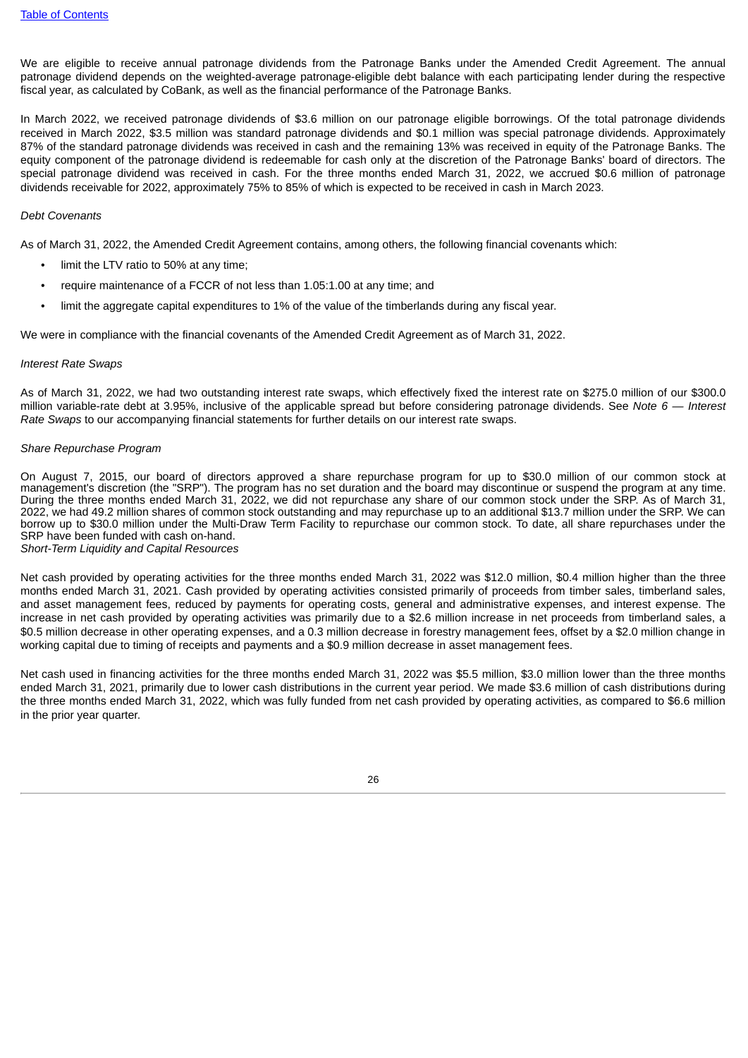We are eligible to receive annual patronage dividends from the Patronage Banks under the Amended Credit Agreement. The annual patronage dividend depends on the weighted-average patronage-eligible debt balance with each participating lender during the respective fiscal year, as calculated by CoBank, as well as the financial performance of the Patronage Banks.

In March 2022, we received patronage dividends of \$3.6 million on our patronage eligible borrowings. Of the total patronage dividends received in March 2022, \$3.5 million was standard patronage dividends and \$0.1 million was special patronage dividends. Approximately 87% of the standard patronage dividends was received in cash and the remaining 13% was received in equity of the Patronage Banks. The equity component of the patronage dividend is redeemable for cash only at the discretion of the Patronage Banks' board of directors. The special patronage dividend was received in cash. For the three months ended March 31, 2022, we accrued \$0.6 million of patronage dividends receivable for 2022, approximately 75% to 85% of which is expected to be received in cash in March 2023.

#### *Debt Covenants*

As of March 31, 2022, the Amended Credit Agreement contains, among others, the following financial covenants which:

- limit the LTV ratio to 50% at any time;
- require maintenance of a FCCR of not less than 1.05:1.00 at any time; and
- limit the aggregate capital expenditures to 1% of the value of the timberlands during any fiscal year.

We were in compliance with the financial covenants of the Amended Credit Agreement as of March 31, 2022.

#### *Interest Rate Swaps*

As of March 31, 2022, we had two outstanding interest rate swaps, which effectively fixed the interest rate on \$275.0 million of our \$300.0 million variable-rate debt at 3.95%, inclusive of the applicable spread but before considering patronage dividends. See *Note 6 — Interest Rate Swaps* to our accompanying financial statements for further details on our interest rate swaps.

#### *Share Repurchase Program*

On August 7, 2015, our board of directors approved a share repurchase program for up to \$30.0 million of our common stock at management's discretion (the "SRP"). The program has no set duration and the board may discontinue or suspend the program at any time. During the three months ended March 31, 2022, we did not repurchase any share of our common stock under the SRP. As of March 31, 2022, we had 49.2 million shares of common stock outstanding and may repurchase up to an additional \$13.7 million under the SRP. We can borrow up to \$30.0 million under the Multi-Draw Term Facility to repurchase our common stock. To date, all share repurchases under the SRP have been funded with cash on-hand. *Short-Term Liquidity and Capital Resources*

Net cash provided by operating activities for the three months ended March 31, 2022 was \$12.0 million, \$0.4 million higher than the three months ended March 31, 2021. Cash provided by operating activities consisted primarily of proceeds from timber sales, timberland sales, and asset management fees, reduced by payments for operating costs, general and administrative expenses, and interest expense. The increase in net cash provided by operating activities was primarily due to a \$2.6 million increase in net proceeds from timberland sales, a \$0.5 million decrease in other operating expenses, and a 0.3 million decrease in forestry management fees, offset by a \$2.0 million change in working capital due to timing of receipts and payments and a \$0.9 million decrease in asset management fees.

Net cash used in financing activities for the three months ended March 31, 2022 was \$5.5 million, \$3.0 million lower than the three months ended March 31, 2021, primarily due to lower cash distributions in the current year period. We made \$3.6 million of cash distributions during the three months ended March 31, 2022, which was fully funded from net cash provided by operating activities, as compared to \$6.6 million in the prior year quarter.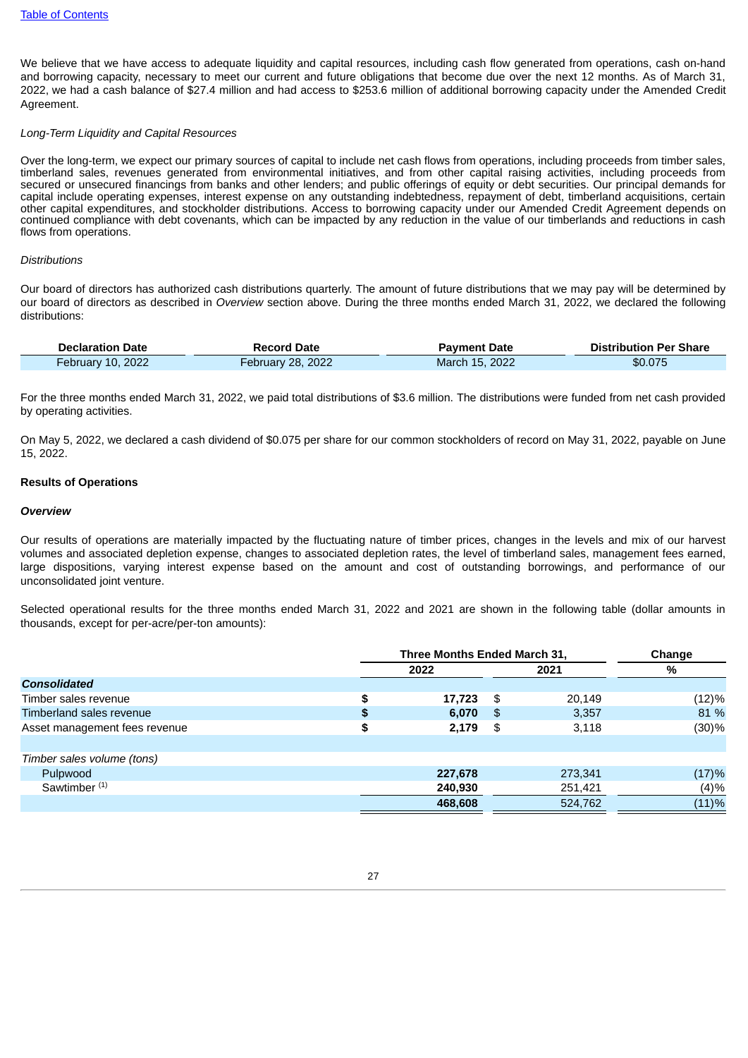We believe that we have access to adequate liquidity and capital resources, including cash flow generated from operations, cash on-hand and borrowing capacity, necessary to meet our current and future obligations that become due over the next 12 months. As of March 31, 2022, we had a cash balance of \$27.4 million and had access to \$253.6 million of additional borrowing capacity under the Amended Credit Agreement.

#### *Long-Term Liquidity and Capital Resources*

Over the long-term, we expect our primary sources of capital to include net cash flows from operations, including proceeds from timber sales, timberland sales, revenues generated from environmental initiatives, and from other capital raising activities, including proceeds from secured or unsecured financings from banks and other lenders; and public offerings of equity or debt securities. Our principal demands for capital include operating expenses, interest expense on any outstanding indebtedness, repayment of debt, timberland acquisitions, certain other capital expenditures, and stockholder distributions. Access to borrowing capacity under our Amended Credit Agreement depends on continued compliance with debt covenants, which can be impacted by any reduction in the value of our timberlands and reductions in cash flows from operations.

#### *Distributions*

Our board of directors has authorized cash distributions quarterly. The amount of future distributions that we may pay will be determined by our board of directors as described in *Overview* section above. During the three months ended March 31, 2022, we declared the following distributions:

| <b>Declaration Date</b>  | <b>Record Date</b>       | <b>Payment Date</b> | <b>Distribution Per Share</b> |
|--------------------------|--------------------------|---------------------|-------------------------------|
| <b>February 10, 2022</b> | <b>February 28, 2022</b> | March 15, 2022      | \$0,075                       |

For the three months ended March 31, 2022, we paid total distributions of \$3.6 million. The distributions were funded from net cash provided by operating activities.

On May 5, 2022, we declared a cash dividend of \$0.075 per share for our common stockholders of record on May 31, 2022, payable on June 15, 2022.

#### **Results of Operations**

#### *Overview*

Our results of operations are materially impacted by the fluctuating nature of timber prices, changes in the levels and mix of our harvest volumes and associated depletion expense, changes to associated depletion rates, the level of timberland sales, management fees earned, large dispositions, varying interest expense based on the amount and cost of outstanding borrowings, and performance of our unconsolidated joint venture.

Selected operational results for the three months ended March 31, 2022 and 2021 are shown in the following table (dollar amounts in thousands, except for per-acre/per-ton amounts):

|                               | Three Months Ended March 31, | Change     |         |          |
|-------------------------------|------------------------------|------------|---------|----------|
|                               | 2022                         |            | 2021    | %        |
| <b>Consolidated</b>           |                              |            |         |          |
| Timber sales revenue          | \$<br>17,723                 | \$         | 20,149  | $(12)\%$ |
| Timberland sales revenue      | \$<br>6,070                  | $\sqrt{3}$ | 3,357   | 81 %     |
| Asset management fees revenue | \$<br>2,179                  | \$         | 3,118   | (30)%    |
|                               |                              |            |         |          |
| Timber sales volume (tons)    |                              |            |         |          |
| Pulpwood                      | 227,678                      |            | 273,341 | (17)%    |
| Sawtimber <sup>(1)</sup>      | 240,930                      |            | 251,421 | (4)%     |
|                               | 468,608                      |            | 524,762 | $(11)\%$ |
|                               |                              |            |         |          |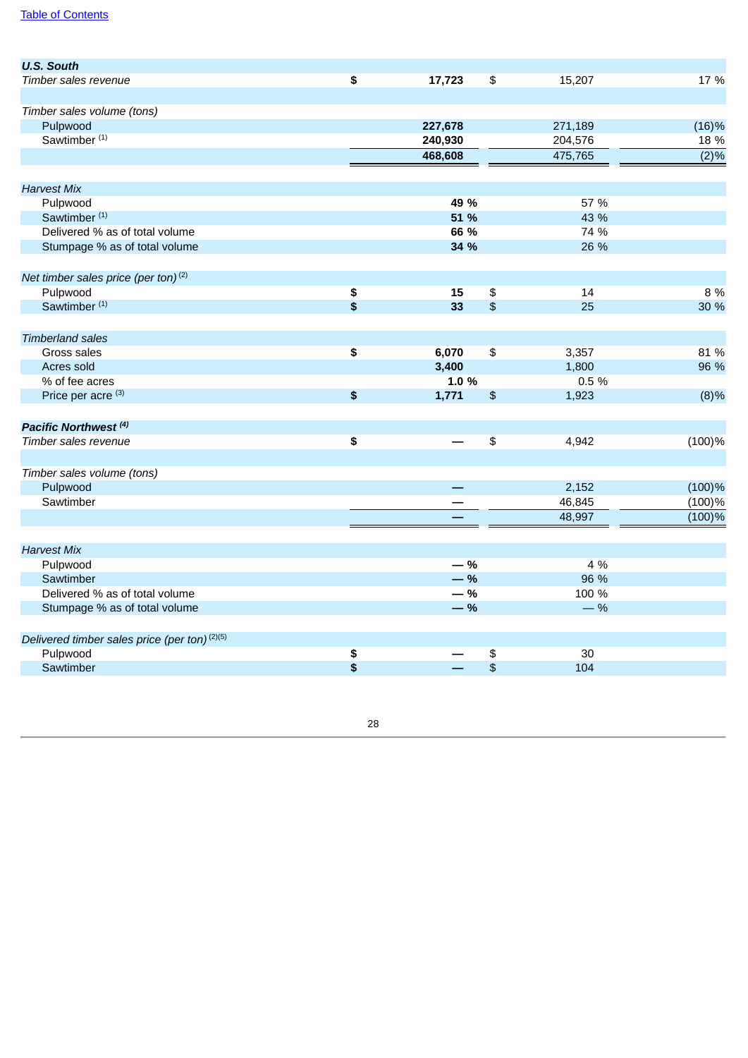# **Table of [Contents](#page-1-0)**

| <b>U.S. South</b>                               |              |              |        |
|-------------------------------------------------|--------------|--------------|--------|
| Timber sales revenue                            | \$<br>17,723 | \$<br>15,207 | 17 %   |
|                                                 |              |              |        |
| Timber sales volume (tons)                      |              |              |        |
| Pulpwood                                        | 227,678      | 271,189      | (16)%  |
| Sawtimber <sup>(1)</sup>                        | 240,930      | 204,576      | 18 %   |
|                                                 | 468,608      | 475,765      | (2)%   |
|                                                 |              |              |        |
| <b>Harvest Mix</b>                              |              |              |        |
| Pulpwood                                        | 49 %         | 57 %         |        |
| Sawtimber <sup>(1)</sup>                        | 51 %         | 43 %         |        |
| Delivered % as of total volume                  | 66 %         | 74 %         |        |
| Stumpage % as of total volume                   | 34 %         | 26 %         |        |
|                                                 |              |              |        |
| Net timber sales price (per ton) <sup>(2)</sup> |              |              |        |
| Pulpwood                                        | \$<br>15     | \$<br>14     | 8 %    |
| Sawtimber <sup>(1)</sup>                        | \$<br>33     | \$<br>25     | 30 %   |
|                                                 |              |              |        |
| <b>Timberland sales</b>                         |              |              |        |
| Gross sales                                     | \$<br>6,070  | \$<br>3,357  | 81 %   |
| Acres sold                                      | 3,400        | 1,800        | 96 %   |
| % of fee acres                                  | 1.0 %        | 0.5 %        |        |
| Price per acre <sup>(3)</sup>                   | \$<br>1,771  | \$<br>1,923  | (8)%   |
|                                                 |              |              |        |
| Pacific Northwest <sup>(4)</sup>                |              |              |        |
| Timber sales revenue                            | \$           | \$<br>4,942  | (100)% |
|                                                 |              |              |        |
| Timber sales volume (tons)                      |              |              |        |
| Pulpwood                                        |              | 2,152        | (100)% |
| Sawtimber                                       |              | 46,845       | (100)% |
|                                                 |              | 48,997       | (100)% |
|                                                 |              |              |        |
| <b>Harvest Mix</b>                              |              |              |        |
| Pulpwood                                        | $-$ %        | 4 %          |        |
| Sawtimber                                       | $-$ %        | 96 %         |        |
| Delivered % as of total volume                  | $-$ %        | 100 %        |        |
| Stumpage % as of total volume                   | $-$ %        | $-$ %        |        |
|                                                 |              |              |        |
| Delivered timber sales price (per ton) (2)(5)   |              |              |        |
| Pulpwood                                        | \$           | \$<br>30     |        |
| Sawtimber                                       | \$           | \$<br>104    |        |
|                                                 |              |              |        |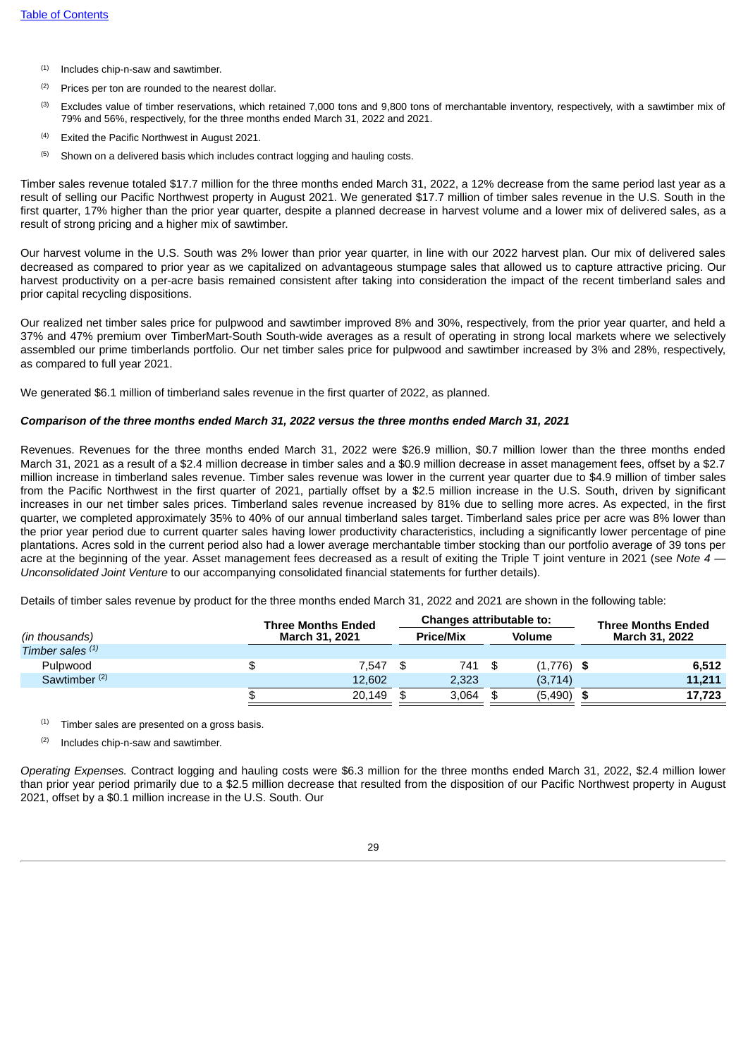- Includes chip-n-saw and sawtimber. (1)
- Prices per ton are rounded to the nearest dollar. (2)
- Excludes value of timber reservations, which retained 7,000 tons and 9,800 tons of merchantable inventory, respectively, with a sawtimber mix of 79% and 56%, respectively, for the three months ended March 31, 2022 and 2021. (3)
- Exited the Pacific Northwest in August 2021. (4)
- Shown on a delivered basis which includes contract logging and hauling costs. (5)

Timber sales revenue totaled \$17.7 million for the three months ended March 31, 2022, a 12% decrease from the same period last year as a result of selling our Pacific Northwest property in August 2021. We generated \$17.7 million of timber sales revenue in the U.S. South in the first quarter, 17% higher than the prior year quarter, despite a planned decrease in harvest volume and a lower mix of delivered sales, as a result of strong pricing and a higher mix of sawtimber.

Our harvest volume in the U.S. South was 2% lower than prior year quarter, in line with our 2022 harvest plan. Our mix of delivered sales decreased as compared to prior year as we capitalized on advantageous stumpage sales that allowed us to capture attractive pricing. Our harvest productivity on a per-acre basis remained consistent after taking into consideration the impact of the recent timberland sales and prior capital recycling dispositions.

Our realized net timber sales price for pulpwood and sawtimber improved 8% and 30%, respectively, from the prior year quarter, and held a 37% and 47% premium over TimberMart-South South-wide averages as a result of operating in strong local markets where we selectively assembled our prime timberlands portfolio. Our net timber sales price for pulpwood and sawtimber increased by 3% and 28%, respectively, as compared to full year 2021.

We generated \$6.1 million of timberland sales revenue in the first quarter of 2022, as planned.

#### *Comparison of the three months ended March 31, 2022 versus the three months ended March 31, 2021*

Revenues. Revenues for the three months ended March 31, 2022 were \$26.9 million, \$0.7 million lower than the three months ended March 31, 2021 as a result of a \$2.4 million decrease in timber sales and a \$0.9 million decrease in asset management fees, offset by a \$2.7 million increase in timberland sales revenue. Timber sales revenue was lower in the current year quarter due to \$4.9 million of timber sales from the Pacific Northwest in the first quarter of 2021, partially offset by a \$2.5 million increase in the U.S. South, driven by significant increases in our net timber sales prices. Timberland sales revenue increased by 81% due to selling more acres. As expected, in the first quarter, we completed approximately 35% to 40% of our annual timberland sales target. Timberland sales price per acre was 8% lower than the prior year period due to current quarter sales having lower productivity characteristics, including a significantly lower percentage of pine plantations. Acres sold in the current period also had a lower average merchantable timber stocking than our portfolio average of 39 tons per acre at the beginning of the year. Asset management fees decreased as a result of exiting the Triple T joint venture in 2021 (see *Note 4 — Unconsolidated Joint Venture* to our accompanying consolidated financial statements for further details).

Details of timber sales revenue by product for the three months ended March 31, 2022 and 2021 are shown in the following table:

|                             |   | <b>Three Months Ended</b><br><b>March 31, 2021</b> |  | Changes attributable to: |    |              | <b>Three Months Ended</b> |                       |
|-----------------------------|---|----------------------------------------------------|--|--------------------------|----|--------------|---------------------------|-----------------------|
| (in thousands)              |   |                                                    |  | <b>Price/Mix</b>         |    | Volume       |                           | <b>March 31, 2022</b> |
| Timber sales <sup>(1)</sup> |   |                                                    |  |                          |    |              |                           |                       |
| Pulpwood                    | Ф | 7.547                                              |  | 741                      |    | $(1,776)$ \$ |                           | 6,512                 |
| Sawtimber <sup>(2)</sup>    |   | 12.602                                             |  | 2,323                    |    | (3.714)      |                           | 11.211                |
|                             |   | 20.149                                             |  | 3.064                    | \$ | (5,490)      |                           | 17,723                |
|                             |   |                                                    |  |                          |    |              |                           |                       |

Timber sales are presented on a gross basis. (1)

Includes chip-n-saw and sawtimber. (2)

*Operating Expenses.* Contract logging and hauling costs were \$6.3 million for the three months ended March 31, 2022, \$2.4 million lower than prior year period primarily due to a \$2.5 million decrease that resulted from the disposition of our Pacific Northwest property in August 2021, offset by a \$0.1 million increase in the U.S. South. Our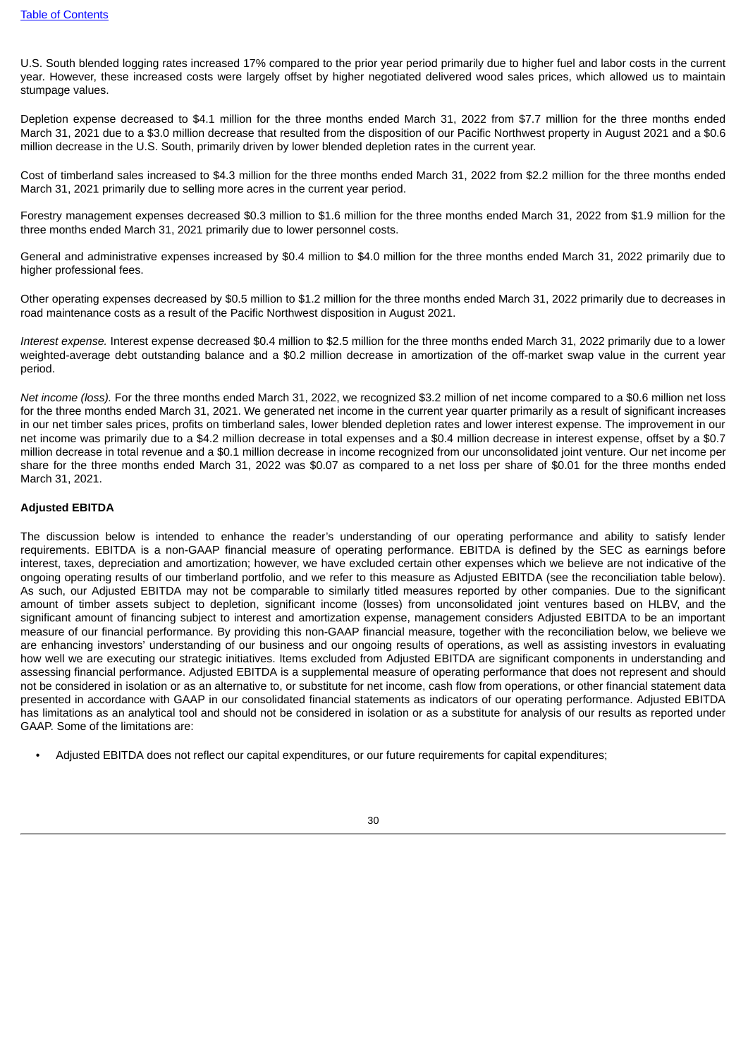U.S. South blended logging rates increased 17% compared to the prior year period primarily due to higher fuel and labor costs in the current year. However, these increased costs were largely offset by higher negotiated delivered wood sales prices, which allowed us to maintain stumpage values.

Depletion expense decreased to \$4.1 million for the three months ended March 31, 2022 from \$7.7 million for the three months ended March 31, 2021 due to a \$3.0 million decrease that resulted from the disposition of our Pacific Northwest property in August 2021 and a \$0.6 million decrease in the U.S. South, primarily driven by lower blended depletion rates in the current year.

Cost of timberland sales increased to \$4.3 million for the three months ended March 31, 2022 from \$2.2 million for the three months ended March 31, 2021 primarily due to selling more acres in the current year period.

Forestry management expenses decreased \$0.3 million to \$1.6 million for the three months ended March 31, 2022 from \$1.9 million for the three months ended March 31, 2021 primarily due to lower personnel costs.

General and administrative expenses increased by \$0.4 million to \$4.0 million for the three months ended March 31, 2022 primarily due to higher professional fees.

Other operating expenses decreased by \$0.5 million to \$1.2 million for the three months ended March 31, 2022 primarily due to decreases in road maintenance costs as a result of the Pacific Northwest disposition in August 2021.

*Interest expense.* Interest expense decreased \$0.4 million to \$2.5 million for the three months ended March 31, 2022 primarily due to a lower weighted-average debt outstanding balance and a \$0.2 million decrease in amortization of the off-market swap value in the current year period.

*Net income (loss).* For the three months ended March 31, 2022, we recognized \$3.2 million of net income compared to a \$0.6 million net loss for the three months ended March 31, 2021. We generated net income in the current year quarter primarily as a result of significant increases in our net timber sales prices, profits on timberland sales, lower blended depletion rates and lower interest expense. The improvement in our net income was primarily due to a \$4.2 million decrease in total expenses and a \$0.4 million decrease in interest expense, offset by a \$0.7 million decrease in total revenue and a \$0.1 million decrease in income recognized from our unconsolidated joint venture. Our net income per share for the three months ended March 31, 2022 was \$0.07 as compared to a net loss per share of \$0.01 for the three months ended March 31, 2021.

#### **Adjusted EBITDA**

The discussion below is intended to enhance the reader's understanding of our operating performance and ability to satisfy lender requirements. EBITDA is a non-GAAP financial measure of operating performance. EBITDA is defined by the SEC as earnings before interest, taxes, depreciation and amortization; however, we have excluded certain other expenses which we believe are not indicative of the ongoing operating results of our timberland portfolio, and we refer to this measure as Adjusted EBITDA (see the reconciliation table below). As such, our Adjusted EBITDA may not be comparable to similarly titled measures reported by other companies. Due to the significant amount of timber assets subject to depletion, significant income (losses) from unconsolidated joint ventures based on HLBV, and the significant amount of financing subject to interest and amortization expense, management considers Adjusted EBITDA to be an important measure of our financial performance. By providing this non-GAAP financial measure, together with the reconciliation below, we believe we are enhancing investors' understanding of our business and our ongoing results of operations, as well as assisting investors in evaluating how well we are executing our strategic initiatives. Items excluded from Adjusted EBITDA are significant components in understanding and assessing financial performance. Adjusted EBITDA is a supplemental measure of operating performance that does not represent and should not be considered in isolation or as an alternative to, or substitute for net income, cash flow from operations, or other financial statement data presented in accordance with GAAP in our consolidated financial statements as indicators of our operating performance. Adjusted EBITDA has limitations as an analytical tool and should not be considered in isolation or as a substitute for analysis of our results as reported under GAAP. Some of the limitations are:

• Adjusted EBITDA does not reflect our capital expenditures, or our future requirements for capital expenditures;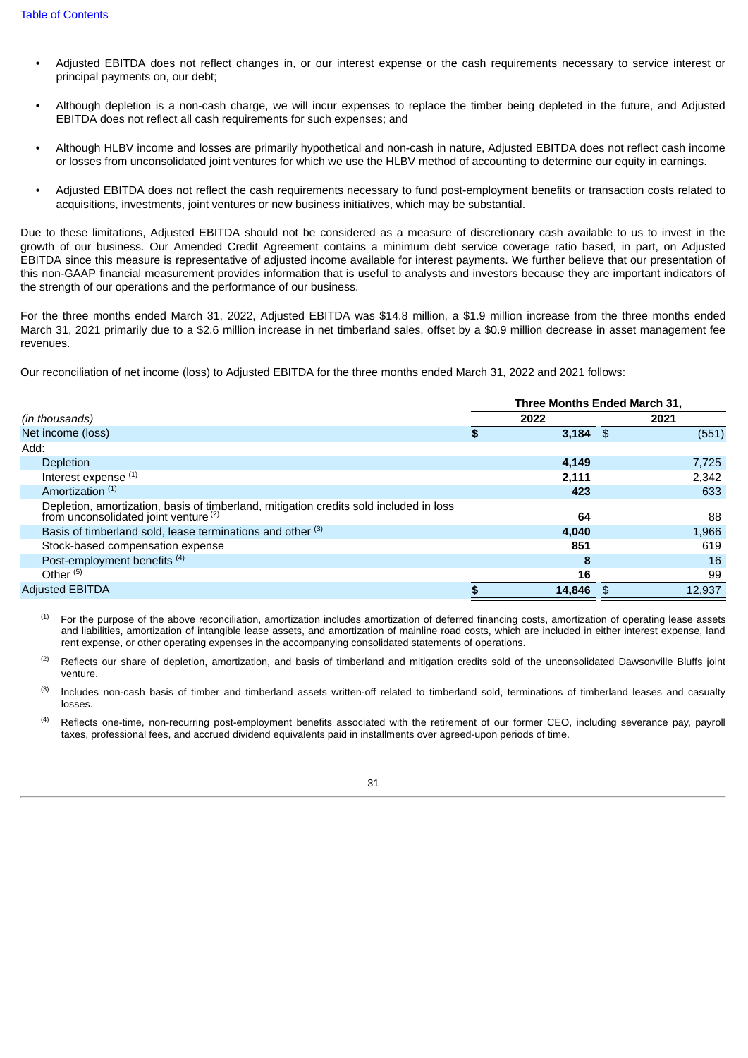- Adjusted EBITDA does not reflect changes in, or our interest expense or the cash requirements necessary to service interest or principal payments on, our debt;
- Although depletion is a non-cash charge, we will incur expenses to replace the timber being depleted in the future, and Adjusted EBITDA does not reflect all cash requirements for such expenses; and
- Although HLBV income and losses are primarily hypothetical and non-cash in nature, Adjusted EBITDA does not reflect cash income or losses from unconsolidated joint ventures for which we use the HLBV method of accounting to determine our equity in earnings.
- Adjusted EBITDA does not reflect the cash requirements necessary to fund post-employment benefits or transaction costs related to acquisitions, investments, joint ventures or new business initiatives, which may be substantial.

Due to these limitations, Adjusted EBITDA should not be considered as a measure of discretionary cash available to us to invest in the growth of our business. Our Amended Credit Agreement contains a minimum debt service coverage ratio based, in part, on Adjusted EBITDA since this measure is representative of adjusted income available for interest payments. We further believe that our presentation of this non-GAAP financial measurement provides information that is useful to analysts and investors because they are important indicators of the strength of our operations and the performance of our business.

For the three months ended March 31, 2022, Adjusted EBITDA was \$14.8 million, a \$1.9 million increase from the three months ended March 31, 2021 primarily due to a \$2.6 million increase in net timberland sales, offset by a \$0.9 million decrease in asset management fee revenues.

Our reconciliation of net income (loss) to Adjusted EBITDA for the three months ended March 31, 2022 and 2021 follows:

|                                                                                                                                            |   | Three Months Ended March 31, |     |        |
|--------------------------------------------------------------------------------------------------------------------------------------------|---|------------------------------|-----|--------|
| (in thousands)                                                                                                                             |   | 2022                         |     | 2021   |
| Net income (loss)                                                                                                                          | S | $3,184$ \$                   |     | (551)  |
| Add:                                                                                                                                       |   |                              |     |        |
| <b>Depletion</b>                                                                                                                           |   | 4,149                        |     | 7,725  |
| Interest expense (1)                                                                                                                       |   | 2,111                        |     | 2,342  |
| Amortization <sup>(1)</sup>                                                                                                                |   | 423                          |     | 633    |
| Depletion, amortization, basis of timberland, mitigation credits sold included in loss<br>from unconsolidated joint venture <sup>(2)</sup> |   | 64                           |     | 88     |
| Basis of timberland sold, lease terminations and other (3)                                                                                 |   | 4.040                        |     | 1,966  |
| Stock-based compensation expense                                                                                                           |   | 851                          |     | 619    |
| Post-employment benefits <sup>(4)</sup>                                                                                                    |   | 8                            |     | 16     |
| Other $(5)$                                                                                                                                |   | 16                           |     | 99     |
| <b>Adjusted EBITDA</b>                                                                                                                     |   | 14,846                       | \$. | 12.937 |

For the purpose of the above reconciliation, amortization includes amortization of deferred financing costs, amortization of operating lease assets and liabilities, amortization of intangible lease assets, and amortization of mainline road costs, which are included in either interest expense, land rent expense, or other operating expenses in the accompanying consolidated statements of operations. (1)

Reflects our share of depletion, amortization, and basis of timberland and mitigation credits sold of the unconsolidated Dawsonville Bluffs joint venture. (2)

Includes non-cash basis of timber and timberland assets written-off related to timberland sold, terminations of timberland leases and casualty losses. (3)

Reflects one-time, non-recurring post-employment benefits associated with the retirement of our former CEO, including severance pay, payroll taxes, professional fees, and accrued dividend equivalents paid in installments over agreed-upon periods of time. (4)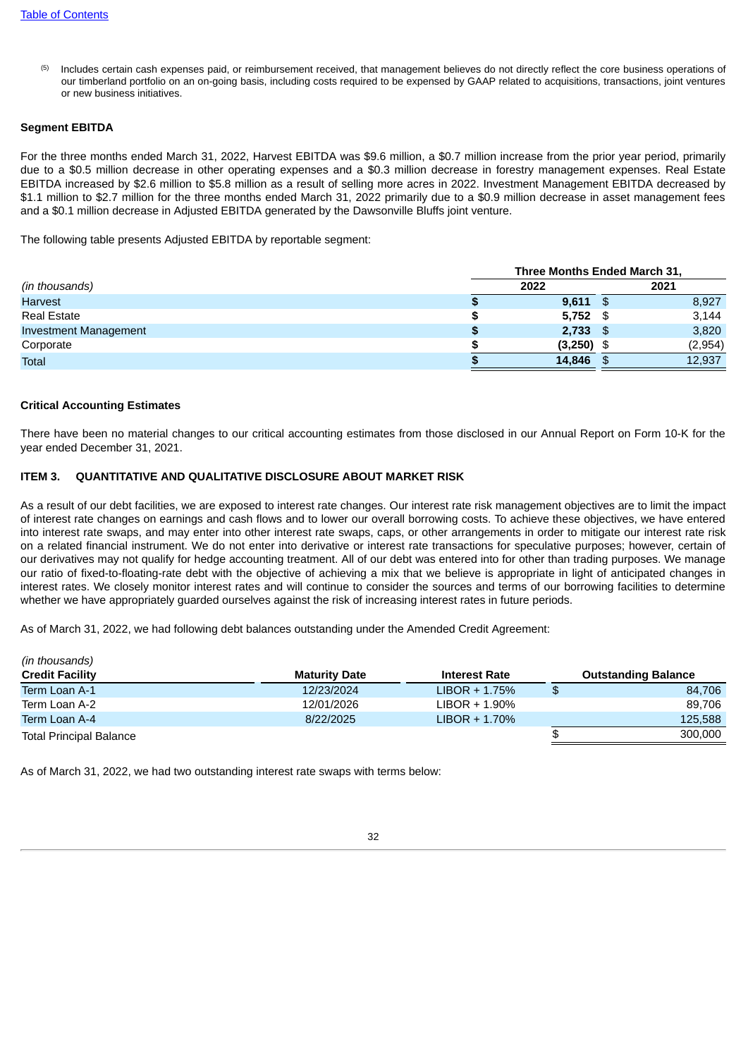Includes certain cash expenses paid, or reimbursement received, that management believes do not directly reflect the core business operations of our timberland portfolio on an on-going basis, including costs required to be expensed by GAAP related to acquisitions, transactions, joint ventures or new business initiatives. (5)

#### **Segment EBITDA**

For the three months ended March 31, 2022, Harvest EBITDA was \$9.6 million, a \$0.7 million increase from the prior year period, primarily due to a \$0.5 million decrease in other operating expenses and a \$0.3 million decrease in forestry management expenses. Real Estate EBITDA increased by \$2.6 million to \$5.8 million as a result of selling more acres in 2022. Investment Management EBITDA decreased by \$1.1 million to \$2.7 million for the three months ended March 31, 2022 primarily due to a \$0.9 million decrease in asset management fees and a \$0.1 million decrease in Adjusted EBITDA generated by the Dawsonville Bluffs joint venture.

The following table presents Adjusted EBITDA by reportable segment:

|                       | Three Months Ended March 31, |              |  |         |  |  |  |  |
|-----------------------|------------------------------|--------------|--|---------|--|--|--|--|
| (in thousands)        |                              | 2022         |  | 2021    |  |  |  |  |
| <b>Harvest</b>        |                              | $9,611$ \$   |  | 8,927   |  |  |  |  |
| <b>Real Estate</b>    | S                            | $5,752$ \$   |  | 3,144   |  |  |  |  |
| Investment Management | \$                           | $2,733$ \$   |  | 3,820   |  |  |  |  |
| Corporate             |                              | $(3,250)$ \$ |  | (2,954) |  |  |  |  |
| Total                 |                              | 14,846       |  | 12.937  |  |  |  |  |

#### **Critical Accounting Estimates**

There have been no material changes to our critical accounting estimates from those disclosed in our Annual Report on Form 10-K for the year ended December 31, 2021.

# <span id="page-32-0"></span>**ITEM 3. QUANTITATIVE AND QUALITATIVE DISCLOSURE ABOUT MARKET RISK**

As a result of our debt facilities, we are exposed to interest rate changes. Our interest rate risk management objectives are to limit the impact of interest rate changes on earnings and cash flows and to lower our overall borrowing costs. To achieve these objectives, we have entered into interest rate swaps, and may enter into other interest rate swaps, caps, or other arrangements in order to mitigate our interest rate risk on a related financial instrument. We do not enter into derivative or interest rate transactions for speculative purposes; however, certain of our derivatives may not qualify for hedge accounting treatment. All of our debt was entered into for other than trading purposes. We manage our ratio of fixed-to-floating-rate debt with the objective of achieving a mix that we believe is appropriate in light of anticipated changes in interest rates. We closely monitor interest rates and will continue to consider the sources and terms of our borrowing facilities to determine whether we have appropriately quarded ourselves against the risk of increasing interest rates in future periods.

As of March 31, 2022, we had following debt balances outstanding under the Amended Credit Agreement:

| (in thousands)                 |                      |                      |    |                            |
|--------------------------------|----------------------|----------------------|----|----------------------------|
| <b>Credit Facility</b>         | <b>Maturity Date</b> | <b>Interest Rate</b> |    | <b>Outstanding Balance</b> |
| Term Loan A-1                  | 12/23/2024           | $LIBOR + 1.75%$      | £. | 84.706                     |
| Term Loan A-2                  | 12/01/2026           | $LIBOR + 1.90\%$     |    | 89.706                     |
| Term Loan A-4                  | 8/22/2025            | $LIBOR + 1.70\%$     |    | 125,588                    |
| <b>Total Principal Balance</b> |                      |                      |    | 300,000                    |
|                                |                      |                      |    |                            |

As of March 31, 2022, we had two outstanding interest rate swaps with terms below: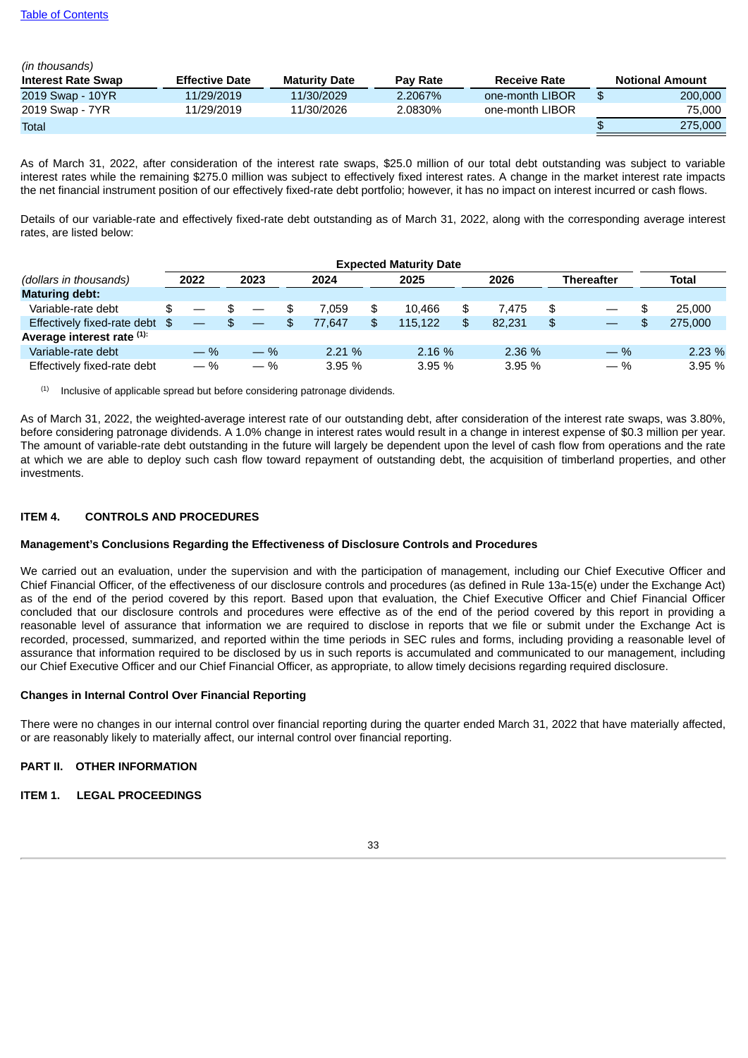| <b>Effective Date</b> | <b>Maturity Date</b> | <b>Pay Rate</b> | <b>Receive Rate</b> | <b>Notional Amount</b> |
|-----------------------|----------------------|-----------------|---------------------|------------------------|
| 11/29/2019            | 11/30/2029           | 2.2067%         | one-month LIBOR     | 200,000                |
| 11/29/2019            | 11/30/2026           | 2.0830%         | one-month LIBOR     | 75.000                 |
|                       |                      |                 |                     | 275,000                |
|                       |                      |                 |                     |                        |

As of March 31, 2022, after consideration of the interest rate swaps, \$25.0 million of our total debt outstanding was subject to variable interest rates while the remaining \$275.0 million was subject to effectively fixed interest rates. A change in the market interest rate impacts the net financial instrument position of our effectively fixed-rate debt portfolio; however, it has no impact on interest incurred or cash flows.

Details of our variable-rate and effectively fixed-rate debt outstanding as of March 31, 2022, along with the corresponding average interest rates, are listed below:

| <b>Expected Maturity Date</b>  |  |       |  |       |  |        |  |         |        |                                |              |
|--------------------------------|--|-------|--|-------|--|--------|--|---------|--------|--------------------------------|--------------|
| (dollars in thousands)         |  | 2022  |  | 2023  |  | 2024   |  | 2025    | 2026   | <b>Thereafter</b>              | <b>Total</b> |
| <b>Maturing debt:</b>          |  |       |  |       |  |        |  |         |        |                                |              |
| Variable-rate debt             |  |       |  |       |  | 7.059  |  | 10.466  | 7.475  | \$<br>$\overline{\phantom{0}}$ | 25,000       |
| Effectively fixed-rate debt \$ |  |       |  |       |  | 77.647 |  | 115.122 | 82.231 | \$                             | 275,000      |
| Average interest rate (1):     |  |       |  |       |  |        |  |         |        |                                |              |
| Variable-rate debt             |  | $-96$ |  | $-96$ |  | 2.21%  |  | 2.16%   | 2.36%  | $-$ %                          | 2.23%        |
| Effectively fixed-rate debt    |  | $-$ % |  | $-96$ |  | 3.95%  |  | 3.95%   | 3.95%  | $-$ %                          | 3.95%        |

Inclusive of applicable spread but before considering patronage dividends. (1)

As of March 31, 2022, the weighted-average interest rate of our outstanding debt, after consideration of the interest rate swaps, was 3.80%, before considering patronage dividends. A 1.0% change in interest rates would result in a change in interest expense of \$0.3 million per year. The amount of variable-rate debt outstanding in the future will largely be dependent upon the level of cash flow from operations and the rate at which we are able to deploy such cash flow toward repayment of outstanding debt, the acquisition of timberland properties, and other investments.

# <span id="page-33-0"></span>**ITEM 4. CONTROLS AND PROCEDURES**

# **Management's Conclusions Regarding the Effectiveness of Disclosure Controls and Procedures**

We carried out an evaluation, under the supervision and with the participation of management, including our Chief Executive Officer and Chief Financial Officer, of the effectiveness of our disclosure controls and procedures (as defined in Rule 13a-15(e) under the Exchange Act) as of the end of the period covered by this report. Based upon that evaluation, the Chief Executive Officer and Chief Financial Officer concluded that our disclosure controls and procedures were effective as of the end of the period covered by this report in providing a reasonable level of assurance that information we are required to disclose in reports that we file or submit under the Exchange Act is recorded, processed, summarized, and reported within the time periods in SEC rules and forms, including providing a reasonable level of assurance that information required to be disclosed by us in such reports is accumulated and communicated to our management, including our Chief Executive Officer and our Chief Financial Officer, as appropriate, to allow timely decisions regarding required disclosure.

# **Changes in Internal Control Over Financial Reporting**

There were no changes in our internal control over financial reporting during the quarter ended March 31, 2022 that have materially affected, or are reasonably likely to materially affect, our internal control over financial reporting.

#### **PART II. OTHER INFORMATION**

<span id="page-33-1"></span>**ITEM 1. LEGAL PROCEEDINGS**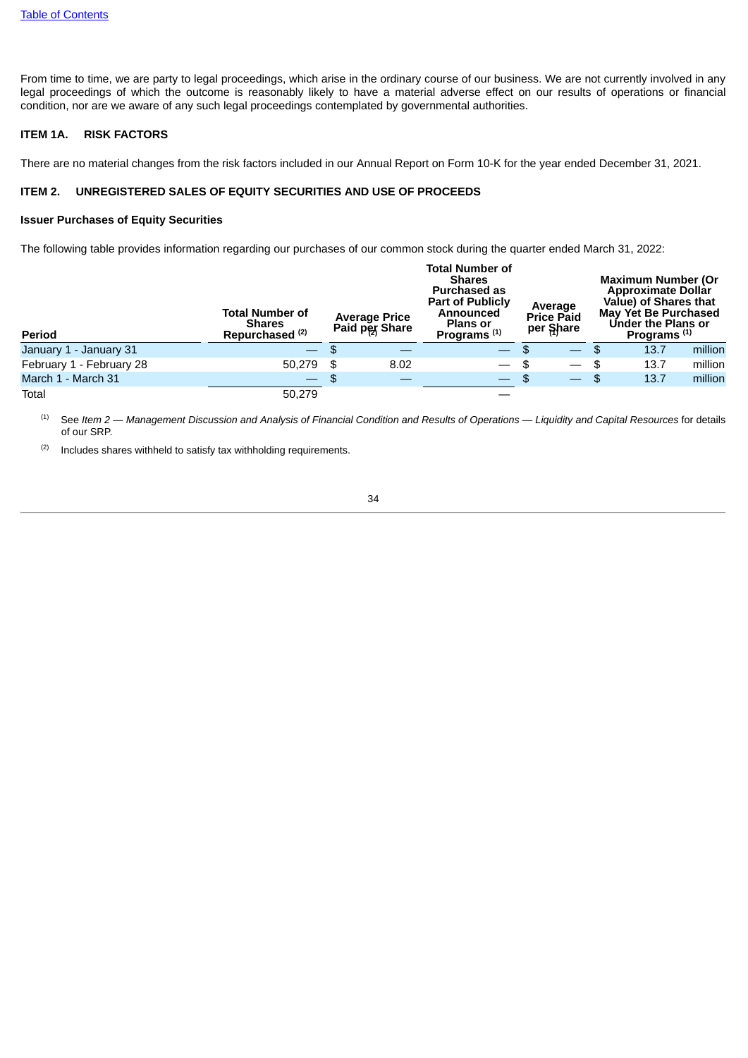From time to time, we are party to legal proceedings, which arise in the ordinary course of our business. We are not currently involved in any legal proceedings of which the outcome is reasonably likely to have a material adverse effect on our results of operations or financial condition, nor are we aware of any such legal proceedings contemplated by governmental authorities.

# <span id="page-34-0"></span>**ITEM 1A. RISK FACTORS**

There are no material changes from the risk factors included in our Annual Report on Form 10-K for the year ended December 31, 2021.

# <span id="page-34-1"></span>**ITEM 2. UNREGISTERED SALES OF EQUITY SECURITIES AND USE OF PROCEEDS**

#### **Issuer Purchases of Equity Securities**

The following table provides information regarding our purchases of our common stock during the quarter ended March 31, 2022:

| Period                   | <b>Total Number of</b><br><b>Shares</b><br>Repurchased <sup>(2)</sup> | <b>Average Price</b><br>Paid peg Share | <b>Total Number of</b><br><b>Shares</b><br><b>Purchased as</b><br><b>Part of Publicly</b><br>Announced<br><b>Plans or</b><br>Programs <sup>(1)</sup> |    | Average<br><b>Price Paid</b><br>per Share |      | <b>Maximum Number (Or</b><br><b>Approximate Dollar</b><br>Value) of Shares that<br><b>May Yet Be Purchased</b><br><b>Under the Plans or</b><br>Programs <sup>(1)</sup> |         |
|--------------------------|-----------------------------------------------------------------------|----------------------------------------|------------------------------------------------------------------------------------------------------------------------------------------------------|----|-------------------------------------------|------|------------------------------------------------------------------------------------------------------------------------------------------------------------------------|---------|
| January 1 - January 31   | $\overline{\phantom{0}}$                                              | \$                                     | $\overline{\phantom{m}}$                                                                                                                             | -S |                                           | £.   | 13.7                                                                                                                                                                   | million |
| February 1 - February 28 | 50,279 \$                                                             | 8.02                                   |                                                                                                                                                      | \$ | $\overline{\phantom{0}}$                  | - \$ | 13.7                                                                                                                                                                   | million |
| March 1 - March 31       | $-$ \$                                                                |                                        | $-$ \$                                                                                                                                               |    | $-$ \$                                    |      | 13.7                                                                                                                                                                   | million |
| Total                    | 50.279                                                                |                                        |                                                                                                                                                      |    |                                           |      |                                                                                                                                                                        |         |

See *Item 2 — Management Discussion and Analysis of Financial Condition and Results of Operations — Liquidity and Capital Resources* for details of our SRP. (1)

<span id="page-34-2"></span>Includes shares withheld to satisfy tax withholding requirements. (2)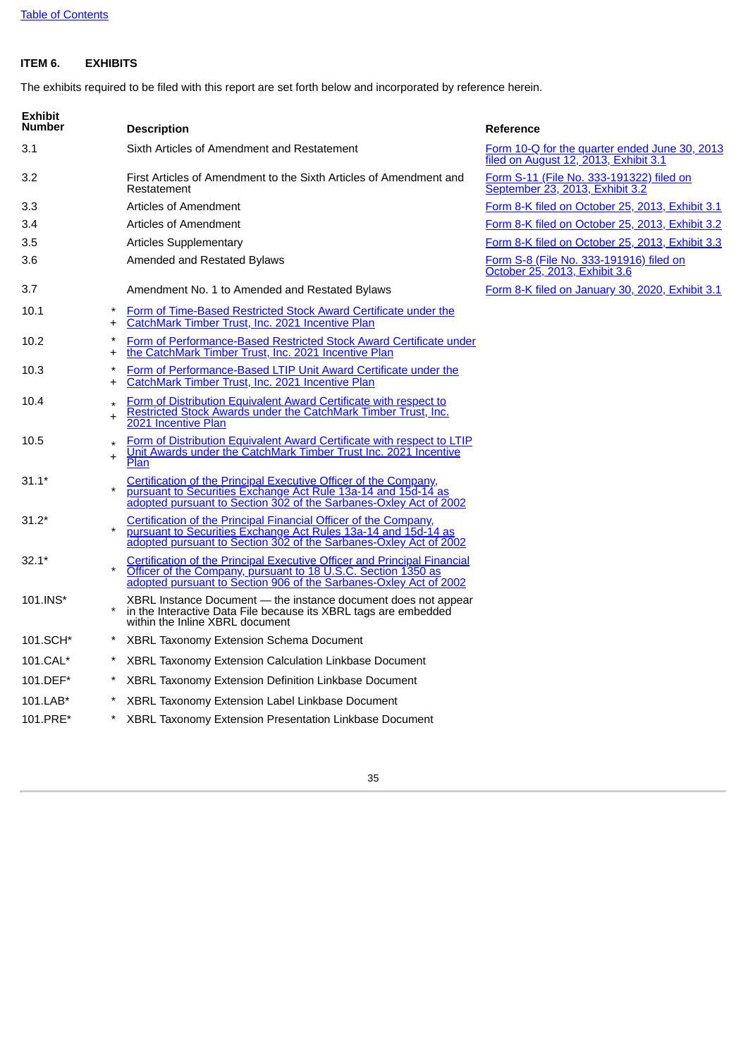# **ITEM 6. EXHIBITS**

The exhibits required to be filed with this report are set forth below and incorporated by reference herein.

| <b>Exhibit</b><br><b>Number</b> |                       | <b>Description</b>                                                                                                                                                                                                    | Reference                                                                              |
|---------------------------------|-----------------------|-----------------------------------------------------------------------------------------------------------------------------------------------------------------------------------------------------------------------|----------------------------------------------------------------------------------------|
| 3.1                             |                       | Sixth Articles of Amendment and Restatement                                                                                                                                                                           | Form 10-O for the quarter ended June 30, 2013<br>filed on August 12, 2013, Exhibit 3.1 |
| 3.2                             |                       | First Articles of Amendment to the Sixth Articles of Amendment and<br>Restatement                                                                                                                                     | Form S-11 (File No. 333-191322) filed on<br>September 23, 2013, Exhibit 3.2            |
| 3.3                             |                       | Articles of Amendment                                                                                                                                                                                                 | Form 8-K filed on October 25, 2013, Exhibit 3.1                                        |
| 3.4                             |                       | Articles of Amendment                                                                                                                                                                                                 | Form 8-K filed on October 25, 2013, Exhibit 3.2                                        |
| 3.5                             |                       | <b>Articles Supplementary</b>                                                                                                                                                                                         | Form 8-K filed on October 25, 2013, Exhibit 3.3                                        |
| 3.6                             |                       | <b>Amended and Restated Bylaws</b>                                                                                                                                                                                    | Form S-8 (File No. 333-191916) filed on<br>October 25, 2013, Exhibit 3.6               |
| 3.7                             |                       | Amendment No. 1 to Amended and Restated Bylaws                                                                                                                                                                        | Form 8-K filed on January 30, 2020, Exhibit 3.1                                        |
| 10.1                            | $^\star$<br>$\ddot{}$ | Form of Time-Based Restricted Stock Award Certificate under the<br>CatchMark Timber Trust, Inc. 2021 Incentive Plan                                                                                                   |                                                                                        |
| 10.2                            | $\star$<br>$\ddag$    | Form of Performance-Based Restricted Stock Award Certificate under<br>the CatchMark Timber Trust, Inc. 2021 Incentive Plan                                                                                            |                                                                                        |
| 10.3                            | $^\star$<br>$\ddot{}$ | Form of Performance-Based LTIP Unit Award Certificate under the<br>CatchMark Timber Trust, Inc. 2021 Incentive Plan                                                                                                   |                                                                                        |
| 10.4                            | $\star$<br>$\ddot{}$  | Form of Distribution Equivalent Award Certificate with respect to<br>Restricted Stock Awards under the CatchMark Timber Trust, Inc.<br>2021 Incentive Plan                                                            |                                                                                        |
| 10.5                            | $\star$<br>$+$        | Form of Distribution Equivalent Award Certificate with respect to LTIP<br>Unit Awards under the CatchMark Timber Trust Inc. 2021 Incentive<br>Plan                                                                    |                                                                                        |
| $31.1*$                         | $\star$               | Certification of the Principal Executive Officer of the Company,<br>pursuant to Securities Exchange Act Rule 13a-14 and 15d-14 as<br>adopted pursuant to Section 302 of the Sarbanes-Oxley Act of 2002                |                                                                                        |
| 31.2*                           | $\star$               | Certification of the Principal Financial Officer of the Company,<br>pursuant to Securities Exchange Act Rules 13a-14 and 15d-14 as<br>adopted pursuant to Section 302 of the Sarbanes-Oxley Act of 2002               |                                                                                        |
| $32.1*$                         | $\star$               | <b>Certification of the Principal Executive Officer and Principal Financial</b><br>Officer of the Company, pursuant to 18 U.S.C. Section 1350 as<br>adopted pursuant to Section 906 of the Sarbanes-Oxley Act of 2002 |                                                                                        |
| 101.INS*                        | $^\star$              | XBRL Instance Document — the instance document does not appear<br>in the Interactive Data File because its XBRL tags are embedded<br>within the Inline XBRL document                                                  |                                                                                        |
| 101.SCH*                        | $^\star$              | <b>XBRL Taxonomy Extension Schema Document</b>                                                                                                                                                                        |                                                                                        |
| 101.CAL*                        | $\star$               | <b>XBRL Taxonomy Extension Calculation Linkbase Document</b>                                                                                                                                                          |                                                                                        |
| 101.DEF*                        | $\ast$                | XBRL Taxonomy Extension Definition Linkbase Document                                                                                                                                                                  |                                                                                        |
| $101.LAB*$                      | $^\star$              | XBRL Taxonomy Extension Label Linkbase Document                                                                                                                                                                       |                                                                                        |
| 101.PRE*                        |                       | <b>XBRL Taxonomy Extension Presentation Linkbase Document</b>                                                                                                                                                         |                                                                                        |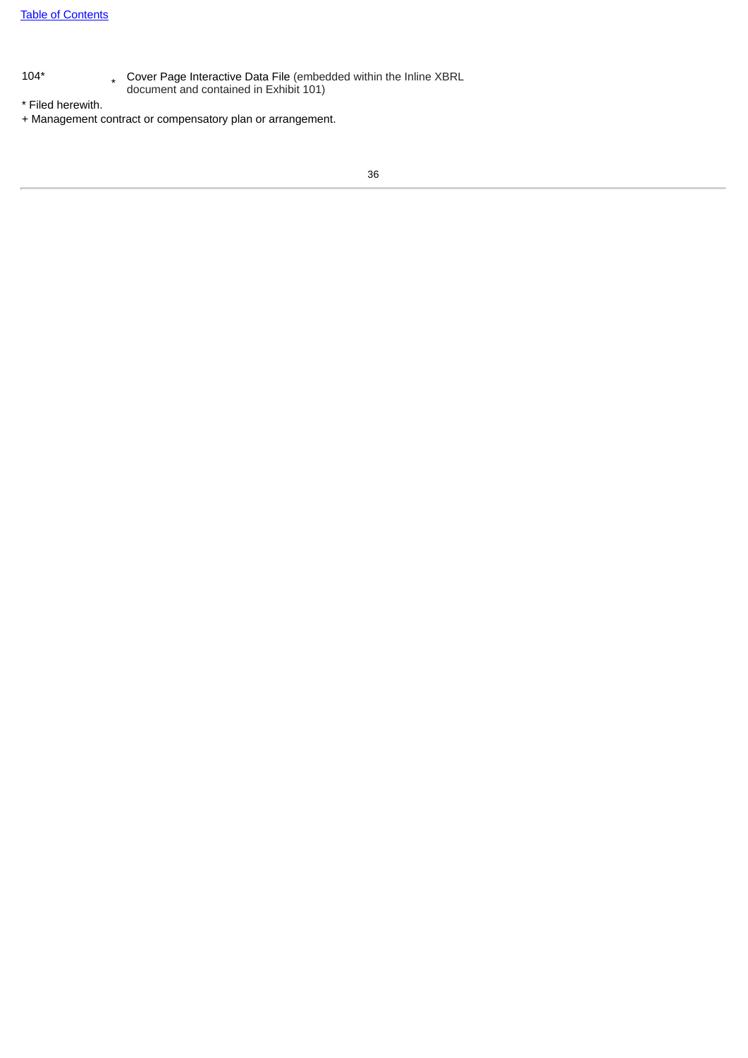104\*

\* Cover Page Interactive Data File (embedded within the Inline XBRL document and contained in Exhibit 101)

\* Filed herewith.

+ Management contract or compensatory plan or arrangement.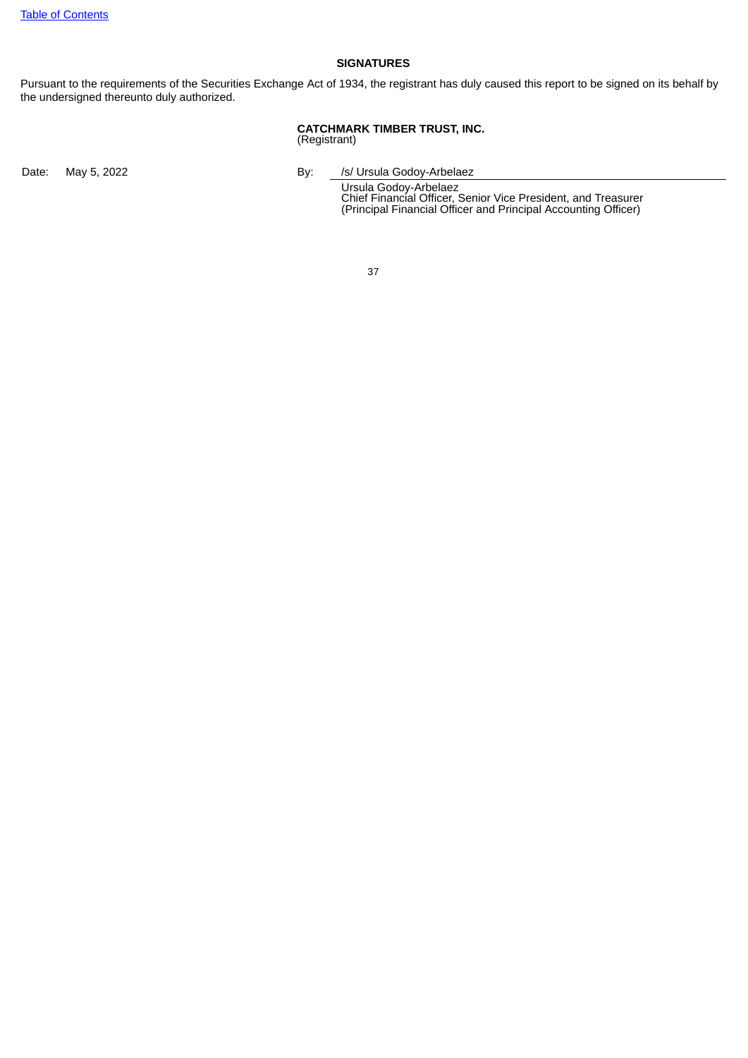#### **SIGNATURES**

Pursuant to the requirements of the Securities Exchange Act of 1934, the registrant has duly caused this report to be signed on its behalf by the undersigned thereunto duly authorized.

#### **CATCHMARK TIMBER TRUST, INC.** (Registrant)

Date: May 5, 2022 **By:** *Isl* Ursula Godoy-Arbelaez

Ursula Godoy-Arbelaez Chief Financial Officer, Senior Vice President, and Treasurer (Principal Financial Officer and Principal Accounting Officer)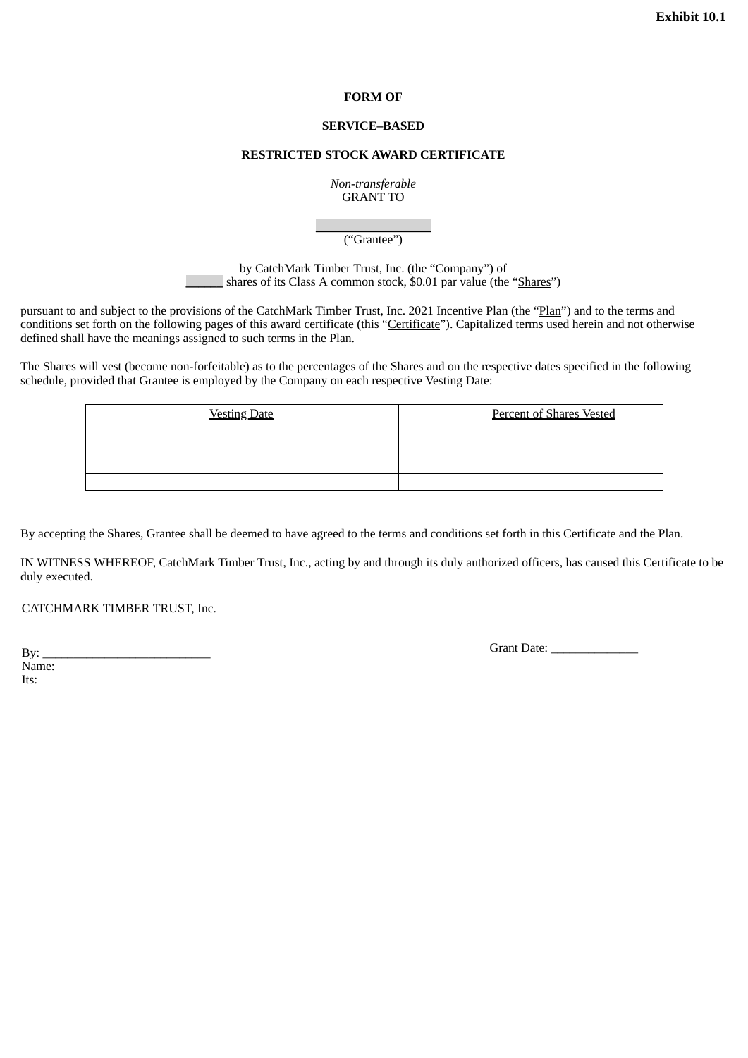# **FORM OF**

# **SERVICE–BASED**

# <span id="page-38-0"></span>**RESTRICTED STOCK AWARD CERTIFICATE**

*Non-transferable* GRANT TO

#### **\_\_\_\_\_\_\_\_ \_\_\_\_\_\_\_\_\_\_** ("Grantee")

by CatchMark Timber Trust, Inc. (the "Company") of shares of its Class A common stock, \$0.01 par value (the "Shares")

pursuant to and subject to the provisions of the CatchMark Timber Trust, Inc. 2021 Incentive Plan (the "Plan") and to the terms and conditions set forth on the following pages of this award certificate (this "Certificate"). Capitalized terms used herein and not otherwise defined shall have the meanings assigned to such terms in the Plan.

The Shares will vest (become non-forfeitable) as to the percentages of the Shares and on the respective dates specified in the following schedule, provided that Grantee is employed by the Company on each respective Vesting Date:

| <b>Vesting Date</b> | <b>Percent of Shares Vested</b> |
|---------------------|---------------------------------|
|                     |                                 |
|                     |                                 |
|                     |                                 |
|                     |                                 |

By accepting the Shares, Grantee shall be deemed to have agreed to the terms and conditions set forth in this Certificate and the Plan.

IN WITNESS WHEREOF, CatchMark Timber Trust, Inc., acting by and through its duly authorized officers, has caused this Certificate to be duly executed.

CATCHMARK TIMBER TRUST, Inc.

 $By:$ Name: Its:

Grant Date: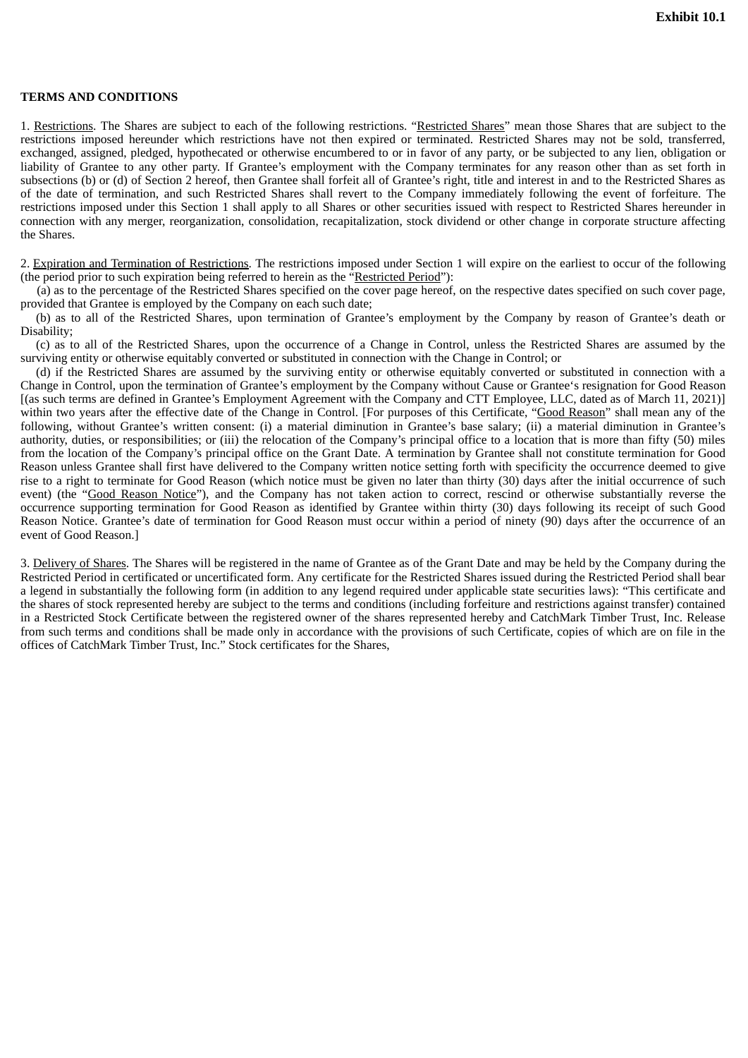#### **TERMS AND CONDITIONS**

1. Restrictions. The Shares are subject to each of the following restrictions. "Restricted Shares" mean those Shares that are subject to the restrictions imposed hereunder which restrictions have not then expired or terminated. Restricted Shares may not be sold, transferred, exchanged, assigned, pledged, hypothecated or otherwise encumbered to or in favor of any party, or be subjected to any lien, obligation or liability of Grantee to any other party. If Grantee's employment with the Company terminates for any reason other than as set forth in subsections (b) or (d) of Section 2 hereof, then Grantee shall forfeit all of Grantee's right, title and interest in and to the Restricted Shares as of the date of termination, and such Restricted Shares shall revert to the Company immediately following the event of forfeiture. The restrictions imposed under this Section 1 shall apply to all Shares or other securities issued with respect to Restricted Shares hereunder in connection with any merger, reorganization, consolidation, recapitalization, stock dividend or other change in corporate structure affecting the Shares.

2. Expiration and Termination of Restrictions. The restrictions imposed under Section 1 will expire on the earliest to occur of the following (the period prior to such expiration being referred to herein as the "Restricted Period"):

(a) as to the percentage of the Restricted Shares specified on the cover page hereof, on the respective dates specified on such cover page, provided that Grantee is employed by the Company on each such date;

(b) as to all of the Restricted Shares, upon termination of Grantee's employment by the Company by reason of Grantee's death or Disability;

(c) as to all of the Restricted Shares, upon the occurrence of a Change in Control, unless the Restricted Shares are assumed by the surviving entity or otherwise equitably converted or substituted in connection with the Change in Control; or

(d) if the Restricted Shares are assumed by the surviving entity or otherwise equitably converted or substituted in connection with a Change in Control, upon the termination of Grantee's employment by the Company without Cause or Grantee's resignation for Good Reason [(as such terms are defined in Grantee's Employment Agreement with the Company and CTT Employee, LLC, dated as of March 11, 2021)] within two years after the effective date of the Change in Control. [For purposes of this Certificate, "Good Reason" shall mean any of the following, without Grantee's written consent: (i) a material diminution in Grantee's base salary; (ii) a material diminution in Grantee's authority, duties, or responsibilities; or (iii) the relocation of the Company's principal office to a location that is more than fifty (50) miles from the location of the Company's principal office on the Grant Date. A termination by Grantee shall not constitute termination for Good Reason unless Grantee shall first have delivered to the Company written notice setting forth with specificity the occurrence deemed to give rise to a right to terminate for Good Reason (which notice must be given no later than thirty (30) days after the initial occurrence of such event) (the "Good Reason Notice"), and the Company has not taken action to correct, rescind or otherwise substantially reverse the occurrence supporting termination for Good Reason as identified by Grantee within thirty (30) days following its receipt of such Good Reason Notice. Grantee's date of termination for Good Reason must occur within a period of ninety (90) days after the occurrence of an event of Good Reason.]

3. Delivery of Shares. The Shares will be registered in the name of Grantee as of the Grant Date and may be held by the Company during the Restricted Period in certificated or uncertificated form. Any certificate for the Restricted Shares issued during the Restricted Period shall bear a legend in substantially the following form (in addition to any legend required under applicable state securities laws): "This certificate and the shares of stock represented hereby are subject to the terms and conditions (including forfeiture and restrictions against transfer) contained in a Restricted Stock Certificate between the registered owner of the shares represented hereby and CatchMark Timber Trust, Inc. Release from such terms and conditions shall be made only in accordance with the provisions of such Certificate, copies of which are on file in the offices of CatchMark Timber Trust, Inc." Stock certificates for the Shares,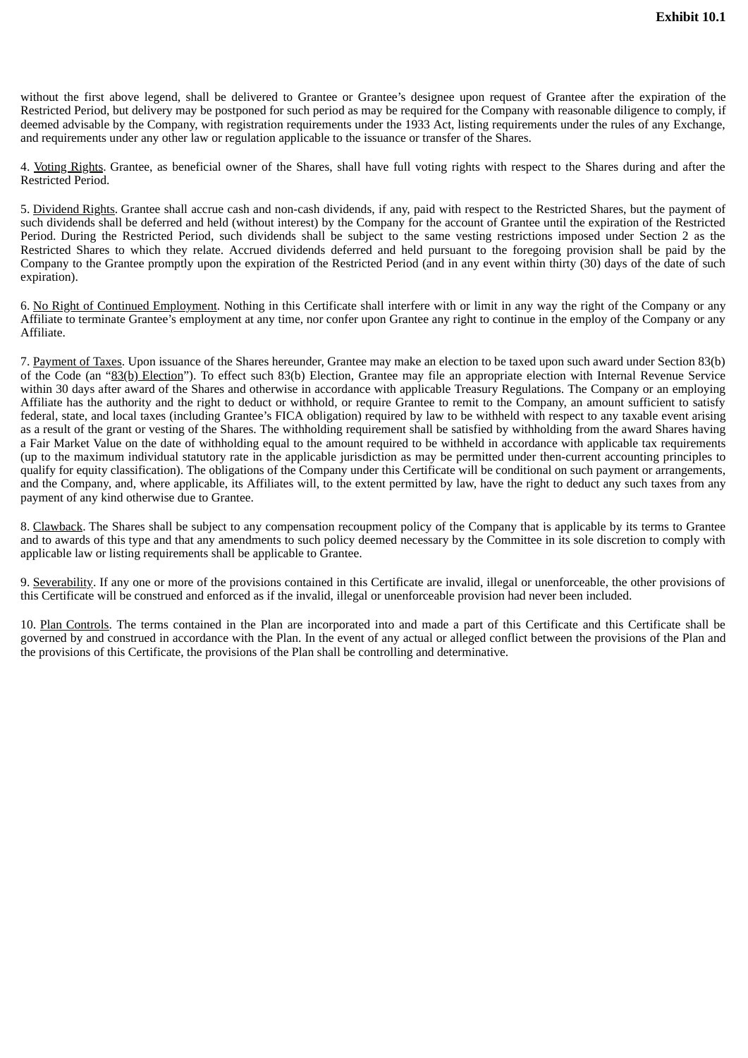without the first above legend, shall be delivered to Grantee or Grantee's designee upon request of Grantee after the expiration of the Restricted Period, but delivery may be postponed for such period as may be required for the Company with reasonable diligence to comply, if deemed advisable by the Company, with registration requirements under the 1933 Act, listing requirements under the rules of any Exchange, and requirements under any other law or regulation applicable to the issuance or transfer of the Shares.

4. Voting Rights. Grantee, as beneficial owner of the Shares, shall have full voting rights with respect to the Shares during and after the Restricted Period.

5. Dividend Rights. Grantee shall accrue cash and non-cash dividends, if any, paid with respect to the Restricted Shares, but the payment of such dividends shall be deferred and held (without interest) by the Company for the account of Grantee until the expiration of the Restricted Period. During the Restricted Period, such dividends shall be subject to the same vesting restrictions imposed under Section 2 as the Restricted Shares to which they relate. Accrued dividends deferred and held pursuant to the foregoing provision shall be paid by the Company to the Grantee promptly upon the expiration of the Restricted Period (and in any event within thirty (30) days of the date of such expiration).

6. No Right of Continued Employment. Nothing in this Certificate shall interfere with or limit in any way the right of the Company or any Affiliate to terminate Grantee's employment at any time, nor confer upon Grantee any right to continue in the employ of the Company or any Affiliate.

7. Payment of Taxes. Upon issuance of the Shares hereunder, Grantee may make an election to be taxed upon such award under Section 83(b) of the Code (an "83(b) Election"). To effect such 83(b) Election, Grantee may file an appropriate election with Internal Revenue Service within 30 days after award of the Shares and otherwise in accordance with applicable Treasury Regulations. The Company or an employing Affiliate has the authority and the right to deduct or withhold, or require Grantee to remit to the Company, an amount sufficient to satisfy federal, state, and local taxes (including Grantee's FICA obligation) required by law to be withheld with respect to any taxable event arising as a result of the grant or vesting of the Shares. The withholding requirement shall be satisfied by withholding from the award Shares having a Fair Market Value on the date of withholding equal to the amount required to be withheld in accordance with applicable tax requirements (up to the maximum individual statutory rate in the applicable jurisdiction as may be permitted under then-current accounting principles to qualify for equity classification). The obligations of the Company under this Certificate will be conditional on such payment or arrangements, and the Company, and, where applicable, its Affiliates will, to the extent permitted by law, have the right to deduct any such taxes from any payment of any kind otherwise due to Grantee.

8. Clawback. The Shares shall be subject to any compensation recoupment policy of the Company that is applicable by its terms to Grantee and to awards of this type and that any amendments to such policy deemed necessary by the Committee in its sole discretion to comply with applicable law or listing requirements shall be applicable to Grantee.

9. Severability. If any one or more of the provisions contained in this Certificate are invalid, illegal or unenforceable, the other provisions of this Certificate will be construed and enforced as if the invalid, illegal or unenforceable provision had never been included.

10. Plan Controls. The terms contained in the Plan are incorporated into and made a part of this Certificate and this Certificate shall be governed by and construed in accordance with the Plan. In the event of any actual or alleged conflict between the provisions of the Plan and the provisions of this Certificate, the provisions of the Plan shall be controlling and determinative.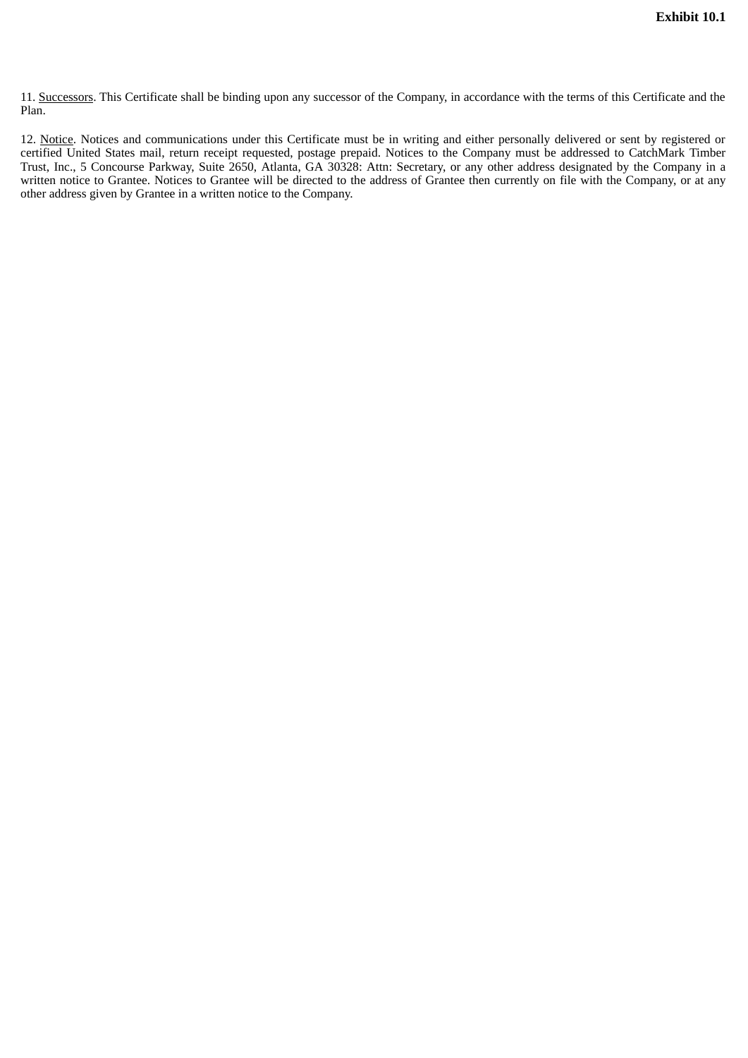11. Successors. This Certificate shall be binding upon any successor of the Company, in accordance with the terms of this Certificate and the Plan.

12. Notice. Notices and communications under this Certificate must be in writing and either personally delivered or sent by registered or certified United States mail, return receipt requested, postage prepaid. Notices to the Company must be addressed to CatchMark Timber Trust, Inc., 5 Concourse Parkway, Suite 2650, Atlanta, GA 30328: Attn: Secretary, or any other address designated by the Company in a written notice to Grantee. Notices to Grantee will be directed to the address of Grantee then currently on file with the Company, or at any other address given by Grantee in a written notice to the Company.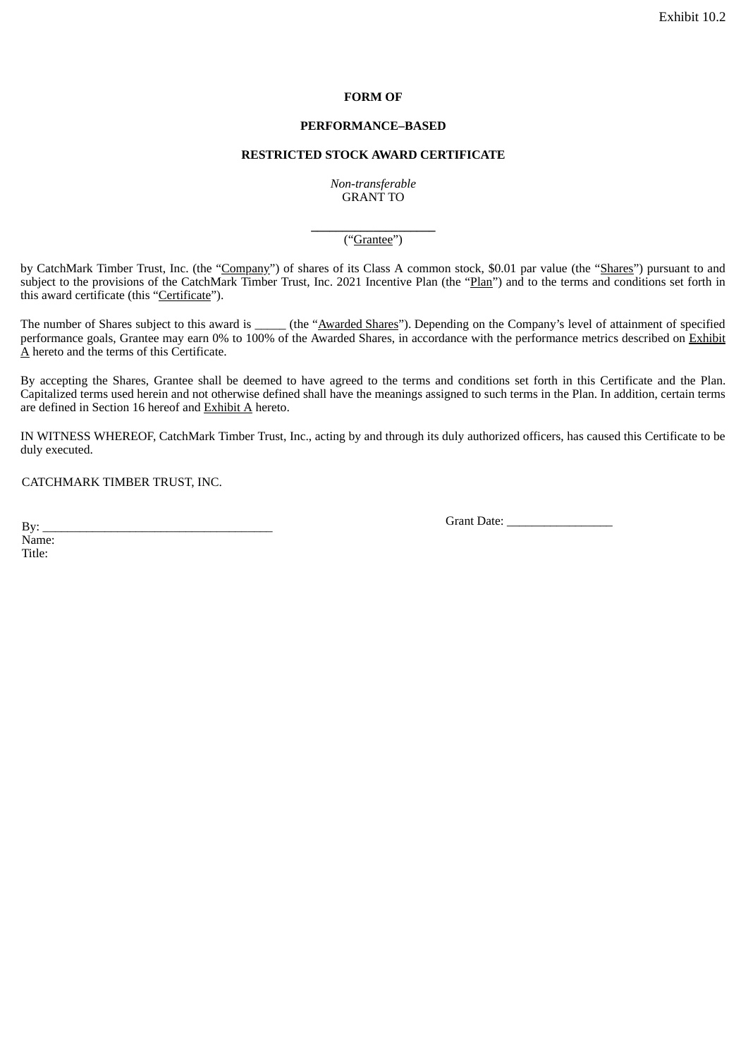# **FORM OF**

# **PERFORMANCE–BASED**

#### **RESTRICTED STOCK AWARD CERTIFICATE**

*Non-transferable* GRANT TO

#### **\_\_\_\_\_\_\_\_\_\_\_\_\_\_\_\_\_\_\_\_** ("Grantee")

<span id="page-42-0"></span>by CatchMark Timber Trust, Inc. (the "Company") of shares of its Class A common stock, \$0.01 par value (the "Shares") pursuant to and subject to the provisions of the CatchMark Timber Trust, Inc. 2021 Incentive Plan (the "Plan") and to the terms and conditions set forth in this award certificate (this "Certificate").

The number of Shares subject to this award is \_\_\_\_\_\_ (the "Awarded Shares"). Depending on the Company's level of attainment of specified performance goals, Grantee may earn 0% to 100% of the Awarded Shares, in accordance with the performance metrics described on Exhibit A hereto and the terms of this Certificate.

By accepting the Shares, Grantee shall be deemed to have agreed to the terms and conditions set forth in this Certificate and the Plan. Capitalized terms used herein and not otherwise defined shall have the meanings assigned to such terms in the Plan. In addition, certain terms are defined in Section 16 hereof and Exhibit A hereto.

IN WITNESS WHEREOF, CatchMark Timber Trust, Inc., acting by and through its duly authorized officers, has caused this Certificate to be duly executed.

CATCHMARK TIMBER TRUST, INC.

Grant Date: \_\_\_\_\_\_\_\_\_\_\_\_\_\_\_\_\_

By: $_$ Name: Title: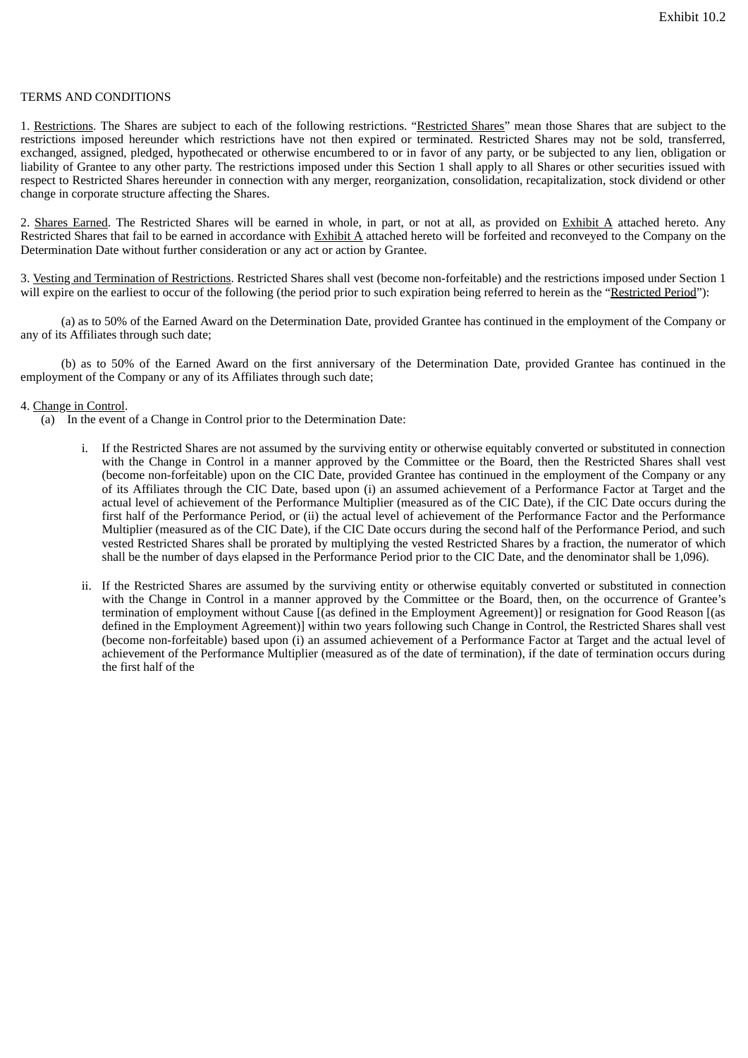# TERMS AND CONDITIONS

1. Restrictions. The Shares are subject to each of the following restrictions. "Restricted Shares" mean those Shares that are subject to the restrictions imposed hereunder which restrictions have not then expired or terminated. Restricted Shares may not be sold, transferred, exchanged, assigned, pledged, hypothecated or otherwise encumbered to or in favor of any party, or be subjected to any lien, obligation or liability of Grantee to any other party. The restrictions imposed under this Section 1 shall apply to all Shares or other securities issued with respect to Restricted Shares hereunder in connection with any merger, reorganization, consolidation, recapitalization, stock dividend or other change in corporate structure affecting the Shares.

2. Shares Earned. The Restricted Shares will be earned in whole, in part, or not at all, as provided on Exhibit A attached hereto. Any Restricted Shares that fail to be earned in accordance with Exhibit A attached hereto will be forfeited and reconveyed to the Company on the Determination Date without further consideration or any act or action by Grantee.

3. Vesting and Termination of Restrictions. Restricted Shares shall vest (become non-forfeitable) and the restrictions imposed under Section 1 will expire on the earliest to occur of the following (the period prior to such expiration being referred to herein as the "Restricted Period"):

(a) as to 50% of the Earned Award on the Determination Date, provided Grantee has continued in the employment of the Company or any of its Affiliates through such date;

(b) as to 50% of the Earned Award on the first anniversary of the Determination Date, provided Grantee has continued in the employment of the Company or any of its Affiliates through such date;

#### 4. Change in Control.

- (a) In the event of a Change in Control prior to the Determination Date:
	- i. If the Restricted Shares are not assumed by the surviving entity or otherwise equitably converted or substituted in connection with the Change in Control in a manner approved by the Committee or the Board, then the Restricted Shares shall vest (become non-forfeitable) upon on the CIC Date, provided Grantee has continued in the employment of the Company or any of its Affiliates through the CIC Date, based upon (i) an assumed achievement of a Performance Factor at Target and the actual level of achievement of the Performance Multiplier (measured as of the CIC Date), if the CIC Date occurs during the first half of the Performance Period, or (ii) the actual level of achievement of the Performance Factor and the Performance Multiplier (measured as of the CIC Date), if the CIC Date occurs during the second half of the Performance Period, and such vested Restricted Shares shall be prorated by multiplying the vested Restricted Shares by a fraction, the numerator of which shall be the number of days elapsed in the Performance Period prior to the CIC Date, and the denominator shall be 1,096).
	- ii. If the Restricted Shares are assumed by the surviving entity or otherwise equitably converted or substituted in connection with the Change in Control in a manner approved by the Committee or the Board, then, on the occurrence of Grantee's termination of employment without Cause [(as defined in the Employment Agreement)] or resignation for Good Reason [(as defined in the Employment Agreement)] within two years following such Change in Control, the Restricted Shares shall vest (become non-forfeitable) based upon (i) an assumed achievement of a Performance Factor at Target and the actual level of achievement of the Performance Multiplier (measured as of the date of termination), if the date of termination occurs during the first half of the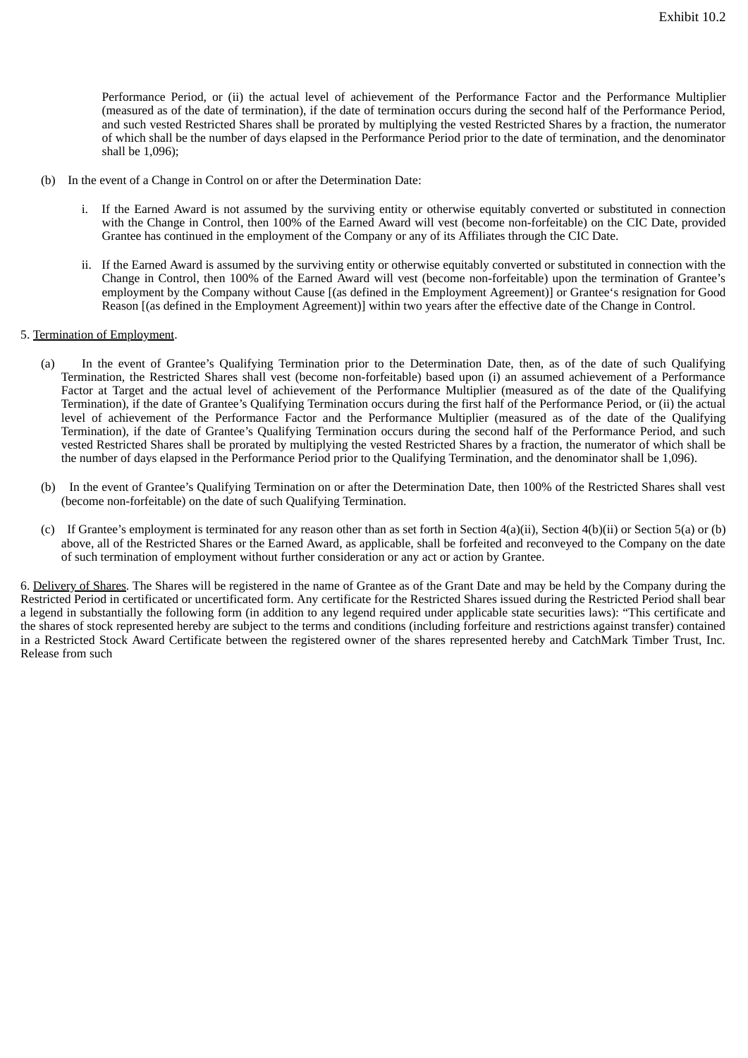Performance Period, or (ii) the actual level of achievement of the Performance Factor and the Performance Multiplier (measured as of the date of termination), if the date of termination occurs during the second half of the Performance Period, and such vested Restricted Shares shall be prorated by multiplying the vested Restricted Shares by a fraction, the numerator of which shall be the number of days elapsed in the Performance Period prior to the date of termination, and the denominator shall be 1,096);

- (b) In the event of a Change in Control on or after the Determination Date:
	- i. If the Earned Award is not assumed by the surviving entity or otherwise equitably converted or substituted in connection with the Change in Control, then 100% of the Earned Award will vest (become non-forfeitable) on the CIC Date, provided Grantee has continued in the employment of the Company or any of its Affiliates through the CIC Date.
	- ii. If the Earned Award is assumed by the surviving entity or otherwise equitably converted or substituted in connection with the Change in Control, then 100% of the Earned Award will vest (become non-forfeitable) upon the termination of Grantee's employment by the Company without Cause [(as defined in the Employment Agreement)] or Grantee's resignation for Good Reason [(as defined in the Employment Agreement)] within two years after the effective date of the Change in Control.

# 5. Termination of Employment.

- (a) In the event of Grantee's Qualifying Termination prior to the Determination Date, then, as of the date of such Qualifying Termination, the Restricted Shares shall vest (become non-forfeitable) based upon (i) an assumed achievement of a Performance Factor at Target and the actual level of achievement of the Performance Multiplier (measured as of the date of the Qualifying Termination), if the date of Grantee's Qualifying Termination occurs during the first half of the Performance Period, or (ii) the actual level of achievement of the Performance Factor and the Performance Multiplier (measured as of the date of the Qualifying Termination), if the date of Grantee's Qualifying Termination occurs during the second half of the Performance Period, and such vested Restricted Shares shall be prorated by multiplying the vested Restricted Shares by a fraction, the numerator of which shall be the number of days elapsed in the Performance Period prior to the Qualifying Termination, and the denominator shall be 1,096).
- (b) In the event of Grantee's Qualifying Termination on or after the Determination Date, then 100% of the Restricted Shares shall vest (become non-forfeitable) on the date of such Qualifying Termination.
- (c) If Grantee's employment is terminated for any reason other than as set forth in Section 4(a)(ii), Section 4(b)(ii) or Section 5(a) or (b) above, all of the Restricted Shares or the Earned Award, as applicable, shall be forfeited and reconveyed to the Company on the date of such termination of employment without further consideration or any act or action by Grantee.

6. Delivery of Shares. The Shares will be registered in the name of Grantee as of the Grant Date and may be held by the Company during the Restricted Period in certificated or uncertificated form. Any certificate for the Restricted Shares issued during the Restricted Period shall bear a legend in substantially the following form (in addition to any legend required under applicable state securities laws): "This certificate and the shares of stock represented hereby are subject to the terms and conditions (including forfeiture and restrictions against transfer) contained in a Restricted Stock Award Certificate between the registered owner of the shares represented hereby and CatchMark Timber Trust, Inc. Release from such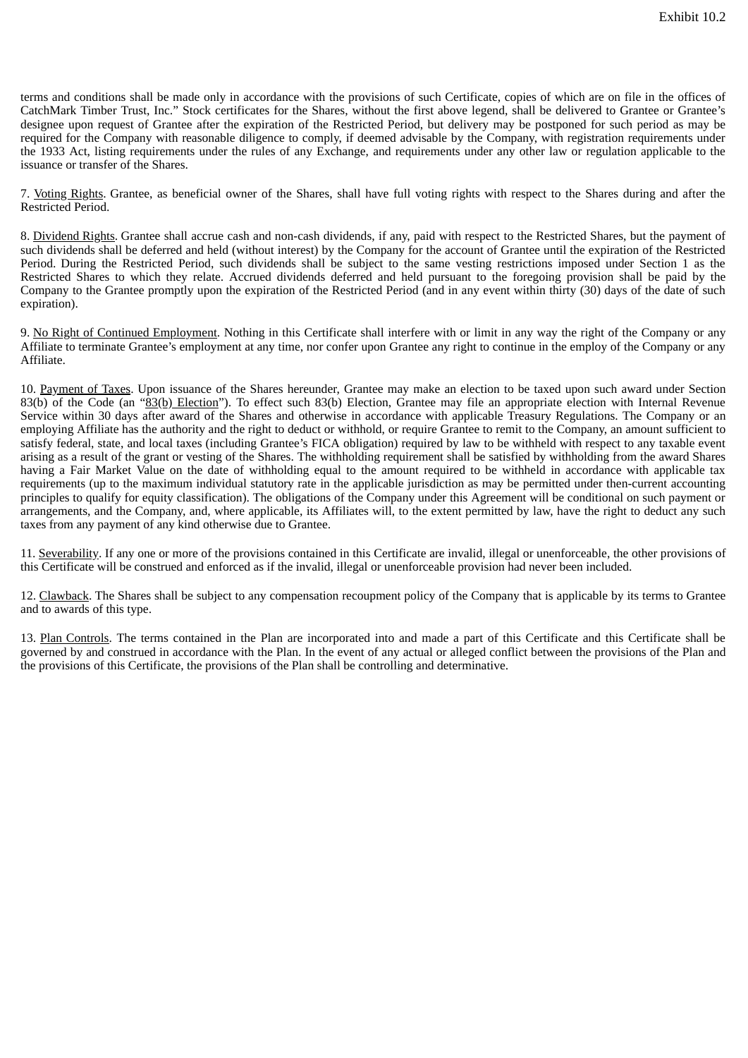terms and conditions shall be made only in accordance with the provisions of such Certificate, copies of which are on file in the offices of CatchMark Timber Trust, Inc." Stock certificates for the Shares, without the first above legend, shall be delivered to Grantee or Grantee's designee upon request of Grantee after the expiration of the Restricted Period, but delivery may be postponed for such period as may be required for the Company with reasonable diligence to comply, if deemed advisable by the Company, with registration requirements under the 1933 Act, listing requirements under the rules of any Exchange, and requirements under any other law or regulation applicable to the issuance or transfer of the Shares.

7. Voting Rights. Grantee, as beneficial owner of the Shares, shall have full voting rights with respect to the Shares during and after the Restricted Period.

8. Dividend Rights. Grantee shall accrue cash and non-cash dividends, if any, paid with respect to the Restricted Shares, but the payment of such dividends shall be deferred and held (without interest) by the Company for the account of Grantee until the expiration of the Restricted Period. During the Restricted Period, such dividends shall be subject to the same vesting restrictions imposed under Section 1 as the Restricted Shares to which they relate. Accrued dividends deferred and held pursuant to the foregoing provision shall be paid by the Company to the Grantee promptly upon the expiration of the Restricted Period (and in any event within thirty (30) days of the date of such expiration).

9. No Right of Continued Employment. Nothing in this Certificate shall interfere with or limit in any way the right of the Company or any Affiliate to terminate Grantee's employment at any time, nor confer upon Grantee any right to continue in the employ of the Company or any Affiliate.

10. Payment of Taxes. Upon issuance of the Shares hereunder, Grantee may make an election to be taxed upon such award under Section 83(b) of the Code (an "83(b) Election"). To effect such 83(b) Election, Grantee may file an appropriate election with Internal Revenue Service within 30 days after award of the Shares and otherwise in accordance with applicable Treasury Regulations. The Company or an employing Affiliate has the authority and the right to deduct or withhold, or require Grantee to remit to the Company, an amount sufficient to satisfy federal, state, and local taxes (including Grantee's FICA obligation) required by law to be withheld with respect to any taxable event arising as a result of the grant or vesting of the Shares. The withholding requirement shall be satisfied by withholding from the award Shares having a Fair Market Value on the date of withholding equal to the amount required to be withheld in accordance with applicable tax requirements (up to the maximum individual statutory rate in the applicable jurisdiction as may be permitted under then-current accounting principles to qualify for equity classification). The obligations of the Company under this Agreement will be conditional on such payment or arrangements, and the Company, and, where applicable, its Affiliates will, to the extent permitted by law, have the right to deduct any such taxes from any payment of any kind otherwise due to Grantee.

11. Severability. If any one or more of the provisions contained in this Certificate are invalid, illegal or unenforceable, the other provisions of this Certificate will be construed and enforced as if the invalid, illegal or unenforceable provision had never been included.

12. Clawback. The Shares shall be subject to any compensation recoupment policy of the Company that is applicable by its terms to Grantee and to awards of this type.

13. Plan Controls. The terms contained in the Plan are incorporated into and made a part of this Certificate and this Certificate shall be governed by and construed in accordance with the Plan. In the event of any actual or alleged conflict between the provisions of the Plan and the provisions of this Certificate, the provisions of the Plan shall be controlling and determinative.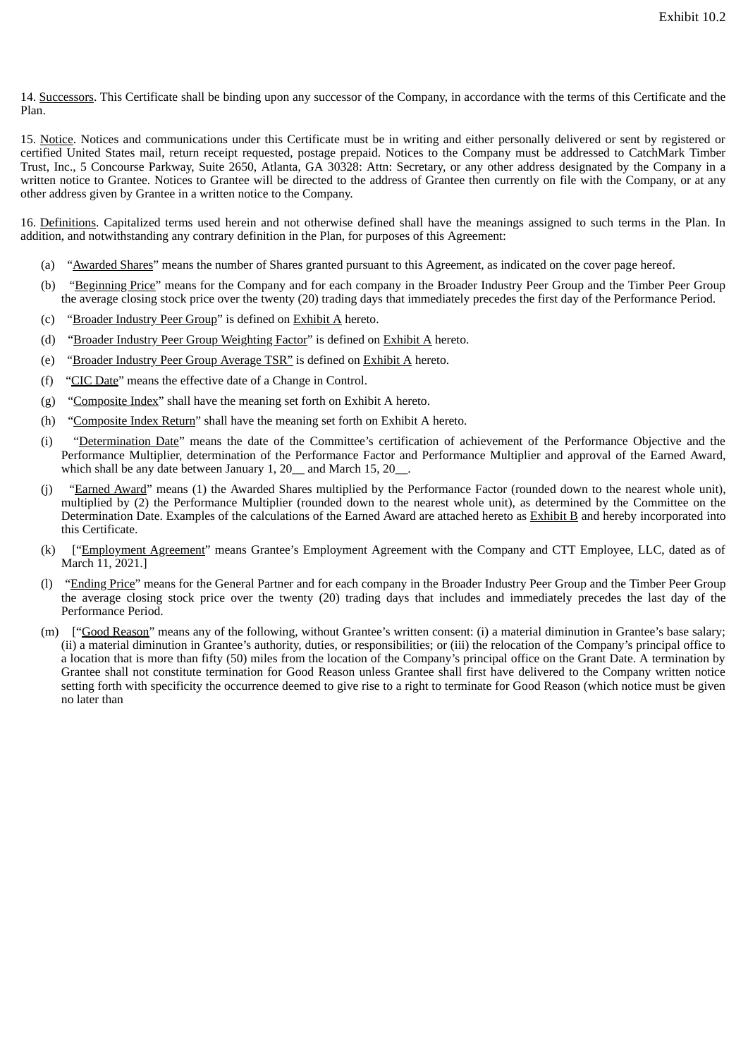14. Successors. This Certificate shall be binding upon any successor of the Company, in accordance with the terms of this Certificate and the Plan.

15. Notice. Notices and communications under this Certificate must be in writing and either personally delivered or sent by registered or certified United States mail, return receipt requested, postage prepaid. Notices to the Company must be addressed to CatchMark Timber Trust, Inc., 5 Concourse Parkway, Suite 2650, Atlanta, GA 30328: Attn: Secretary, or any other address designated by the Company in a written notice to Grantee. Notices to Grantee will be directed to the address of Grantee then currently on file with the Company, or at any other address given by Grantee in a written notice to the Company.

16. Definitions. Capitalized terms used herein and not otherwise defined shall have the meanings assigned to such terms in the Plan. In addition, and notwithstanding any contrary definition in the Plan, for purposes of this Agreement:

- (a) "Awarded Shares" means the number of Shares granted pursuant to this Agreement, as indicated on the cover page hereof.
- (b) "Beginning Price" means for the Company and for each company in the Broader Industry Peer Group and the Timber Peer Group the average closing stock price over the twenty (20) trading days that immediately precedes the first day of the Performance Period.
- (c) "Broader Industry Peer Group" is defined on Exhibit A hereto.
- (d) "Broader Industry Peer Group Weighting Factor" is defined on Exhibit A hereto.
- (e) "Broader Industry Peer Group Average TSR" is defined on Exhibit A hereto.
- (f) "CIC Date" means the effective date of a Change in Control.
- (g) "Composite Index" shall have the meaning set forth on Exhibit A hereto.
- (h) "Composite Index Return" shall have the meaning set forth on Exhibit A hereto.
- (i) "Determination Date" means the date of the Committee's certification of achievement of the Performance Objective and the Performance Multiplier, determination of the Performance Factor and Performance Multiplier and approval of the Earned Award, which shall be any date between January 1, 20 and March 15, 20.
- (j) "Earned Award" means (1) the Awarded Shares multiplied by the Performance Factor (rounded down to the nearest whole unit), multiplied by (2) the Performance Multiplier (rounded down to the nearest whole unit), as determined by the Committee on the Determination Date. Examples of the calculations of the Earned Award are attached hereto as Exhibit B and hereby incorporated into this Certificate.
- (k) ["Employment Agreement" means Grantee's Employment Agreement with the Company and CTT Employee, LLC, dated as of March 11, 2021.]
- (l) "Ending Price" means for the General Partner and for each company in the Broader Industry Peer Group and the Timber Peer Group the average closing stock price over the twenty (20) trading days that includes and immediately precedes the last day of the Performance Period.
- (m) ["Good Reason" means any of the following, without Grantee's written consent: (i) a material diminution in Grantee's base salary; (ii) a material diminution in Grantee's authority, duties, or responsibilities; or (iii) the relocation of the Company's principal office to a location that is more than fifty (50) miles from the location of the Company's principal office on the Grant Date. A termination by Grantee shall not constitute termination for Good Reason unless Grantee shall first have delivered to the Company written notice setting forth with specificity the occurrence deemed to give rise to a right to terminate for Good Reason (which notice must be given no later than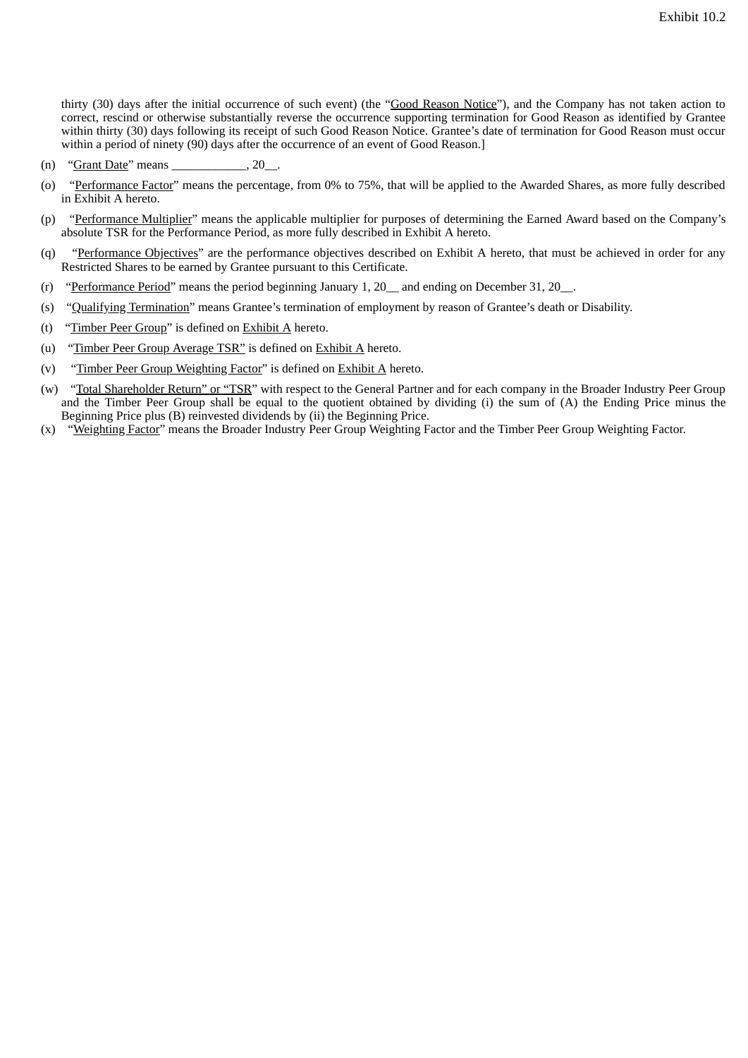thirty (30) days after the initial occurrence of such event) (the "Good Reason Notice"), and the Company has not taken action to correct, rescind or otherwise substantially reverse the occurrence supporting termination for Good Reason as identified by Grantee within thirty (30) days following its receipt of such Good Reason Notice. Grantee's date of termination for Good Reason must occur within a period of ninety (90) days after the occurrence of an event of Good Reason.]

- (n) "Grant Date" means , 20
- (o) "Performance Factor" means the percentage, from 0% to 75%, that will be applied to the Awarded Shares, as more fully described in Exhibit A hereto.
- (p) "Performance Multiplier" means the applicable multiplier for purposes of determining the Earned Award based on the Company's absolute TSR for the Performance Period, as more fully described in Exhibit A hereto.
- (q) "Performance Objectives" are the performance objectives described on Exhibit A hereto, that must be achieved in order for any Restricted Shares to be earned by Grantee pursuant to this Certificate.
- (r) "Performance Period" means the period beginning January 1, 20\_\_ and ending on December 31, 20\_\_.
- (s) "Qualifying Termination" means Grantee's termination of employment by reason of Grantee's death or Disability.
- (t) "Timber Peer Group" is defined on Exhibit A hereto.
- (u) "Timber Peer Group Average TSR" is defined on Exhibit A hereto.
- (v) "Timber Peer Group Weighting Factor" is defined on  $Exhibit A$  hereto.
- (w) "Total Shareholder Return" or "TSR" with respect to the General Partner and for each company in the Broader Industry Peer Group and the Timber Peer Group shall be equal to the quotient obtained by dividing (i) the sum of (A) the Ending Price minus the Beginning Price plus (B) reinvested dividends by (ii) the Beginning Price.
- (x) "Weighting Factor" means the Broader Industry Peer Group Weighting Factor and the Timber Peer Group Weighting Factor.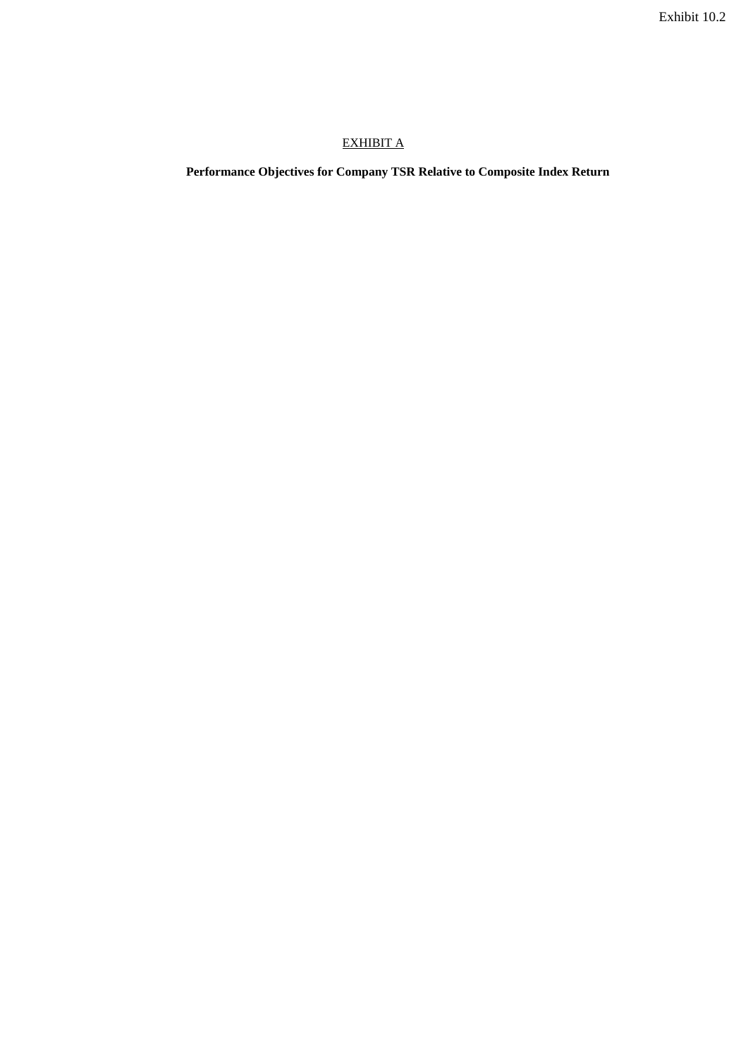# EXHIBIT A

**Performance Objectives for Company TSR Relative to Composite Index Return**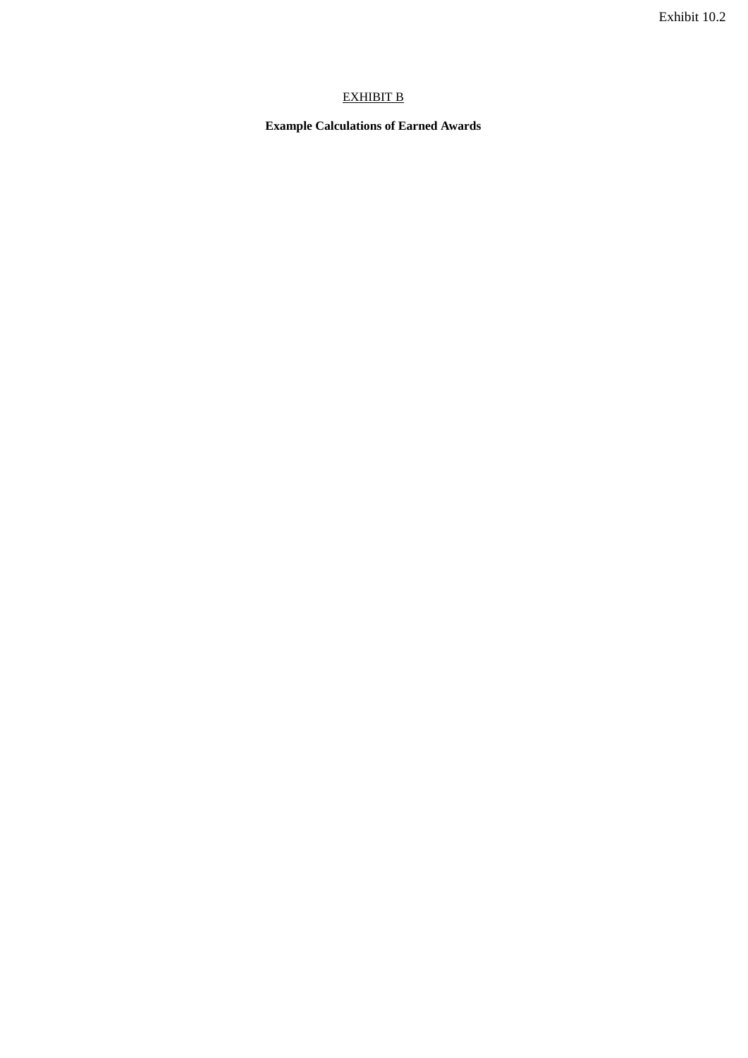# EXHIBIT B

**Example Calculations of Earned Awards**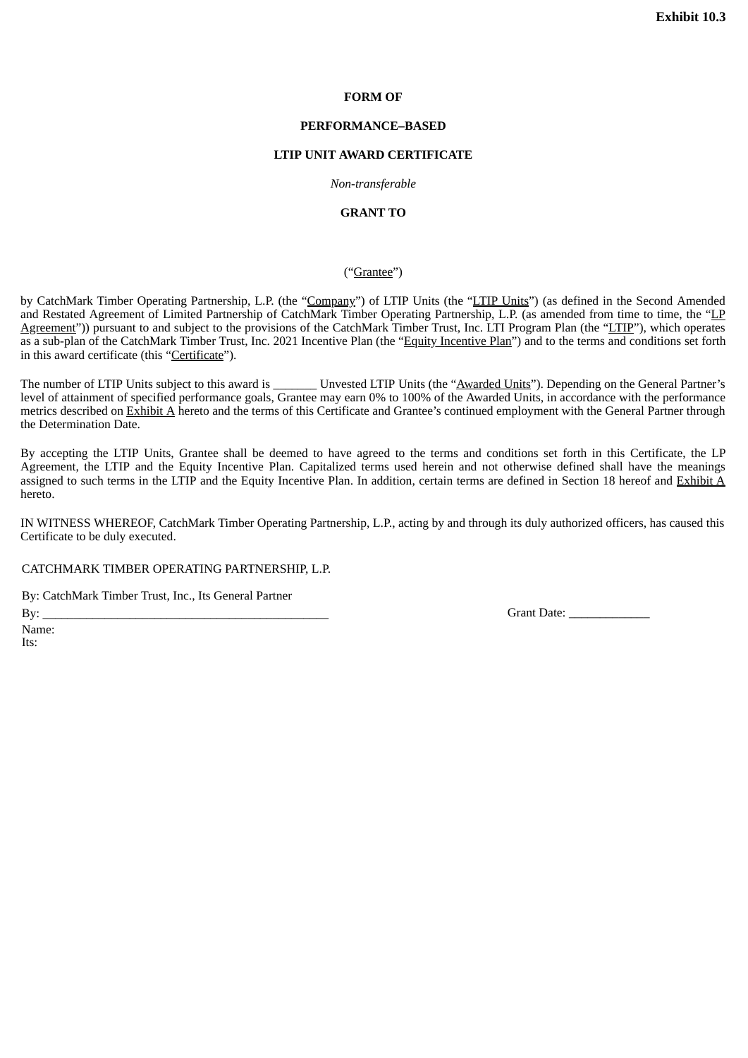# **FORM OF**

#### **PERFORMANCE–BASED**

# **LTIP UNIT AWARD CERTIFICATE**

#### *Non-transferable*

# **GRANT TO**

# ("Grantee")

<span id="page-50-0"></span>by CatchMark Timber Operating Partnership, L.P. (the "Company") of LTIP Units (the "LTIP Units") (as defined in the Second Amended and Restated Agreement of Limited Partnership of CatchMark Timber Operating Partnership, L.P. (as amended from time to time, the "LP Agreement")) pursuant to and subject to the provisions of the CatchMark Timber Trust, Inc. LTI Program Plan (the "LTIP"), which operates as a sub-plan of the CatchMark Timber Trust, Inc. 2021 Incentive Plan (the "Equity Incentive Plan") and to the terms and conditions set forth in this award certificate (this "Certificate").

The number of LTIP Units subject to this award is **Unvested LTIP Units (the "Awarded Units"**). Depending on the General Partner's level of attainment of specified performance goals, Grantee may earn 0% to 100% of the Awarded Units, in accordance with the performance metrics described on **Exhibit A** hereto and the terms of this Certificate and Grantee's continued employment with the General Partner through the Determination Date.

By accepting the LTIP Units, Grantee shall be deemed to have agreed to the terms and conditions set forth in this Certificate, the LP Agreement, the LTIP and the Equity Incentive Plan. Capitalized terms used herein and not otherwise defined shall have the meanings assigned to such terms in the LTIP and the Equity Incentive Plan. In addition, certain terms are defined in Section 18 hereof and Exhibit A hereto.

IN WITNESS WHEREOF, CatchMark Timber Operating Partnership, L.P., acting by and through its duly authorized officers, has caused this Certificate to be duly executed.

#### CATCHMARK TIMBER OPERATING PARTNERSHIP, L.P.

By: CatchMark Timber Trust, Inc., Its General Partner

By: Grant Date: Name:

Its: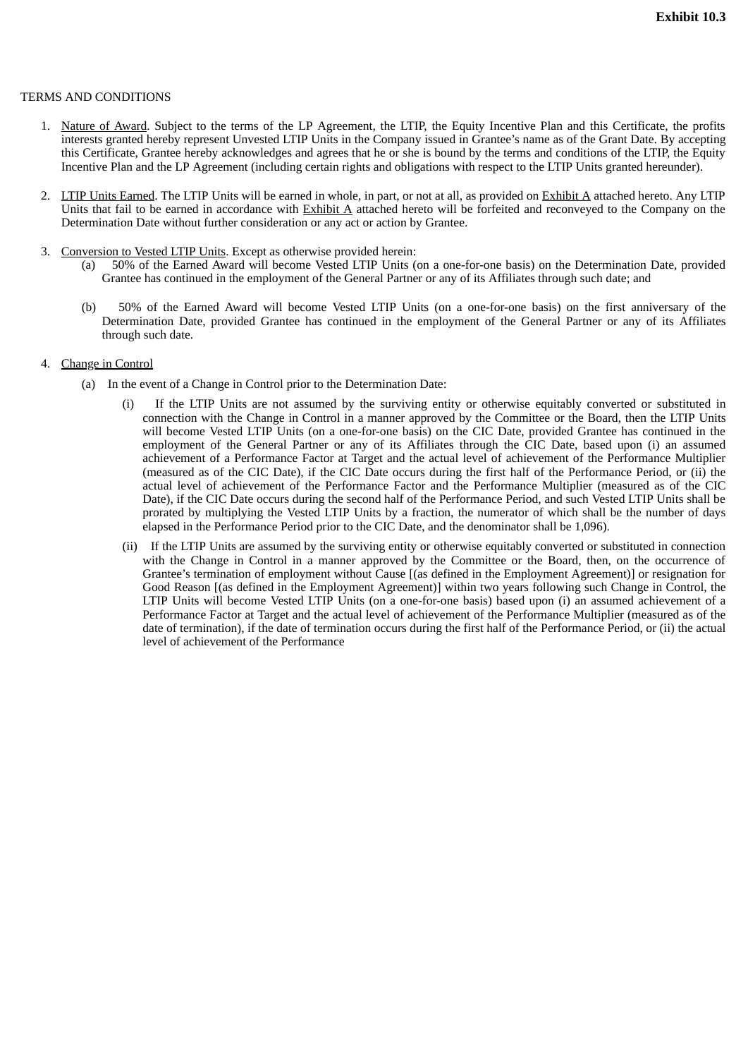# TERMS AND CONDITIONS

- 1. Nature of Award. Subject to the terms of the LP Agreement, the LTIP, the Equity Incentive Plan and this Certificate, the profits interests granted hereby represent Unvested LTIP Units in the Company issued in Grantee's name as of the Grant Date. By accepting this Certificate, Grantee hereby acknowledges and agrees that he or she is bound by the terms and conditions of the LTIP, the Equity Incentive Plan and the LP Agreement (including certain rights and obligations with respect to the LTIP Units granted hereunder).
- 2. LTIP Units Earned. The LTIP Units will be earned in whole, in part, or not at all, as provided on Exhibit A attached hereto. Any LTIP Units that fail to be earned in accordance with  $Exhibit A$  attached hereto will be forfeited and reconveyed to the Company on the Determination Date without further consideration or any act or action by Grantee.
- 3. Conversion to Vested LTIP Units. Except as otherwise provided herein:
	- (a) 50% of the Earned Award will become Vested LTIP Units (on a one-for-one basis) on the Determination Date, provided Grantee has continued in the employment of the General Partner or any of its Affiliates through such date; and
	- (b) 50% of the Earned Award will become Vested LTIP Units (on a one-for-one basis) on the first anniversary of the Determination Date, provided Grantee has continued in the employment of the General Partner or any of its Affiliates through such date.
- 4. Change in Control
	- (a) In the event of a Change in Control prior to the Determination Date:
		- (i) If the LTIP Units are not assumed by the surviving entity or otherwise equitably converted or substituted in connection with the Change in Control in a manner approved by the Committee or the Board, then the LTIP Units will become Vested LTIP Units (on a one-for-one basis) on the CIC Date, provided Grantee has continued in the employment of the General Partner or any of its Affiliates through the CIC Date, based upon (i) an assumed achievement of a Performance Factor at Target and the actual level of achievement of the Performance Multiplier (measured as of the CIC Date), if the CIC Date occurs during the first half of the Performance Period, or (ii) the actual level of achievement of the Performance Factor and the Performance Multiplier (measured as of the CIC Date), if the CIC Date occurs during the second half of the Performance Period, and such Vested LTIP Units shall be prorated by multiplying the Vested LTIP Units by a fraction, the numerator of which shall be the number of days elapsed in the Performance Period prior to the CIC Date, and the denominator shall be 1,096).
		- (ii) If the LTIP Units are assumed by the surviving entity or otherwise equitably converted or substituted in connection with the Change in Control in a manner approved by the Committee or the Board, then, on the occurrence of Grantee's termination of employment without Cause [(as defined in the Employment Agreement)] or resignation for Good Reason [(as defined in the Employment Agreement)] within two years following such Change in Control, the LTIP Units will become Vested LTIP Units (on a one-for-one basis) based upon (i) an assumed achievement of a Performance Factor at Target and the actual level of achievement of the Performance Multiplier (measured as of the date of termination), if the date of termination occurs during the first half of the Performance Period, or (ii) the actual level of achievement of the Performance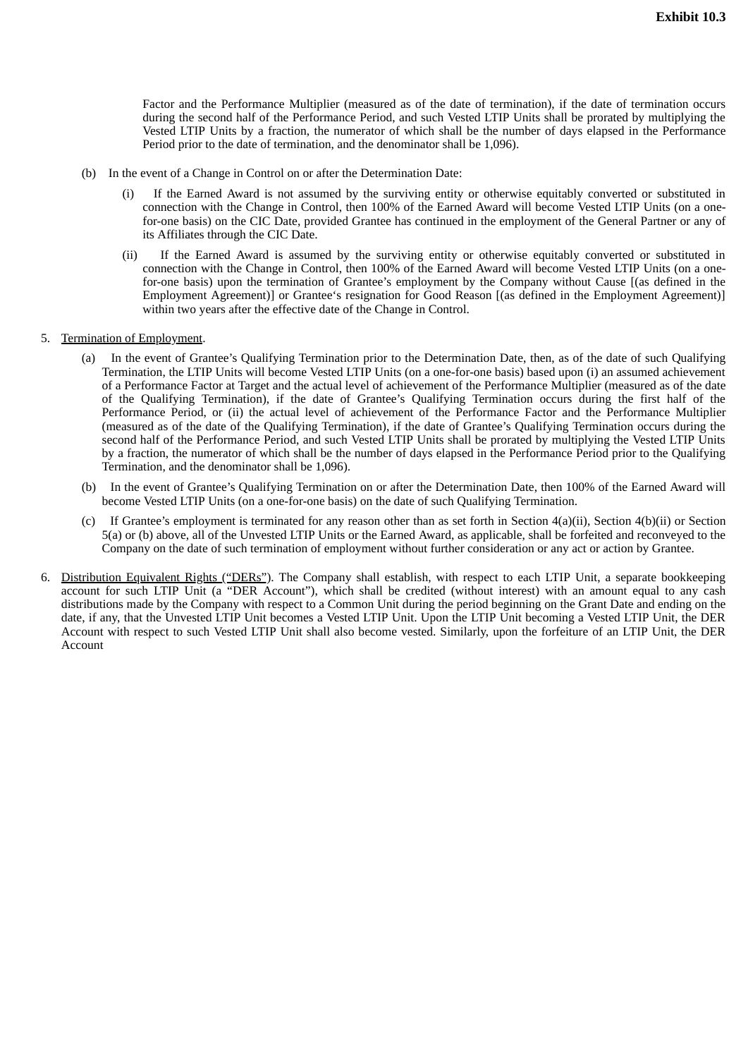Factor and the Performance Multiplier (measured as of the date of termination), if the date of termination occurs during the second half of the Performance Period, and such Vested LTIP Units shall be prorated by multiplying the Vested LTIP Units by a fraction, the numerator of which shall be the number of days elapsed in the Performance Period prior to the date of termination, and the denominator shall be 1,096).

- (b) In the event of a Change in Control on or after the Determination Date:
	- (i) If the Earned Award is not assumed by the surviving entity or otherwise equitably converted or substituted in connection with the Change in Control, then 100% of the Earned Award will become Vested LTIP Units (on a onefor-one basis) on the CIC Date, provided Grantee has continued in the employment of the General Partner or any of its Affiliates through the CIC Date.
	- (ii) If the Earned Award is assumed by the surviving entity or otherwise equitably converted or substituted in connection with the Change in Control, then 100% of the Earned Award will become Vested LTIP Units (on a onefor-one basis) upon the termination of Grantee's employment by the Company without Cause [(as defined in the Employment Agreement)] or Grantee's resignation for Good Reason [(as defined in the Employment Agreement)] within two years after the effective date of the Change in Control.
- 5. Termination of Employment.
	- (a) In the event of Grantee's Qualifying Termination prior to the Determination Date, then, as of the date of such Qualifying Termination, the LTIP Units will become Vested LTIP Units (on a one-for-one basis) based upon (i) an assumed achievement of a Performance Factor at Target and the actual level of achievement of the Performance Multiplier (measured as of the date of the Qualifying Termination), if the date of Grantee's Qualifying Termination occurs during the first half of the Performance Period, or (ii) the actual level of achievement of the Performance Factor and the Performance Multiplier (measured as of the date of the Qualifying Termination), if the date of Grantee's Qualifying Termination occurs during the second half of the Performance Period, and such Vested LTIP Units shall be prorated by multiplying the Vested LTIP Units by a fraction, the numerator of which shall be the number of days elapsed in the Performance Period prior to the Qualifying Termination, and the denominator shall be 1,096).
	- In the event of Grantee's Qualifying Termination on or after the Determination Date, then 100% of the Earned Award will become Vested LTIP Units (on a one-for-one basis) on the date of such Qualifying Termination.
	- (c) If Grantee's employment is terminated for any reason other than as set forth in Section 4(a)(ii), Section 4(b)(ii) or Section 5(a) or (b) above, all of the Unvested LTIP Units or the Earned Award, as applicable, shall be forfeited and reconveyed to the Company on the date of such termination of employment without further consideration or any act or action by Grantee.
- 6. Distribution Equivalent Rights ("DERs"). The Company shall establish, with respect to each LTIP Unit, a separate bookkeeping account for such LTIP Unit (a "DER Account"), which shall be credited (without interest) with an amount equal to any cash distributions made by the Company with respect to a Common Unit during the period beginning on the Grant Date and ending on the date, if any, that the Unvested LTIP Unit becomes a Vested LTIP Unit. Upon the LTIP Unit becoming a Vested LTIP Unit, the DER Account with respect to such Vested LTIP Unit shall also become vested. Similarly, upon the forfeiture of an LTIP Unit, the DER Account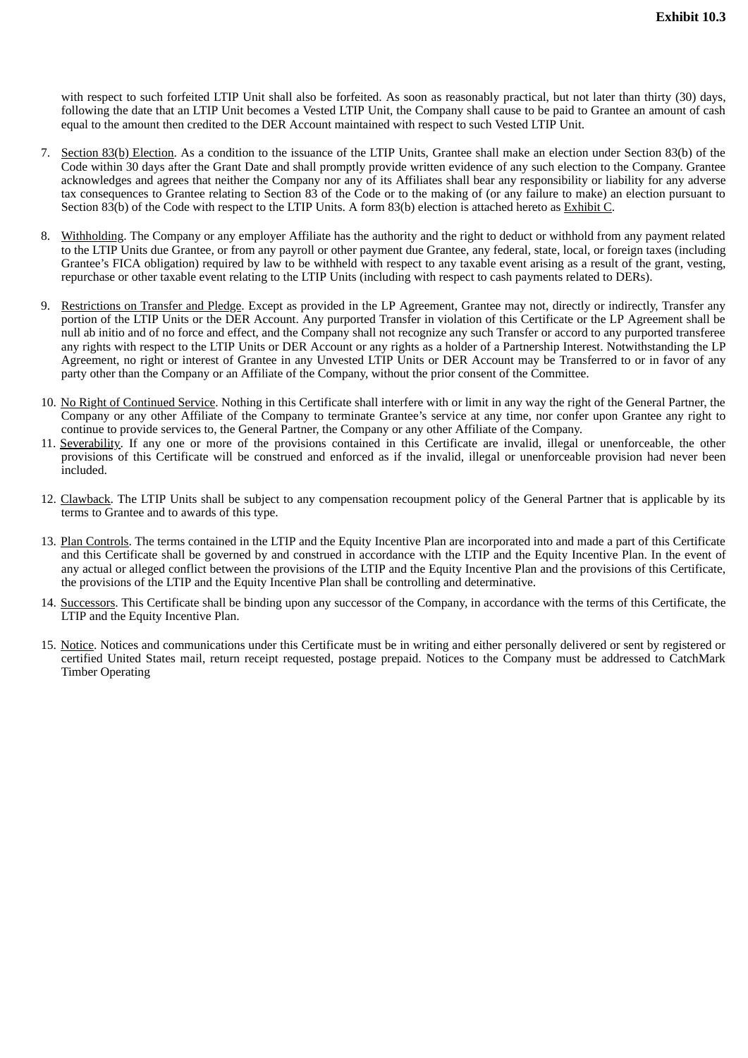with respect to such forfeited LTIP Unit shall also be forfeited. As soon as reasonably practical, but not later than thirty (30) days, following the date that an LTIP Unit becomes a Vested LTIP Unit, the Company shall cause to be paid to Grantee an amount of cash equal to the amount then credited to the DER Account maintained with respect to such Vested LTIP Unit.

- 7. Section 83(b) Election. As a condition to the issuance of the LTIP Units, Grantee shall make an election under Section 83(b) of the Code within 30 days after the Grant Date and shall promptly provide written evidence of any such election to the Company. Grantee acknowledges and agrees that neither the Company nor any of its Affiliates shall bear any responsibility or liability for any adverse tax consequences to Grantee relating to Section 83 of the Code or to the making of (or any failure to make) an election pursuant to Section 83(b) of the Code with respect to the LTIP Units. A form 83(b) election is attached hereto as Exhibit C.
- 8. Withholding. The Company or any employer Affiliate has the authority and the right to deduct or withhold from any payment related to the LTIP Units due Grantee, or from any payroll or other payment due Grantee, any federal, state, local, or foreign taxes (including Grantee's FICA obligation) required by law to be withheld with respect to any taxable event arising as a result of the grant, vesting, repurchase or other taxable event relating to the LTIP Units (including with respect to cash payments related to DERs).
- 9. Restrictions on Transfer and Pledge. Except as provided in the LP Agreement, Grantee may not, directly or indirectly, Transfer any portion of the LTIP Units or the DER Account. Any purported Transfer in violation of this Certificate or the LP Agreement shall be null ab initio and of no force and effect, and the Company shall not recognize any such Transfer or accord to any purported transferee any rights with respect to the LTIP Units or DER Account or any rights as a holder of a Partnership Interest. Notwithstanding the LP Agreement, no right or interest of Grantee in any Unvested LTIP Units or DER Account may be Transferred to or in favor of any party other than the Company or an Affiliate of the Company, without the prior consent of the Committee.
- 10. No Right of Continued Service. Nothing in this Certificate shall interfere with or limit in any way the right of the General Partner, the Company or any other Affiliate of the Company to terminate Grantee's service at any time, nor confer upon Grantee any right to continue to provide services to, the General Partner, the Company or any other Affiliate of the Company.
- 11. Severability. If any one or more of the provisions contained in this Certificate are invalid, illegal or unenforceable, the other provisions of this Certificate will be construed and enforced as if the invalid, illegal or unenforceable provision had never been included.
- 12. Clawback. The LTIP Units shall be subject to any compensation recoupment policy of the General Partner that is applicable by its terms to Grantee and to awards of this type.
- 13. Plan Controls. The terms contained in the LTIP and the Equity Incentive Plan are incorporated into and made a part of this Certificate and this Certificate shall be governed by and construed in accordance with the LTIP and the Equity Incentive Plan. In the event of any actual or alleged conflict between the provisions of the LTIP and the Equity Incentive Plan and the provisions of this Certificate, the provisions of the LTIP and the Equity Incentive Plan shall be controlling and determinative.
- 14. Successors. This Certificate shall be binding upon any successor of the Company, in accordance with the terms of this Certificate, the LTIP and the Equity Incentive Plan.
- 15. Notice. Notices and communications under this Certificate must be in writing and either personally delivered or sent by registered or certified United States mail, return receipt requested, postage prepaid. Notices to the Company must be addressed to CatchMark Timber Operating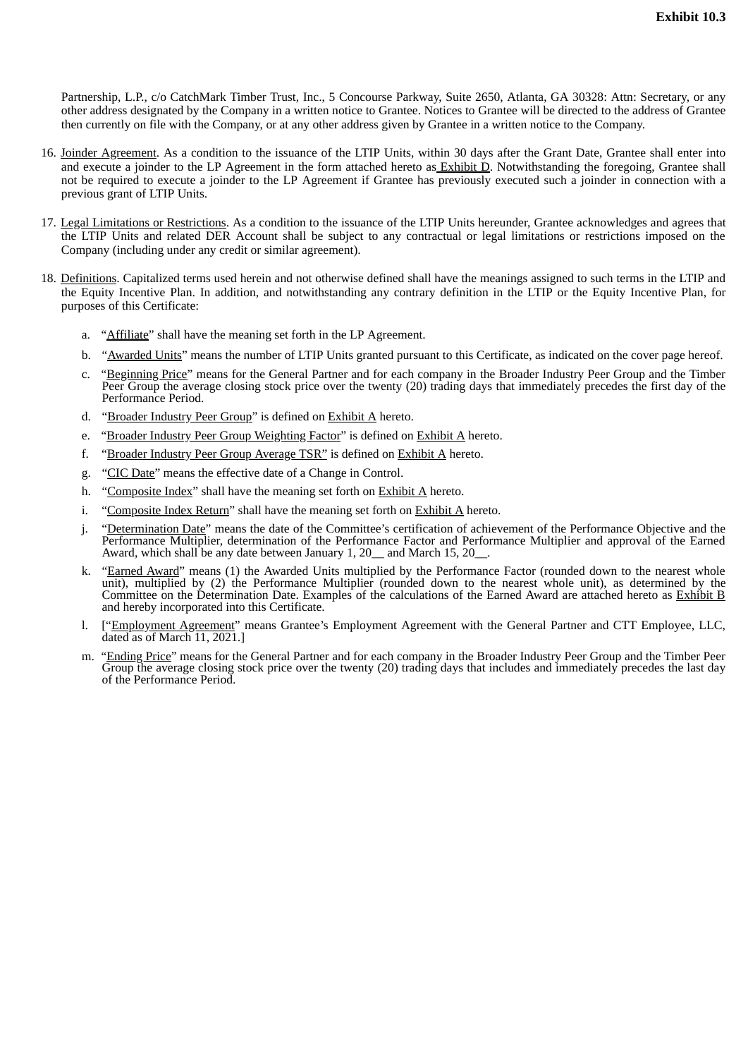Partnership, L.P., c/o CatchMark Timber Trust, Inc., 5 Concourse Parkway, Suite 2650, Atlanta, GA 30328: Attn: Secretary, or any other address designated by the Company in a written notice to Grantee. Notices to Grantee will be directed to the address of Grantee then currently on file with the Company, or at any other address given by Grantee in a written notice to the Company.

- 16. Joinder Agreement. As a condition to the issuance of the LTIP Units, within 30 days after the Grant Date, Grantee shall enter into and execute a joinder to the LP Agreement in the form attached hereto as Exhibit D. Notwithstanding the foregoing, Grantee shall not be required to execute a joinder to the LP Agreement if Grantee has previously executed such a joinder in connection with a previous grant of LTIP Units.
- 17. Legal Limitations or Restrictions. As a condition to the issuance of the LTIP Units hereunder, Grantee acknowledges and agrees that the LTIP Units and related DER Account shall be subject to any contractual or legal limitations or restrictions imposed on the Company (including under any credit or similar agreement).
- 18. Definitions. Capitalized terms used herein and not otherwise defined shall have the meanings assigned to such terms in the LTIP and the Equity Incentive Plan. In addition, and notwithstanding any contrary definition in the LTIP or the Equity Incentive Plan, for purposes of this Certificate:
	- a. "Affiliate" shall have the meaning set forth in the LP Agreement.
	- b. "Awarded Units" means the number of LTIP Units granted pursuant to this Certificate, as indicated on the cover page hereof.
	- c. "Beginning Price" means for the General Partner and for each company in the Broader Industry Peer Group and the Timber Peer Group the average closing stock price over the twenty (20) trading days that immediately precedes the first day of the Performance Period.
	- d. "Broader Industry Peer Group" is defined on Exhibit  $\overline{A}$  hereto.
	- e. "Broader Industry Peer Group Weighting Factor" is defined on Exhibit  $\overline{A}$  hereto.
	- f. "Broader Industry Peer Group Average TSR" is defined on Exhibit A hereto.
	- g. "CIC Date" means the effective date of a Change in Control.
	- h. "Composite Index" shall have the meaning set forth on Exhibit A hereto.
	- i. "Composite Index Return" shall have the meaning set forth on  $Exhibit A$  hereto.
	- j. "Determination Date" means the date of the Committee's certification of achievement of the Performance Objective and the Performance Multiplier, determination of the Performance Factor and Performance Multiplier and approval of the Earned Award, which shall be any date between January 1, 20<sub>\_\_</sub> and March 15, 20<sub>\_\_</sub>.
	- k. "Earned Award" means (1) the Awarded Units multiplied by the Performance Factor (rounded down to the nearest whole unit), multiplied by (2) the Performance Multiplier (rounded down to the nearest whole unit), as determined by the Committee on the Determination Date. Examples of the calculations of the Earned Award are attached hereto as Exhibit B and hereby incorporated into this Certificate.
	- l. ["Employment Agreement" means Grantee's Employment Agreement with the General Partner and CTT Employee, LLC, dated as of March 11, 2021.]
	- m. "Ending Price" means for the General Partner and for each company in the Broader Industry Peer Group and the Timber Peer Group the average closing stock price over the twenty (20) trading days that includes and immediately precedes the last day of the Performance Period.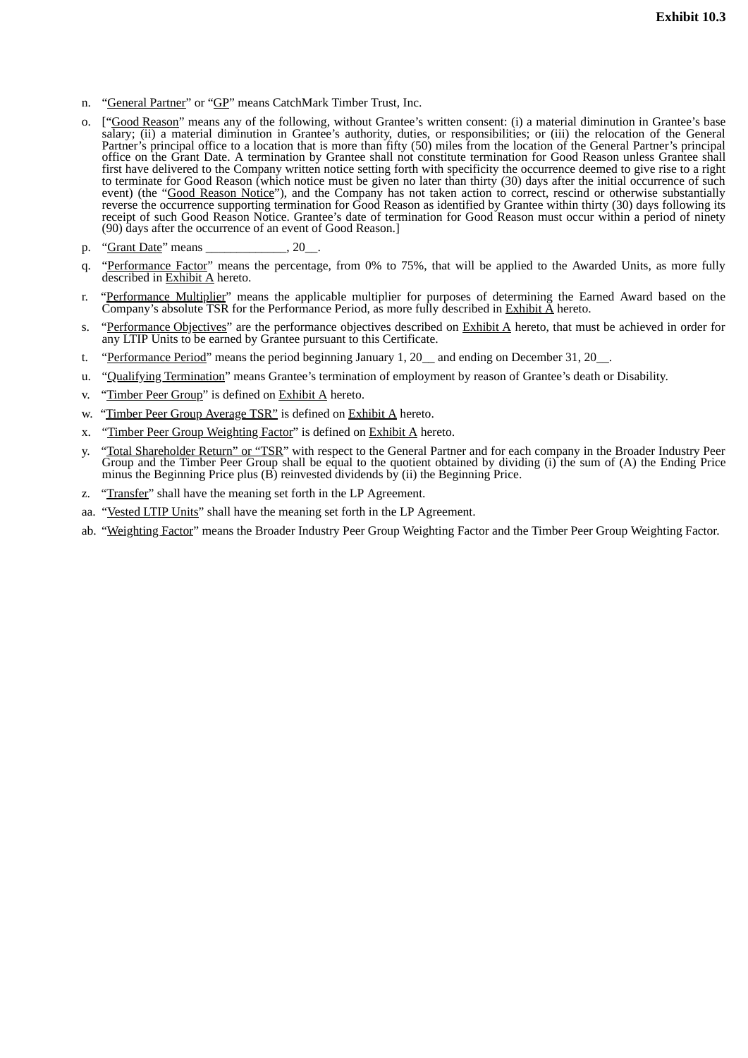- n. "General Partner" or "GP" means CatchMark Timber Trust, Inc.
- o. ["Good Reason" means any of the following, without Grantee's written consent: (i) a material diminution in Grantee's base salary; (ii) a material diminution in Grantee's authority, duties, or responsibilities; or (iii) the relocation of the General Partner's principal office to a location that is more than fifty (50) miles from the location of the General Partner's principal office on the Grant Date. A termination by Grantee shall not constitute termination for Good Reason unless Grantee shall first have delivered to the Company written notice setting forth with specificity the occurrence deemed to give rise to a right to terminate for Good Reason (which notice must be given no later than thirty (30) days after the initial occurrence of such event) (the "Good Reason Notice"), and the Company has not taken action to correct, rescind or otherwise substantially reverse the occurrence supporting termination for Good Reason as identified by Grantee within thirty (30) days following its receipt of such Good Reason Notice. Grantee's date of termination for Good Reason must occur within a period of ninety (90) days after the occurrence of an event of Good Reason.]
- p. "Grant Date" means \_\_\_\_\_\_\_\_\_\_\_\_\_\_, 20
- q. "Performance Factor" means the percentage, from 0% to 75%, that will be applied to the Awarded Units, as more fully described in Exhibit A hereto.
- r. "Performance Multiplier" means the applicable multiplier for purposes of determining the Earned Award based on the Company's absolute TSR for the Performance Period, as more fully described in **Exhibit A** hereto.
- s. "Performance Objectives" are the performance objectives described on Exhibit A hereto, that must be achieved in order for any LTIP Units to be earned by Grantee pursuant to this Certificate.
- t. "Performance Period" means the period beginning January 1, 20<sub>\_</sub> and ending on December 31, 20<sub>\_</sub>.
- u. "Qualifying Termination" means Grantee's termination of employment by reason of Grantee's death or Disability.
- v. "Timber Peer Group" is defined on  $Exhibit A$  hereto.
- w. "Timber Peer Group Average TSR" is defined on Exhibit A hereto.
- x. "Timber Peer Group Weighting Factor" is defined on Exhibit A hereto.
- y. "Total Shareholder Return" or "TSR" with respect to the General Partner and for each company in the Broader Industry Peer Group and the Timber Peer Group shall be equal to the quotient obtained by dividing (i) the sum of (A) the Ending Price minus the Beginning Price plus  $(B)$  reinvested dividends by  $(ii)$  the Beginning Price.
- z. "Transfer" shall have the meaning set forth in the LP Agreement.
- aa. "Vested LTIP Units" shall have the meaning set forth in the LP Agreement.
- ab. "Weighting Factor" means the Broader Industry Peer Group Weighting Factor and the Timber Peer Group Weighting Factor.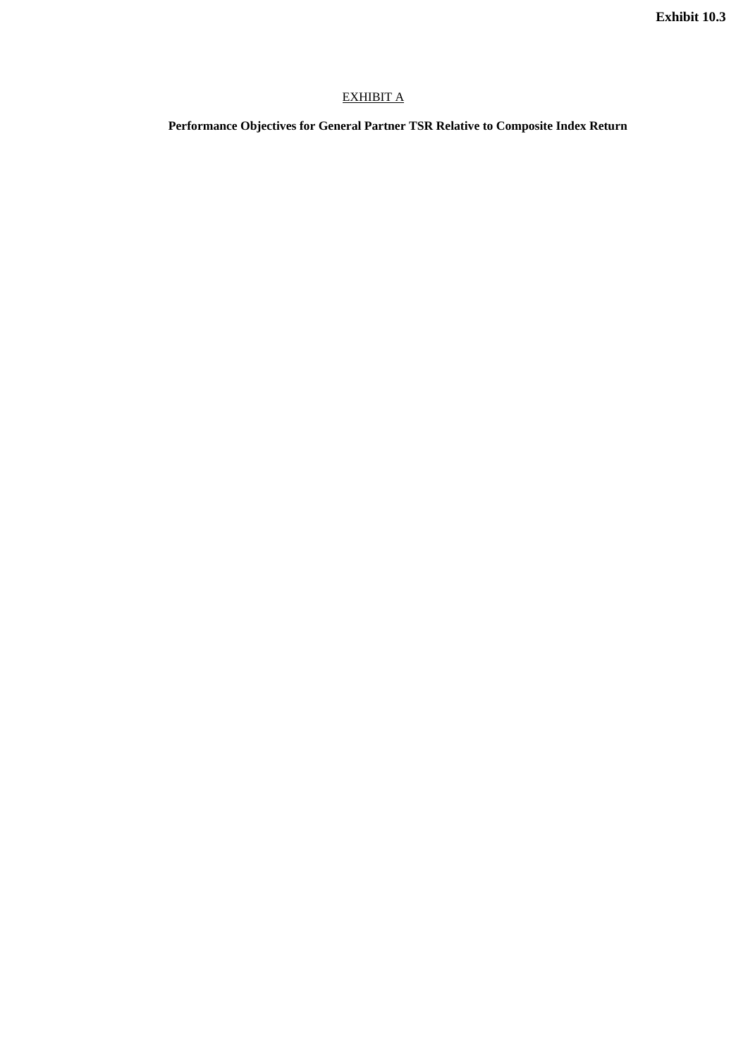# EXHIBIT A

**Performance Objectives for General Partner TSR Relative to Composite Index Return**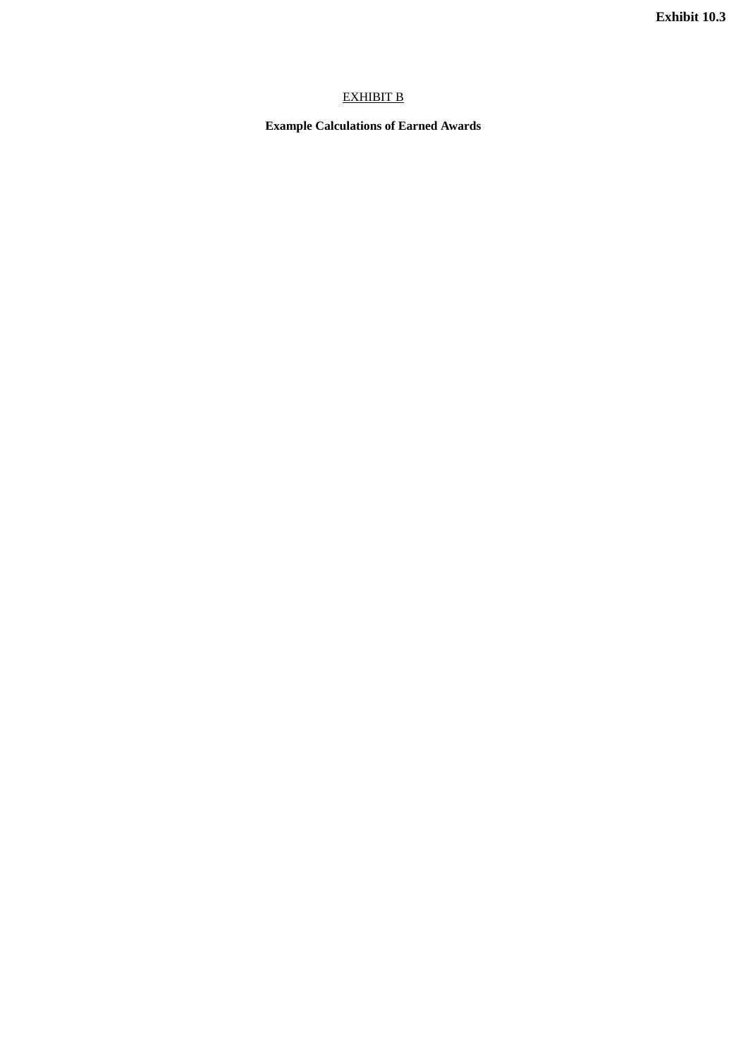# EXHIBIT B

**Example Calculations of Earned Awards**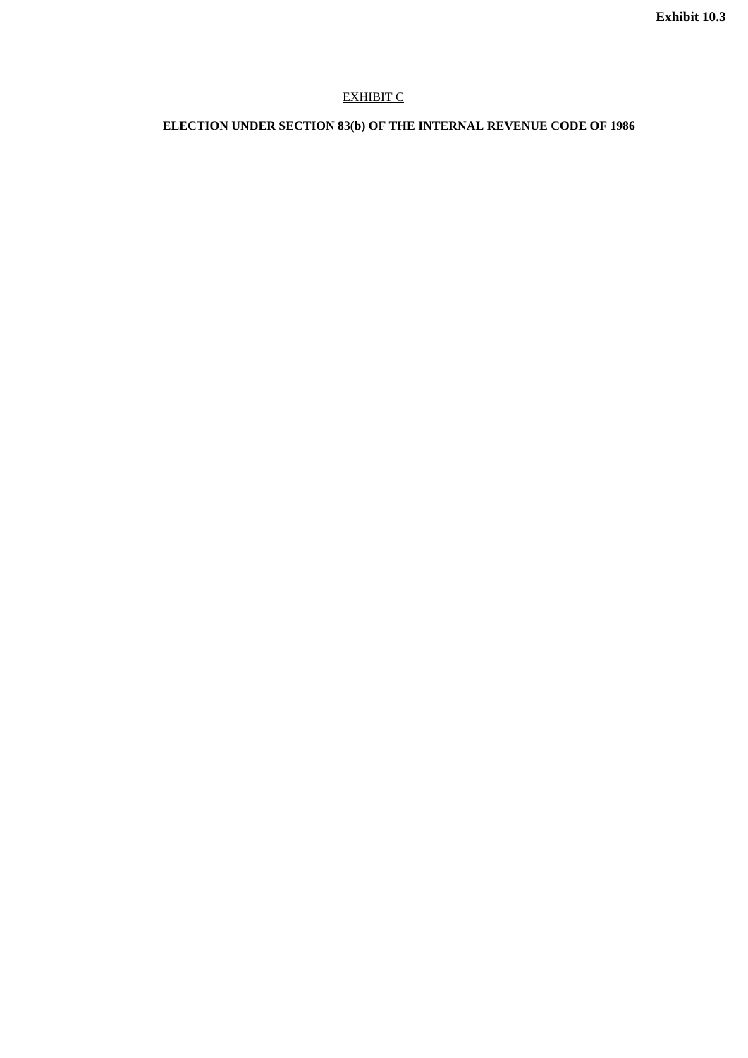# EXHIBIT C

# **ELECTION UNDER SECTION 83(b) OF THE INTERNAL REVENUE CODE OF 1986**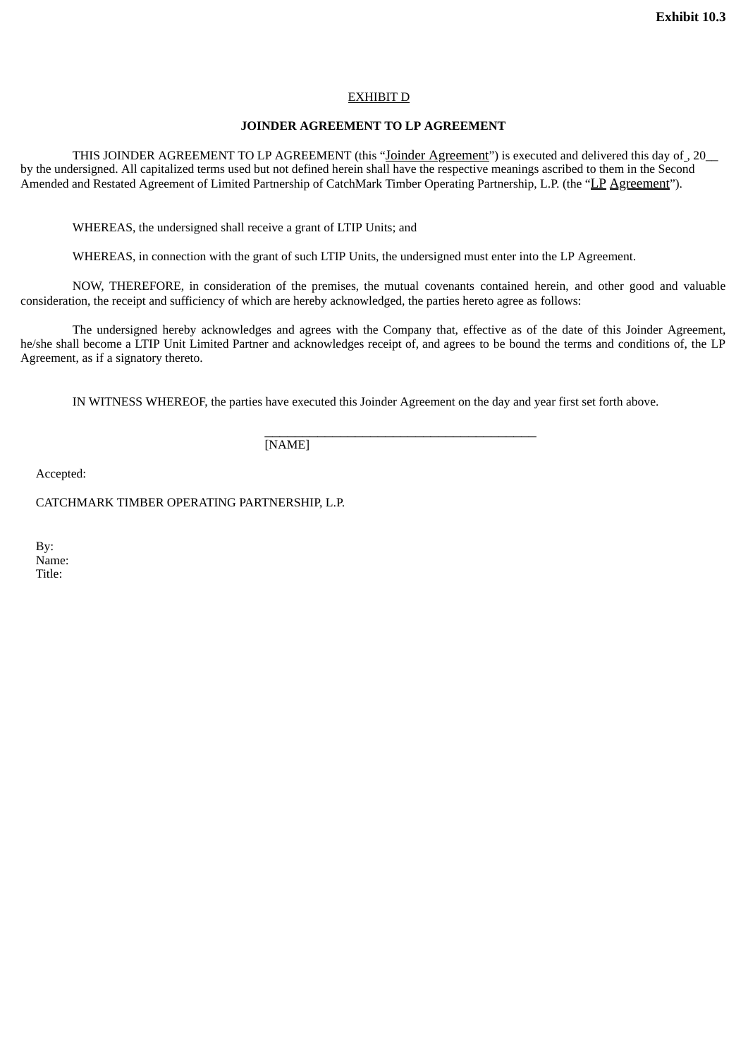# EXHIBIT D

# **JOINDER AGREEMENT TO LP AGREEMENT**

THIS JOINDER AGREEMENT TO LP AGREEMENT (this "Joinder Agreement") is executed and delivered this day of , 20\_\_ by the undersigned. All capitalized terms used but not defined herein shall have the respective meanings ascribed to them in the Second Amended and Restated Agreement of Limited Partnership of CatchMark Timber Operating Partnership, L.P. (the "LP Agreement").

WHEREAS, the undersigned shall receive a grant of LTIP Units; and

WHEREAS, in connection with the grant of such LTIP Units, the undersigned must enter into the LP Agreement.

NOW, THEREFORE, in consideration of the premises, the mutual covenants contained herein, and other good and valuable consideration, the receipt and sufficiency of which are hereby acknowledged, the parties hereto agree as follows:

The undersigned hereby acknowledges and agrees with the Company that, effective as of the date of this Joinder Agreement, he/she shall become a LTIP Unit Limited Partner and acknowledges receipt of, and agrees to be bound the terms and conditions of, the LP Agreement, as if a signatory thereto.

IN WITNESS WHEREOF, the parties have executed this Joinder Agreement on the day and year first set forth above.

 $\mathcal{L}_\text{max}$  , where  $\mathcal{L}_\text{max}$  and  $\mathcal{L}_\text{max}$ 

[NAME]

Accepted:

CATCHMARK TIMBER OPERATING PARTNERSHIP, L.P.

By: Name: Title: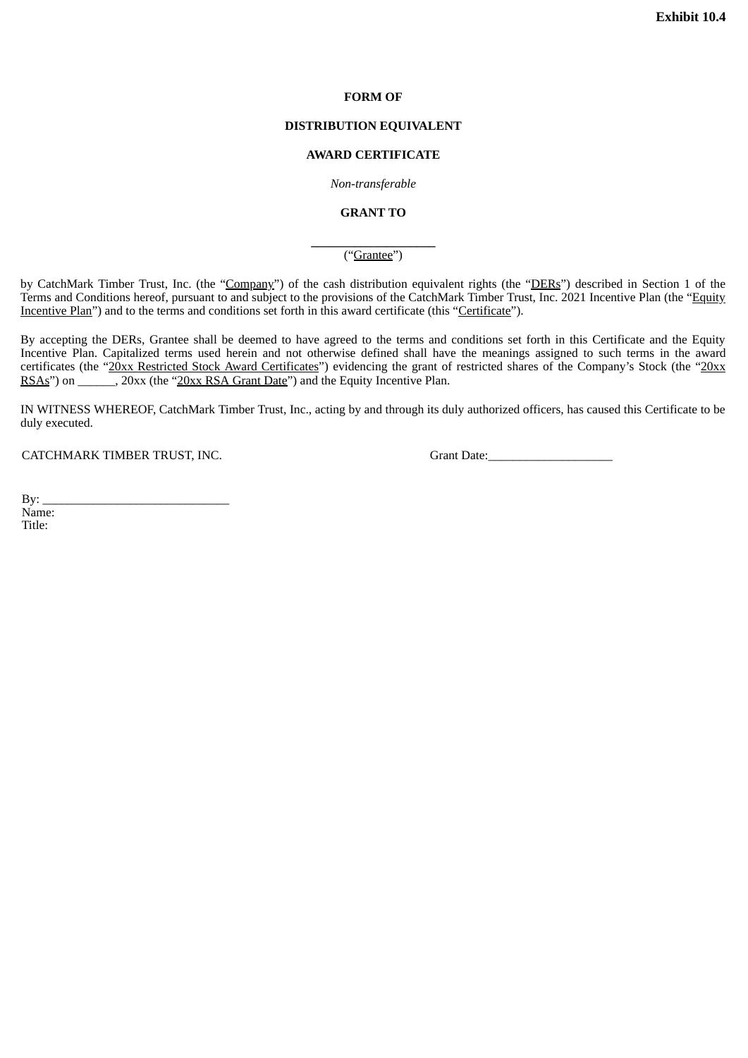### **FORM OF**

### **DISTRIBUTION EQUIVALENT**

# **AWARD CERTIFICATE**

*Non-transferable*

# **GRANT TO**

### **\_\_\_\_\_\_\_\_\_\_\_\_\_\_\_\_\_\_\_\_** ("Grantee")

<span id="page-60-0"></span>by CatchMark Timber Trust, Inc. (the "Company") of the cash distribution equivalent rights (the "DERs") described in Section 1 of the Terms and Conditions hereof, pursuant to and subject to the provisions of the CatchMark Timber Trust, Inc. 2021 Incentive Plan (the "Equity Incentive Plan") and to the terms and conditions set forth in this award certificate (this "Certificate").

By accepting the DERs, Grantee shall be deemed to have agreed to the terms and conditions set forth in this Certificate and the Equity Incentive Plan. Capitalized terms used herein and not otherwise defined shall have the meanings assigned to such terms in the award certificates (the "20xx Restricted Stock Award Certificates") evidencing the grant of restricted shares of the Company's Stock (the "20xx RSAs") on \_\_\_\_\_\_, 20xx (the "20xx RSA Grant Date") and the Equity Incentive Plan.

IN WITNESS WHEREOF, CatchMark Timber Trust, Inc., acting by and through its duly authorized officers, has caused this Certificate to be duly executed.

CATCHMARK TIMBER TRUST, INC.

Grant Date:

 $\exists$  By: Name: Title: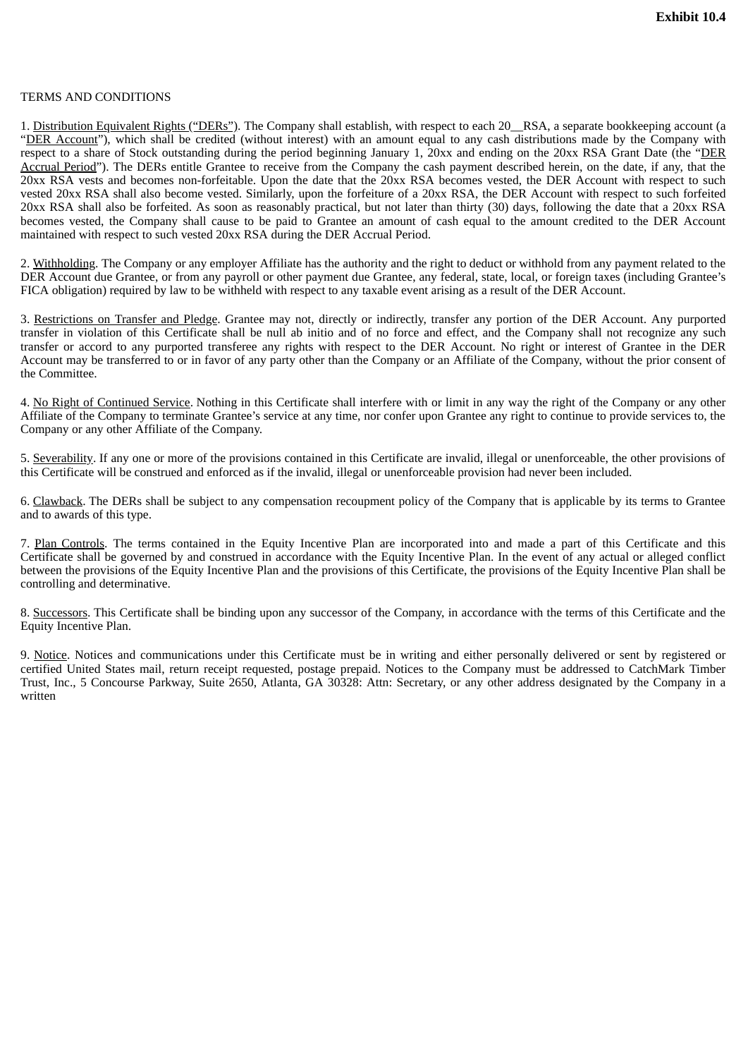#### TERMS AND CONDITIONS

1. Distribution Equivalent Rights ("DERs"). The Company shall establish, with respect to each 20\_RSA, a separate bookkeeping account (a "DER Account"), which shall be credited (without interest) with an amount equal to any cash distributions made by the Company with respect to a share of Stock outstanding during the period beginning January 1, 20xx and ending on the 20xx RSA Grant Date (the "DER Accrual Period"). The DERs entitle Grantee to receive from the Company the cash payment described herein, on the date, if any, that the 20xx RSA vests and becomes non-forfeitable. Upon the date that the 20xx RSA becomes vested, the DER Account with respect to such vested 20xx RSA shall also become vested. Similarly, upon the forfeiture of a 20xx RSA, the DER Account with respect to such forfeited 20xx RSA shall also be forfeited. As soon as reasonably practical, but not later than thirty (30) days, following the date that a 20xx RSA becomes vested, the Company shall cause to be paid to Grantee an amount of cash equal to the amount credited to the DER Account maintained with respect to such vested 20xx RSA during the DER Accrual Period.

2. Withholding. The Company or any employer Affiliate has the authority and the right to deduct or withhold from any payment related to the DER Account due Grantee, or from any payroll or other payment due Grantee, any federal, state, local, or foreign taxes (including Grantee's FICA obligation) required by law to be withheld with respect to any taxable event arising as a result of the DER Account.

3. Restrictions on Transfer and Pledge. Grantee may not, directly or indirectly, transfer any portion of the DER Account. Any purported transfer in violation of this Certificate shall be null ab initio and of no force and effect, and the Company shall not recognize any such transfer or accord to any purported transferee any rights with respect to the DER Account. No right or interest of Grantee in the DER Account may be transferred to or in favor of any party other than the Company or an Affiliate of the Company, without the prior consent of the Committee.

4. No Right of Continued Service. Nothing in this Certificate shall interfere with or limit in any way the right of the Company or any other Affiliate of the Company to terminate Grantee's service at any time, nor confer upon Grantee any right to continue to provide services to, the Company or any other Affiliate of the Company.

5. Severability. If any one or more of the provisions contained in this Certificate are invalid, illegal or unenforceable, the other provisions of this Certificate will be construed and enforced as if the invalid, illegal or unenforceable provision had never been included.

6. Clawback. The DERs shall be subject to any compensation recoupment policy of the Company that is applicable by its terms to Grantee and to awards of this type.

7. Plan Controls. The terms contained in the Equity Incentive Plan are incorporated into and made a part of this Certificate and this Certificate shall be governed by and construed in accordance with the Equity Incentive Plan. In the event of any actual or alleged conflict between the provisions of the Equity Incentive Plan and the provisions of this Certificate, the provisions of the Equity Incentive Plan shall be controlling and determinative.

8. Successors. This Certificate shall be binding upon any successor of the Company, in accordance with the terms of this Certificate and the Equity Incentive Plan.

9. Notice. Notices and communications under this Certificate must be in writing and either personally delivered or sent by registered or certified United States mail, return receipt requested, postage prepaid. Notices to the Company must be addressed to CatchMark Timber Trust, Inc., 5 Concourse Parkway, Suite 2650, Atlanta, GA 30328: Attn: Secretary, or any other address designated by the Company in a written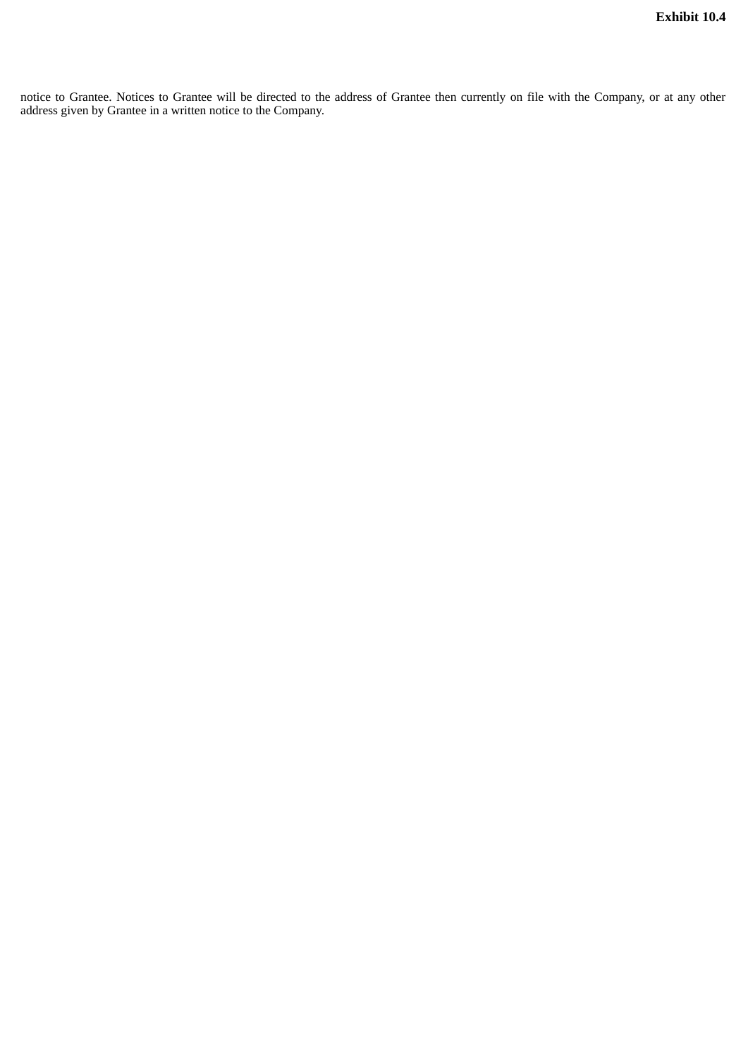notice to Grantee. Notices to Grantee will be directed to the address of Grantee then currently on file with the Company, or at any other address given by Grantee in a written notice to the Company.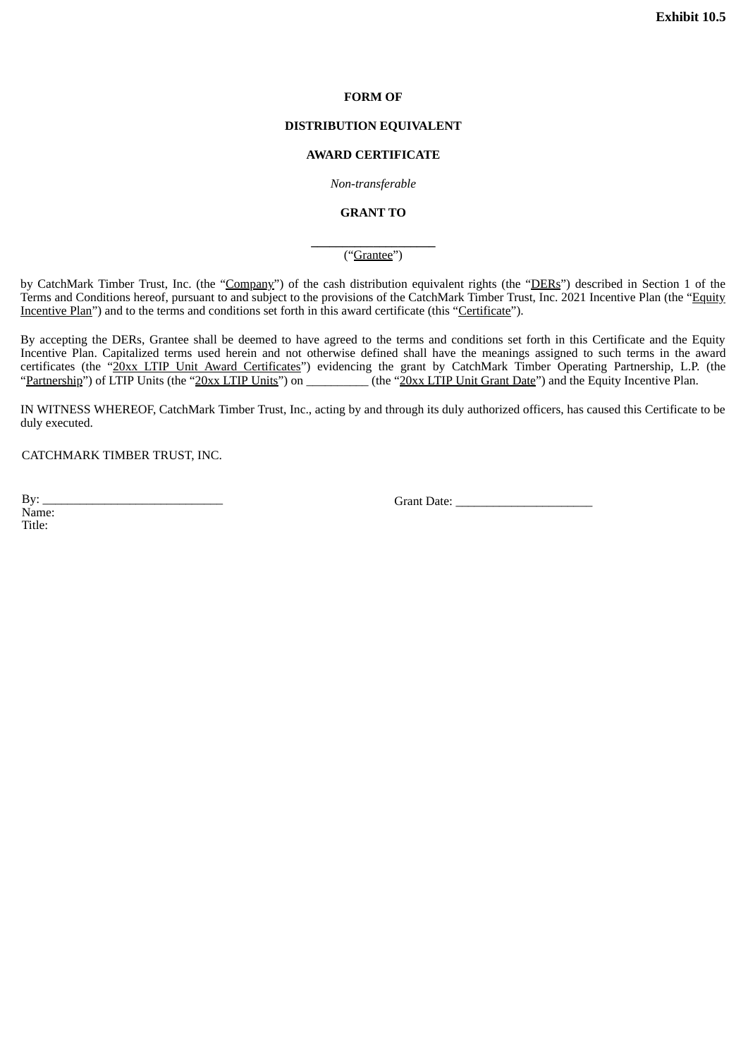#### **FORM OF**

#### **DISTRIBUTION EQUIVALENT**

# **AWARD CERTIFICATE**

*Non-transferable*

# **GRANT TO**

#### **\_\_\_\_\_\_\_\_\_\_\_\_\_\_\_\_\_\_\_\_** ("Grantee")

<span id="page-63-0"></span>by CatchMark Timber Trust, Inc. (the "Company") of the cash distribution equivalent rights (the "DERs") described in Section 1 of the Terms and Conditions hereof, pursuant to and subject to the provisions of the CatchMark Timber Trust, Inc. 2021 Incentive Plan (the "Equity Incentive Plan") and to the terms and conditions set forth in this award certificate (this "Certificate").

By accepting the DERs, Grantee shall be deemed to have agreed to the terms and conditions set forth in this Certificate and the Equity Incentive Plan. Capitalized terms used herein and not otherwise defined shall have the meanings assigned to such terms in the award certificates (the "20xx LTIP Unit Award Certificates") evidencing the grant by CatchMark Timber Operating Partnership, L.P. (the "Partnership") of LTIP Units (the "20xx LTIP Units") on \_\_\_\_\_\_\_\_\_\_\_\_ (the "20xx LTIP Unit Grant Date") and the Equity Incentive Plan.

IN WITNESS WHEREOF, CatchMark Timber Trust, Inc., acting by and through its duly authorized officers, has caused this Certificate to be duly executed.

CATCHMARK TIMBER TRUST, INC.

 $\exists$  By: Name: Title:

Grant Date: \_\_\_\_\_\_\_\_\_\_\_\_\_\_\_\_\_\_\_\_\_\_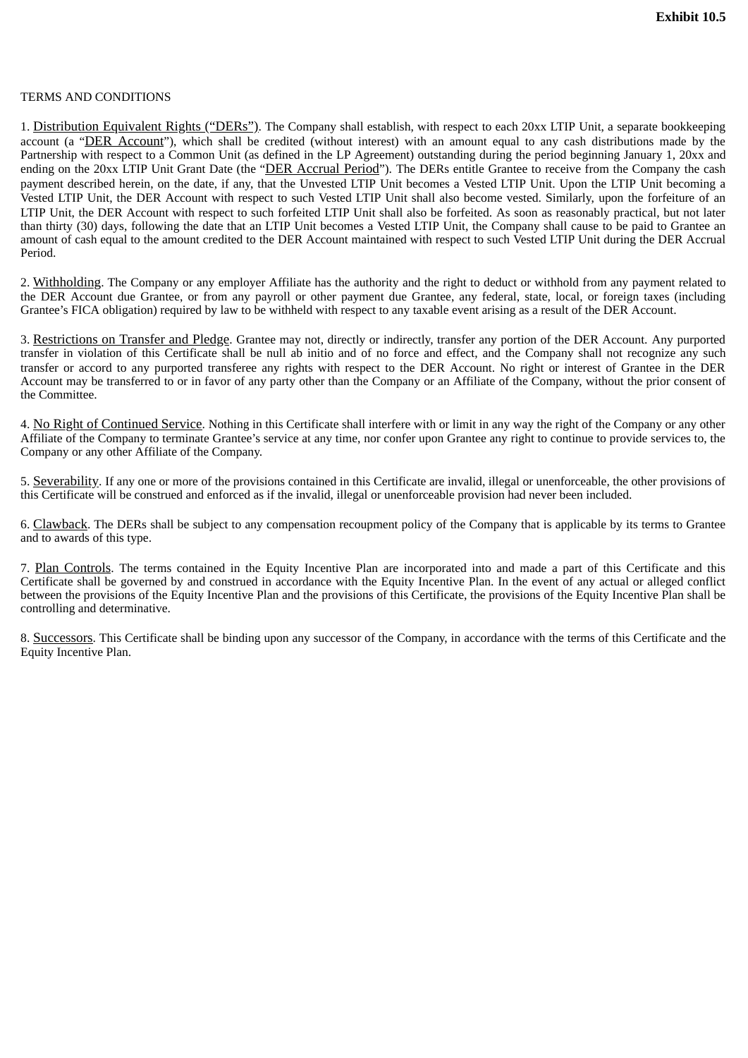# TERMS AND CONDITIONS

1. Distribution Equivalent Rights ("DERs"). The Company shall establish, with respect to each 20xx LTIP Unit, a separate bookkeeping account (a "DER Account"), which shall be credited (without interest) with an amount equal to any cash distributions made by the Partnership with respect to a Common Unit (as defined in the LP Agreement) outstanding during the period beginning January 1, 20xx and ending on the 20xx LTIP Unit Grant Date (the "DER Accrual Period"). The DERs entitle Grantee to receive from the Company the cash payment described herein, on the date, if any, that the Unvested LTIP Unit becomes a Vested LTIP Unit. Upon the LTIP Unit becoming a Vested LTIP Unit, the DER Account with respect to such Vested LTIP Unit shall also become vested. Similarly, upon the forfeiture of an LTIP Unit, the DER Account with respect to such forfeited LTIP Unit shall also be forfeited. As soon as reasonably practical, but not later than thirty (30) days, following the date that an LTIP Unit becomes a Vested LTIP Unit, the Company shall cause to be paid to Grantee an amount of cash equal to the amount credited to the DER Account maintained with respect to such Vested LTIP Unit during the DER Accrual Period.

2. Withholding. The Company or any employer Affiliate has the authority and the right to deduct or withhold from any payment related to the DER Account due Grantee, or from any payroll or other payment due Grantee, any federal, state, local, or foreign taxes (including Grantee's FICA obligation) required by law to be withheld with respect to any taxable event arising as a result of the DER Account.

3. Restrictions on Transfer and Pledge. Grantee may not, directly or indirectly, transfer any portion of the DER Account. Any purported transfer in violation of this Certificate shall be null ab initio and of no force and effect, and the Company shall not recognize any such transfer or accord to any purported transferee any rights with respect to the DER Account. No right or interest of Grantee in the DER Account may be transferred to or in favor of any party other than the Company or an Affiliate of the Company, without the prior consent of the Committee.

4. No Right of Continued Service. Nothing in this Certificate shall interfere with or limit in any way the right of the Company or any other Affiliate of the Company to terminate Grantee's service at any time, nor confer upon Grantee any right to continue to provide services to, the Company or any other Affiliate of the Company.

5. Severability. If any one or more of the provisions contained in this Certificate are invalid, illegal or unenforceable, the other provisions of this Certificate will be construed and enforced as if the invalid, illegal or unenforceable provision had never been included.

6. Clawback. The DERs shall be subject to any compensation recoupment policy of the Company that is applicable by its terms to Grantee and to awards of this type.

7. Plan Controls. The terms contained in the Equity Incentive Plan are incorporated into and made a part of this Certificate and this Certificate shall be governed by and construed in accordance with the Equity Incentive Plan. In the event of any actual or alleged conflict between the provisions of the Equity Incentive Plan and the provisions of this Certificate, the provisions of the Equity Incentive Plan shall be controlling and determinative.

8. Successors. This Certificate shall be binding upon any successor of the Company, in accordance with the terms of this Certificate and the Equity Incentive Plan.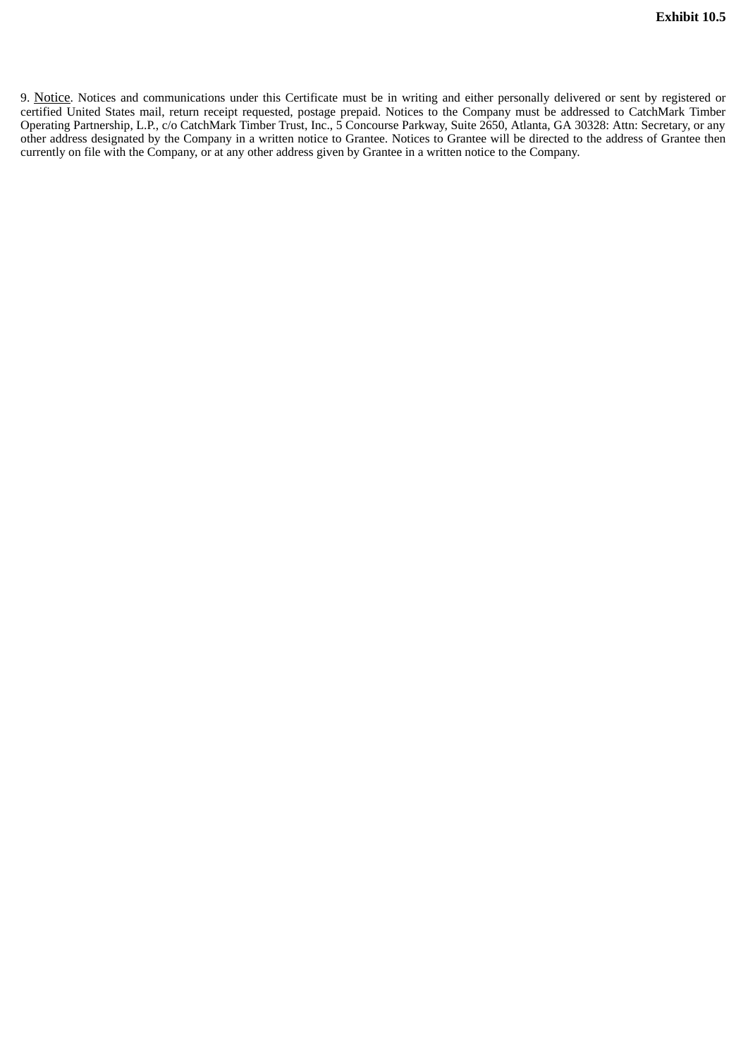9. Notice. Notices and communications under this Certificate must be in writing and either personally delivered or sent by registered or certified United States mail, return receipt requested, postage prepaid. Notices to the Company must be addressed to CatchMark Timber Operating Partnership, L.P., c/o CatchMark Timber Trust, Inc., 5 Concourse Parkway, Suite 2650, Atlanta, GA 30328: Attn: Secretary, or any other address designated by the Company in a written notice to Grantee. Notices to Grantee will be directed to the address of Grantee then currently on file with the Company, or at any other address given by Grantee in a written notice to the Company.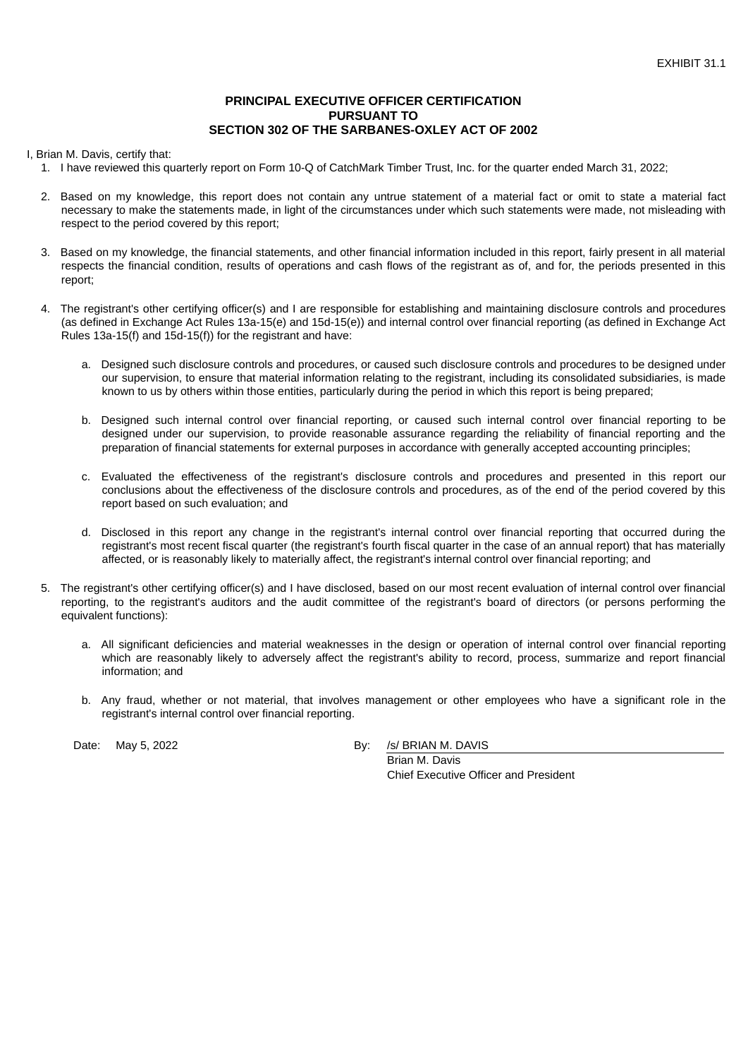# **PRINCIPAL EXECUTIVE OFFICER CERTIFICATION PURSUANT TO SECTION 302 OF THE SARBANES-OXLEY ACT OF 2002**

<span id="page-66-0"></span>I, Brian M. Davis, certify that:

- 1. I have reviewed this quarterly report on Form 10-Q of CatchMark Timber Trust, Inc. for the quarter ended March 31, 2022;
- 2. Based on my knowledge, this report does not contain any untrue statement of a material fact or omit to state a material fact necessary to make the statements made, in light of the circumstances under which such statements were made, not misleading with respect to the period covered by this report;
- 3. Based on my knowledge, the financial statements, and other financial information included in this report, fairly present in all material respects the financial condition, results of operations and cash flows of the registrant as of, and for, the periods presented in this report;
- 4. The registrant's other certifying officer(s) and I are responsible for establishing and maintaining disclosure controls and procedures (as defined in Exchange Act Rules 13a-15(e) and 15d-15(e)) and internal control over financial reporting (as defined in Exchange Act Rules 13a-15(f) and 15d-15(f)) for the registrant and have:
	- a. Designed such disclosure controls and procedures, or caused such disclosure controls and procedures to be designed under our supervision, to ensure that material information relating to the registrant, including its consolidated subsidiaries, is made known to us by others within those entities, particularly during the period in which this report is being prepared;
	- b. Designed such internal control over financial reporting, or caused such internal control over financial reporting to be designed under our supervision, to provide reasonable assurance regarding the reliability of financial reporting and the preparation of financial statements for external purposes in accordance with generally accepted accounting principles;
	- c. Evaluated the effectiveness of the registrant's disclosure controls and procedures and presented in this report our conclusions about the effectiveness of the disclosure controls and procedures, as of the end of the period covered by this report based on such evaluation; and
	- d. Disclosed in this report any change in the registrant's internal control over financial reporting that occurred during the registrant's most recent fiscal quarter (the registrant's fourth fiscal quarter in the case of an annual report) that has materially affected, or is reasonably likely to materially affect, the registrant's internal control over financial reporting; and
- 5. The registrant's other certifying officer(s) and I have disclosed, based on our most recent evaluation of internal control over financial reporting, to the registrant's auditors and the audit committee of the registrant's board of directors (or persons performing the equivalent functions):
	- a. All significant deficiencies and material weaknesses in the design or operation of internal control over financial reporting which are reasonably likely to adversely affect the registrant's ability to record, process, summarize and report financial information; and
	- b. Any fraud, whether or not material, that involves management or other employees who have a significant role in the registrant's internal control over financial reporting.

Date: May 5, 2022 **By: /s/ BRIAN M. DAVIS** 

Brian M. Davis Chief Executive Officer and President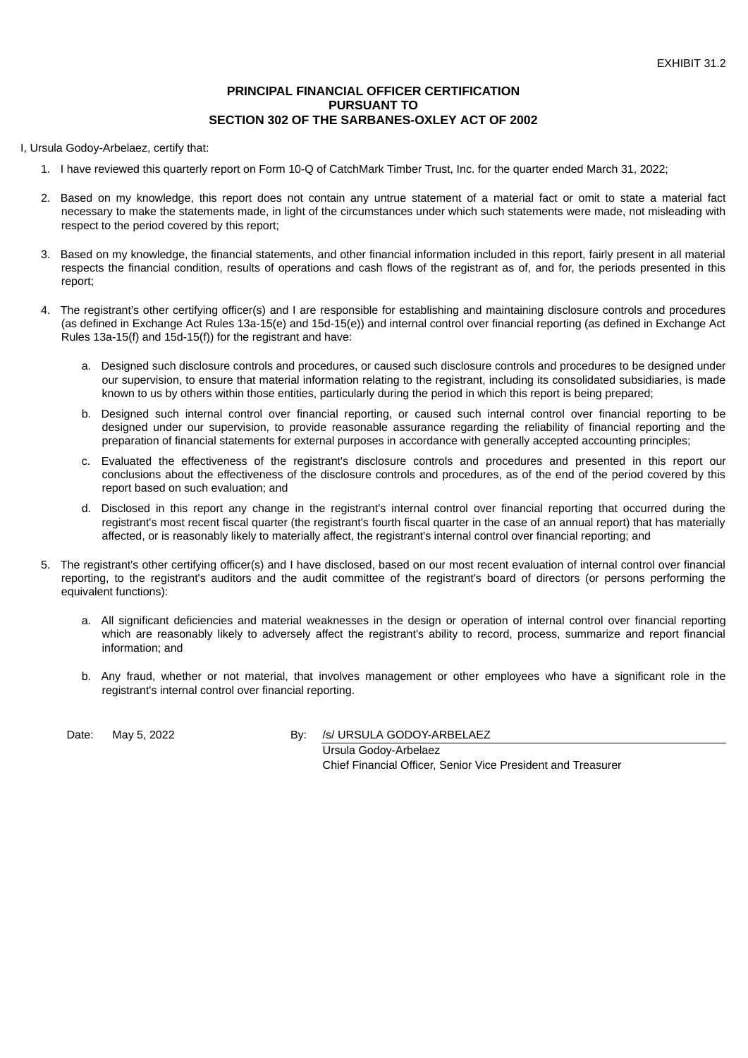# **PRINCIPAL FINANCIAL OFFICER CERTIFICATION PURSUANT TO SECTION 302 OF THE SARBANES-OXLEY ACT OF 2002**

<span id="page-67-0"></span>I, Ursula Godoy-Arbelaez, certify that:

- 1. I have reviewed this quarterly report on Form 10-Q of CatchMark Timber Trust, Inc. for the quarter ended March 31, 2022;
- 2. Based on my knowledge, this report does not contain any untrue statement of a material fact or omit to state a material fact necessary to make the statements made, in light of the circumstances under which such statements were made, not misleading with respect to the period covered by this report;
- 3. Based on my knowledge, the financial statements, and other financial information included in this report, fairly present in all material respects the financial condition, results of operations and cash flows of the registrant as of, and for, the periods presented in this report;
- 4. The registrant's other certifying officer(s) and I are responsible for establishing and maintaining disclosure controls and procedures (as defined in Exchange Act Rules 13a-15(e) and 15d-15(e)) and internal control over financial reporting (as defined in Exchange Act Rules 13a-15(f) and 15d-15(f)) for the registrant and have:
	- a. Designed such disclosure controls and procedures, or caused such disclosure controls and procedures to be designed under our supervision, to ensure that material information relating to the registrant, including its consolidated subsidiaries, is made known to us by others within those entities, particularly during the period in which this report is being prepared;
	- b. Designed such internal control over financial reporting, or caused such internal control over financial reporting to be designed under our supervision, to provide reasonable assurance regarding the reliability of financial reporting and the preparation of financial statements for external purposes in accordance with generally accepted accounting principles;
	- c. Evaluated the effectiveness of the registrant's disclosure controls and procedures and presented in this report our conclusions about the effectiveness of the disclosure controls and procedures, as of the end of the period covered by this report based on such evaluation; and
	- d. Disclosed in this report any change in the registrant's internal control over financial reporting that occurred during the registrant's most recent fiscal quarter (the registrant's fourth fiscal quarter in the case of an annual report) that has materially affected, or is reasonably likely to materially affect, the registrant's internal control over financial reporting; and
- 5. The registrant's other certifying officer(s) and I have disclosed, based on our most recent evaluation of internal control over financial reporting, to the registrant's auditors and the audit committee of the registrant's board of directors (or persons performing the equivalent functions):
	- a. All significant deficiencies and material weaknesses in the design or operation of internal control over financial reporting which are reasonably likely to adversely affect the registrant's ability to record, process, summarize and report financial information; and
	- b. Any fraud, whether or not material, that involves management or other employees who have a significant role in the registrant's internal control over financial reporting.

Date: May 5, 2022 **By:** /s/ URSULA GODOY-ARBELAEZ

Ursula Godoy-Arbelaez Chief Financial Officer, Senior Vice President and Treasurer